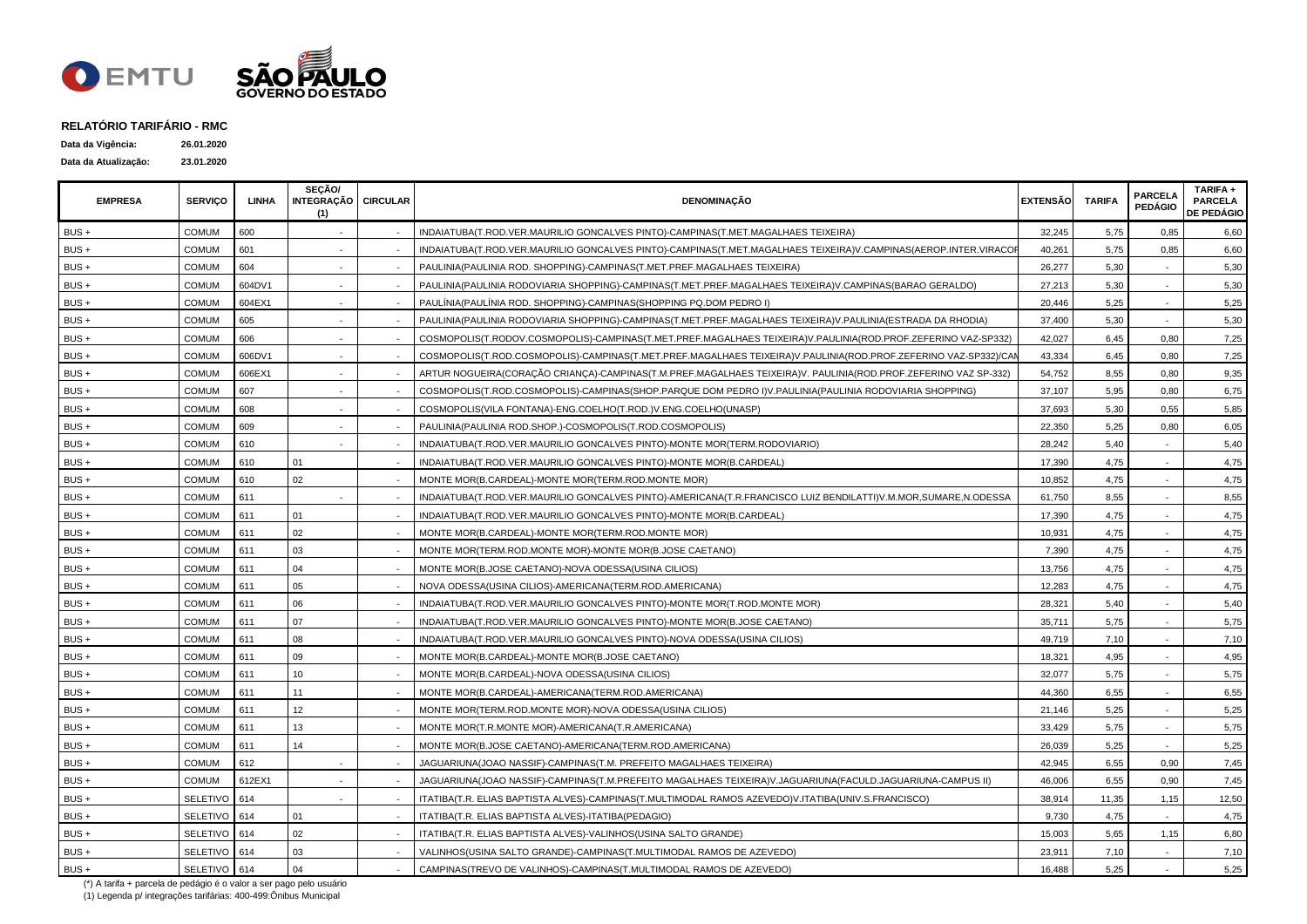

| Data da Vigência:    | 26.01.2020 |
|----------------------|------------|
| Data da Atualização: | 23.01.2020 |

| <b>EMPRESA</b> | <b>SERVICO</b>  | LINHA  | SECÃO/<br>INTEGRAÇÃO   CIRCULAR<br>(1) | <b>DENOMINAÇÃO</b>                                                                                              | <b>EXTENSÃO</b> | <b>TARIFA</b> | <b>PARCELA</b><br><b>PEDÁGIO</b> | TARIFA +<br><b>PARCELA</b><br><b>DE PEDÁGIO</b> |
|----------------|-----------------|--------|----------------------------------------|-----------------------------------------------------------------------------------------------------------------|-----------------|---------------|----------------------------------|-------------------------------------------------|
| BUS+           | <b>COMUM</b>    | 600    |                                        | INDAIATUBA(T.ROD.VER.MAURILIO GONCALVES PINTO)-CAMPINAS(T.MET.MAGALHAES TEIXEIRA)                               | 32,245          | 5,75          | 0,85                             | 6,60                                            |
| BUS +          | <b>COMUM</b>    | 601    |                                        | INDAIATUBA(T.ROD.VER.MAURILIO GONCALVES PINTO)-CAMPINAS(T.MET.MAGALHAES TEIXEIRA)V.CAMPINAS(AEROP.INTER.VIRACOP | 40,261          | 5,75          | 0,85                             | 6,60                                            |
| BUS +          | <b>COMUM</b>    | 604    |                                        | PAULINIA(PAULINIA ROD. SHOPPING)-CAMPINAS(T.MET.PREF.MAGALHAES TEIXEIRA)                                        | 26,277          | 5,30          |                                  | 5,30                                            |
| BUS +          | <b>COMUM</b>    | 604DV1 |                                        | PAULINIA(PAULINIA RODOVIARIA SHOPPING)-CAMPINAS(T.MET.PREF.MAGALHAES TEIXEIRA)V.CAMPINAS(BARAO GERALDO)         | 27,213          | 5,30          |                                  | 5,30                                            |
| BUS +          | <b>COMUM</b>    | 604EX1 |                                        | PAULÍNIA (PAULÍNIA ROD. SHOPPING)-CAMPINAS (SHOPPING PQ.DOM PEDRO I)                                            | 20,446          | 5,25          |                                  | 5,25                                            |
| BUS+           | <b>COMUM</b>    | 605    |                                        | PAULINIA (PAULINIA RODOVIARIA SHOPPING)-CAMPINAS (T.MET.PREF.MAGALHAES TEIXEIRA) V.PAULINIA (ESTRADA DA RHODIA) | 37,400          | 5,30          |                                  | 5,30                                            |
| BUS +          | <b>COMUM</b>    | 606    |                                        | COSMOPOLIS(T.RODOV.COSMOPOLIS)-CAMPINAS(T.MET.PREF.MAGALHAES TEIXEIRA)V.PAULINIA(ROD.PROF.ZEFERINO VAZ-SP332)   | 42,027          | 6,45          | 0,80                             | 7,25                                            |
| BUS+           | <b>COMUM</b>    | 606DV1 |                                        | COSMOPOLIS(T.ROD.COSMOPOLIS)-CAMPINAS(T.MET.PREF.MAGALHAES TEIXEIRA)V.PAULINIA(ROD.PROF.ZEFERINO VAZ-SP332)/CAI | 43,334          | 6,45          | 0,80                             | 7,25                                            |
| BUS +          | COMUM           | 606EX1 |                                        | ARTUR NOGUEIRA(CORAÇÃO CRIANÇA)-CAMPINAS(T.M.PREF.MAGALHAES TEIXEIRA)V. PAULINIA(ROD.PROF.ZEFERINO VAZ SP-332)  | 54,752          | 8,55          | 0,80                             | 9,35                                            |
| BUS +          | COMUM           | 607    |                                        | COSMOPOLIS(T.ROD.COSMOPOLIS)-CAMPINAS(SHOP.PARQUE DOM PEDRO I)V.PAULINIA(PAULINIA RODOVIARIA SHOPPING)          | 37,107          | 5,95          | 0,80                             | 6,75                                            |
| BUS+           | <b>COMUM</b>    | 608    |                                        | COSMOPOLIS(VILA FONTANA)-ENG.COELHO(T.ROD.)V.ENG.COELHO(UNASP)                                                  | 37,693          | 5,30          | 0,55                             | 5,85                                            |
| BUS +          | <b>COMUM</b>    | 609    |                                        | PAULINIA(PAULINIA ROD.SHOP.)-COSMOPOLIS(T.ROD.COSMOPOLIS)                                                       | 22,350          | 5,25          | 0,80                             | 6,05                                            |
| BUS+           | <b>COMUM</b>    | 610    |                                        | INDAIATUBA(T.ROD.VER.MAURILIO GONCALVES PINTO)-MONTE MOR(TERM.RODOVIARIO)                                       | 28,242          | 5,40          |                                  | 5,40                                            |
| BUS +          | COMUM           | 610    | 01                                     | INDAIATUBA(T.ROD.VER.MAURILIO GONCALVES PINTO)-MONTE MOR(B.CARDEAL)                                             | 17,390          | 4,75          |                                  | 4,75                                            |
| BUS+           | <b>COMUM</b>    | 610    | 02                                     | MONTE MOR(B.CARDEAL)-MONTE MOR(TERM.ROD.MONTE MOR)                                                              | 10,852          | 4,75          |                                  | 4,75                                            |
| BUS+           | <b>COMUM</b>    | 611    |                                        | INDAIATUBA(T.ROD.VER.MAURILIO GONCALVES PINTO)-AMERICANA(T.R.FRANCISCO LUIZ BENDILATTI)V.M.MOR,SUMARE,N.ODESSA  | 61,750          | 8,55          |                                  | 8,55                                            |
| BUS+           | <b>COMUM</b>    | 611    | 01                                     | INDAIATUBA(T.ROD.VER.MAURILIO GONCALVES PINTO)-MONTE MOR(B.CARDEAL)                                             | 17,390          | 4,75          |                                  | 4,75                                            |
| BUS +          | <b>COMUM</b>    | 611    | 02                                     | MONTE MOR(B.CARDEAL)-MONTE MOR(TERM.ROD.MONTE MOR)                                                              | 10,931          | 4,75          |                                  | 4,75                                            |
| BUS+           | <b>COMUM</b>    | 611    | 03                                     | MONTE MOR(TERM.ROD.MONTE MOR)-MONTE MOR(B.JOSE CAETANO)                                                         | 7,390           | 4,75          |                                  | 4,75                                            |
| BUS +          | <b>COMUM</b>    | 611    | 04                                     | MONTE MOR(B.JOSE CAETANO)-NOVA ODESSA(USINA CILIOS)                                                             | 13,756          | 4,75          | $\sim$                           | 4,75                                            |
| BUS+           | <b>COMUM</b>    | 611    | 05                                     | NOVA ODESSA(USINA CILIOS)-AMERICANA(TERM.ROD.AMERICANA)                                                         | 12,283          | 4,75          |                                  | 4,75                                            |
| BUS+           | <b>COMUM</b>    | 611    | 06                                     | INDAIATUBA(T.ROD.VER.MAURILIO GONCALVES PINTO)-MONTE MOR(T.ROD.MONTE MOR)                                       | 28,321          | 5,40          |                                  | 5,40                                            |
| BUS+           | <b>COMUM</b>    | 611    | 07                                     | INDAIATUBA(T.ROD.VER.MAURILIO GONCALVES PINTO)-MONTE MOR(B.JOSE CAETANO)                                        | 35,711          | 5,75          |                                  | 5,75                                            |
| BUS+           | <b>COMUM</b>    | 611    | 08                                     | INDAIATUBA(T.ROD.VER.MAURILIO GONCALVES PINTO)-NOVA ODESSA(USINA CILIOS)                                        | 49,719          | 7,10          |                                  | 7,10                                            |
| BUS +          | <b>COMUM</b>    | 611    | 09                                     | MONTE MOR(B.CARDEAL)-MONTE MOR(B.JOSE CAETANO)                                                                  | 18,321          | 4,95          |                                  | 4,95                                            |
| BUS +          | <b>COMUM</b>    | 611    | 10                                     | MONTE MOR(B.CARDEAL)-NOVA ODESSA(USINA CILIOS)                                                                  | 32,077          | 5,75          |                                  | 5,75                                            |
| BUS+           | <b>COMUM</b>    | 611    | 11                                     | MONTE MOR(B.CARDEAL)-AMERICANA(TERM.ROD.AMERICANA)                                                              | 44,360          | 6,55          |                                  | 6,55                                            |
| BUS+           | <b>COMUM</b>    | 611    | 12                                     | MONTE MOR(TERM.ROD.MONTE MOR)-NOVA ODESSA(USINA CILIOS)                                                         | 21,146          | 5,25          |                                  | 5,25                                            |
| BUS+           | COMUM           | 611    | 13                                     | MONTE MOR(T.R.MONTE MOR)-AMERICANA(T.R.AMERICANA)                                                               | 33,429          | 5,75          |                                  | 5,75                                            |
| $BUS +$        | <b>COMUM</b>    | 611    | 14                                     | MONTE MOR(B.JOSE CAETANO)-AMERICANA(TERM.ROD.AMERICANA)                                                         | 26,039          | 5,25          |                                  | 5,25                                            |
| $BUS +$        | COMUM           | 612    |                                        | JAGUARIUNA(JOAO NASSIF)-CAMPINAS(T.M. PREFEITO MAGALHAES TEIXEIRA)                                              | 42,945          | 6,55          | 0,90                             | 7,45                                            |
| BUS+           | <b>COMUM</b>    | 612EX1 |                                        | JAGUARIUNA(JOAO NASSIF)-CAMPINAS(T.M.PREFEITO MAGALHAES TEIXEIRA)V.JAGUARIUNA(FACULD.JAGUARIUNA-CAMPUS II)      | 46,006          | 6,55          | 0,90                             | 7,45                                            |
| BUS+           | SELETIVO        | 614    |                                        | ITATIBA(T.R. ELIAS BAPTISTA ALVES)-CAMPINAS(T.MULTIMODAL RAMOS AZEVEDO)V.ITATIBA(UNIV.S.FRANCISCO)              | 38,914          | 11,35         | 1,15                             | 12,50                                           |
| BUS+           | SELETIVO        | 614    | 01                                     | ITATIBA(T.R. ELIAS BAPTISTA ALVES)-ITATIBA(PEDAGIO)                                                             | 9,730           | 4,75          |                                  | 4,75                                            |
| BUS +          | SELETIVO        | 614    | 02                                     | ITATIBA(T.R. ELIAS BAPTISTA ALVES)-VALINHOS(USINA SALTO GRANDE)                                                 | 15,003          | 5,65          | 1,15                             | 6,80                                            |
| BUS+           | <b>SELETIVO</b> | 614    | 03                                     | VALINHOS(USINA SALTO GRANDE)-CAMPINAS(T.MULTIMODAL RAMOS DE AZEVEDO)                                            | 23,911          | 7,10          |                                  | 7,10                                            |
| BUS+           | SELETIVO 614    |        | 04                                     | CAMPINAS(TREVO DE VALINHOS)-CAMPINAS(T.MULTIMODAL RAMOS DE AZEVEDO)                                             | 16,488          | 5,25          |                                  | 5,25                                            |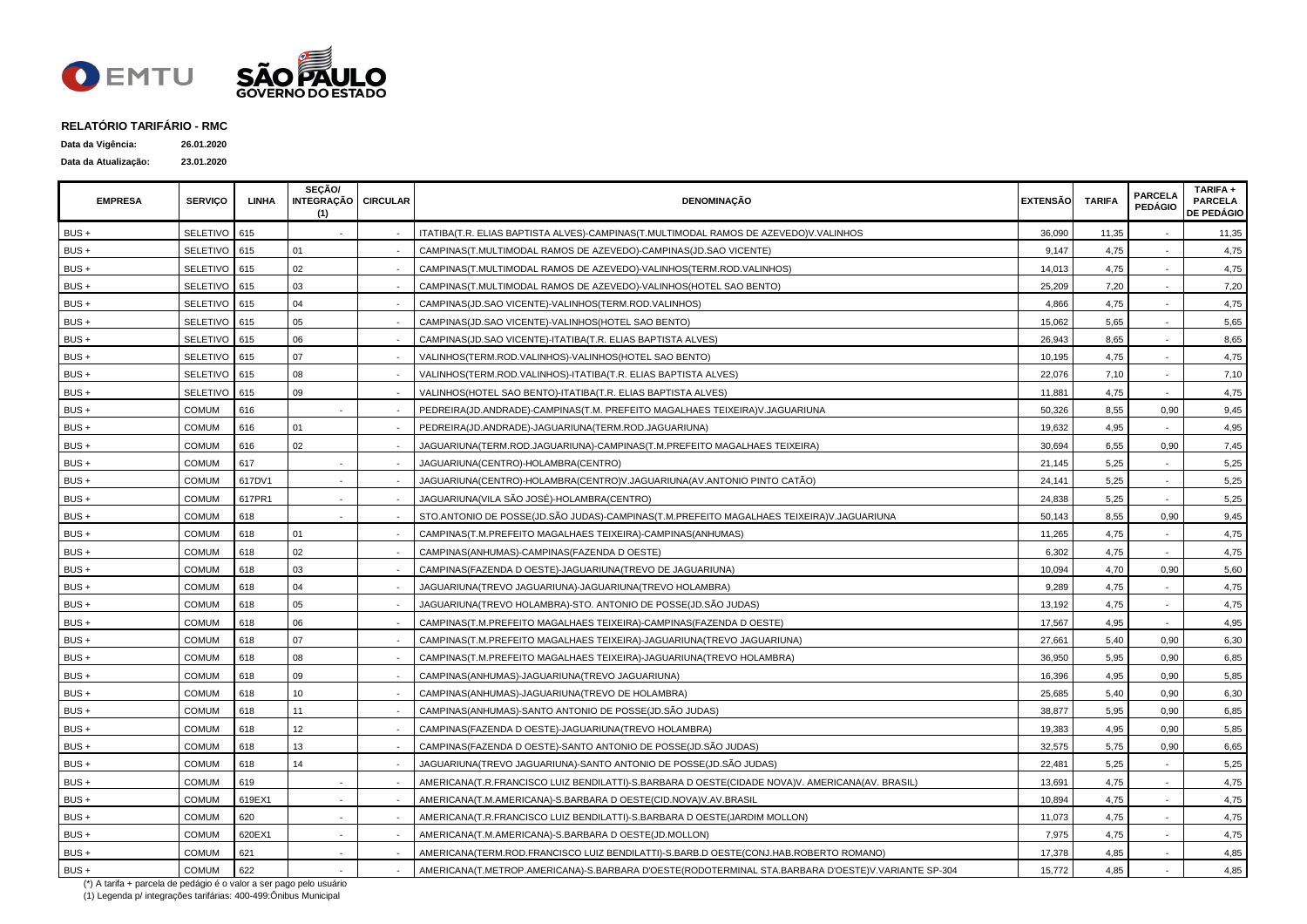

| Data da Vigência:    | 26.01.2020 |
|----------------------|------------|
| Data da Atualização: | 23.01.2020 |

| <b>EMPRESA</b> | <b>SERVICO</b>  | LINHA  | SECÃO/<br>INTEGRAÇÃO CIRCULAR<br>(1) | <b>DENOMINAÇÃO</b>                                                                                 | <b>EXTENSÃO</b> | <b>TARIFA</b> | <b>PARCELA</b><br><b>PEDÁGIO</b> | TARIFA +<br><b>PARCELA</b><br><b>DE PEDÁGIO</b> |
|----------------|-----------------|--------|--------------------------------------|----------------------------------------------------------------------------------------------------|-----------------|---------------|----------------------------------|-------------------------------------------------|
| $BUS +$        | <b>SELETIVO</b> | 615    |                                      | ITATIBA(T.R. ELIAS BAPTISTA ALVES)-CAMPINAS(T.MULTIMODAL RAMOS DE AZEVEDO)V.VALINHOS               | 36,090          | 11,35         |                                  | 11,35                                           |
| BUS+           | <b>SELETIVO</b> | 615    | 01                                   | CAMPINAS(T.MULTIMODAL RAMOS DE AZEVEDO)-CAMPINAS(JD.SAO VICENTE)                                   | 9,147           | 4,75          |                                  | 4,75                                            |
| BUS+           | SELETIVO        | 615    | 02                                   | CAMPINAS(T.MULTIMODAL RAMOS DE AZEVEDO)-VALINHOS(TERM.ROD.VALINHOS)                                | 14,013          | 4,75          |                                  | 4,75                                            |
| BUS+           | SELETIVO        | 615    | 03                                   | CAMPINAS(T.MULTIMODAL RAMOS DE AZEVEDO)-VALINHOS(HOTEL SAO BENTO)                                  | 25,209          | 7,20          |                                  | 7,20                                            |
| BUS +          | SELETIVO        | 615    | 04                                   | CAMPINAS(JD.SAO VICENTE)-VALINHOS(TERM.ROD.VALINHOS)                                               | 4,866           | 4,75          |                                  | 4,75                                            |
| BUS +          | <b>SELETIVO</b> | 615    | 05                                   | CAMPINAS(JD.SAO VICENTE)-VALINHOS(HOTEL SAO BENTO)                                                 | 15,062          | 5,65          |                                  | 5,65                                            |
| BUS +          | SELETIVO 615    |        | 06                                   | CAMPINAS(JD.SAO VICENTE)-ITATIBA(T.R. ELIAS BAPTISTA ALVES)                                        | 26,943          | 8,65          |                                  | 8,65                                            |
| BUS+           | SELETIVO 615    |        | 07                                   | VALINHOS(TERM.ROD.VALINHOS)-VALINHOS(HOTEL SAO BENTO)                                              | 10,195          | 4,75          |                                  | 4,75                                            |
| BUS+           | SELETIVO 615    |        | 08                                   | VALINHOS(TERM.ROD.VALINHOS)-ITATIBA(T.R. ELIAS BAPTISTA ALVES)                                     | 22,076          | 7,10          |                                  | 7,10                                            |
| BUS+           | SELETIVO        | 615    | 09                                   | VALINHOS(HOTEL SAO BENTO)-ITATIBA(T.R. ELIAS BAPTISTA ALVES)                                       | 11,881          | 4,75          |                                  | 4,75                                            |
| BUS+           | <b>COMUM</b>    | 616    | $\sim$                               | PEDREIRA(JD.ANDRADE)-CAMPINAS(T.M. PREFEITO MAGALHAES TEIXEIRA)V.JAGUARIUNA                        | 50,326          | 8,55          | 0,90                             | 9,45                                            |
| BUS+           | <b>COMUM</b>    | 616    | 01                                   | PEDREIRA(JD.ANDRADE)-JAGUARIUNA(TERM.ROD.JAGUARIUNA)                                               | 19,632          | 4,95          |                                  | 4,95                                            |
| BUS+           | <b>COMUM</b>    | 616    | 02                                   | JAGUARIUNA(TERM.ROD.JAGUARIUNA)-CAMPINAS(T.M.PREFEITO MAGALHAES TEIXEIRA)                          | 30,694          | 6,55          | 0,90                             | 7,45                                            |
| BUS+           | <b>COMUM</b>    | 617    |                                      | JAGUARIUNA(CENTRO)-HOLAMBRA(CENTRO)                                                                | 21,145          | 5,25          |                                  | 5,25                                            |
| $BUS +$        | <b>COMUM</b>    | 617DV1 |                                      | JAGUARIUNA(CENTRO)-HOLAMBRA(CENTRO)V.JAGUARIUNA(AV.ANTONIO PINTO CATÃO)                            | 24,141          | 5,25          |                                  | 5,25                                            |
| BUS+           | <b>COMUM</b>    | 617PR1 |                                      | JAGUARIUNA(VILA SÃO JOSÉ)-HOLAMBRA(CENTRO)                                                         | 24,838          | 5,25          |                                  | 5,25                                            |
| BUS+           | <b>COMUM</b>    | 618    |                                      | STO.ANTONIO DE POSSE(JD.SÃO JUDAS)-CAMPINAS(T.M.PREFEITO MAGALHAES TEIXEIRA)V.JAGUARIUNA           | 50.143          | 8,55          | 0.90                             | 9,45                                            |
| BUS +          | <b>COMUM</b>    | 618    | 01                                   | CAMPINAS(T.M.PREFEITO MAGALHAES TEIXEIRA)-CAMPINAS(ANHUMAS)                                        | 11,265          | 4,75          |                                  | 4,75                                            |
| BUS +          | <b>COMUM</b>    | 618    | 02                                   | CAMPINAS(ANHUMAS)-CAMPINAS(FAZENDA D OESTE)                                                        | 6,302           | 4,75          |                                  | 4,75                                            |
| BUS +          | <b>COMUM</b>    | 618    | 03                                   | CAMPINAS(FAZENDA D OESTE)-JAGUARIUNA(TREVO DE JAGUARIUNA)                                          | 10,094          | 4,70          | 0,90                             | 5,60                                            |
| BUS +          | <b>COMUM</b>    | 618    | 04                                   | JAGUARIUNA(TREVO JAGUARIUNA)-JAGUARIUNA(TREVO HOLAMBRA)                                            | 9,289           | 4,75          |                                  | 4,75                                            |
| BUS+           | <b>COMUM</b>    | 618    | 05                                   | JAGUARIUNA(TREVO HOLAMBRA)-STO. ANTONIO DE POSSE(JD.SÃO JUDAS)                                     | 13,192          | 4,75          |                                  | 4,75                                            |
| $BUS +$        | COMUM           | 618    | 06                                   | CAMPINAS(T.M.PREFEITO MAGALHAES TEIXEIRA)-CAMPINAS(FAZENDA D OESTE)                                | 17,567          | 4,95          | $\sim$                           | 4,95                                            |
| BUS +          | COMUM           | 618    | 07                                   | CAMPINAS(T.M.PREFEITO MAGALHAES TEIXEIRA)-JAGUARIUNA(TREVO JAGUARIUNA)                             | 27,661          | 5,40          | 0.90                             | 6,30                                            |
| BUS +          | <b>COMUM</b>    | 618    | 08                                   | CAMPINAS(T.M.PREFEITO MAGALHAES TEIXEIRA)-JAGUARIUNA(TREVO HOLAMBRA)                               | 36,950          | 5,95          | 0,90                             | 6,85                                            |
| BUS +          | <b>COMUM</b>    | 618    | 09                                   | CAMPINAS(ANHUMAS)-JAGUARIUNA(TREVO JAGUARIUNA)                                                     | 16,396          | 4,95          | 0,90                             | 5,85                                            |
| BUS +          | <b>COMUM</b>    | 618    | 10                                   | CAMPINAS(ANHUMAS)-JAGUARIUNA(TREVO DE HOLAMBRA)                                                    | 25,685          | 5,40          | 0,90                             | 6,30                                            |
| BUS +          | <b>COMUM</b>    | 618    | 11                                   | CAMPINAS(ANHUMAS)-SANTO ANTONIO DE POSSE(JD.SÃO JUDAS)                                             | 38,877          | 5,95          | 0,90                             | 6,85                                            |
| BUS +          | <b>COMUM</b>    | 618    | 12                                   | CAMPINAS(FAZENDA D OESTE)-JAGUARIUNA(TREVO HOLAMBRA)                                               | 19,383          | 4,95          | 0,90                             | 5,85                                            |
| BUS +          | <b>COMUM</b>    | 618    | 13                                   | CAMPINAS(FAZENDA D OESTE)-SANTO ANTONIO DE POSSE(JD.SÃO JUDAS)                                     | 32,575          | 5,75          | 0.90                             | 6,65                                            |
| BUS +          | <b>COMUM</b>    | 618    | 14                                   | JAGUARIUNA(TREVO JAGUARIUNA)-SANTO ANTONIO DE POSSE(JD.SÃO JUDAS)                                  | 22,481          | 5,25          |                                  | 5,25                                            |
| BUS +          | COMUM           | 619    |                                      | AMERICANA(T.R.FRANCISCO LUIZ BENDILATTI)-S.BARBARA D OESTE(CIDADE NOVA)V. AMERICANA(AV. BRASIL)    | 13,691          | 4,75          |                                  | 4,75                                            |
| BUS+           | <b>COMUM</b>    | 619EX1 | $\sim$                               | AMERICANA(T.M.AMERICANA)-S.BARBARA D OESTE(CID.NOVA)V.AV.BRASIL                                    | 10,894          | 4,75          | $\sim$                           | 4,75                                            |
| BUS+           | COMUM           | 620    |                                      | AMERICANA(T.R.FRANCISCO LUIZ BENDILATTI)-S.BARBARA D OESTE(JARDIM MOLLON)                          | 11,073          | 4,75          |                                  | 4,75                                            |
| BUS+           | <b>COMUM</b>    | 620EX1 |                                      | AMERICANA(T.M.AMERICANA)-S.BARBARA D OESTE(JD.MOLLON)                                              | 7,975           | 4,75          |                                  | 4,75                                            |
| BUS +          | <b>COMUM</b>    | 621    |                                      | AMERICANA(TERM.ROD.FRANCISCO LUIZ BENDILATTI)-S.BARB.D OESTE(CONJ.HAB.ROBERTO ROMANO)              | 17,378          | 4,85          |                                  | 4,85                                            |
| BUS +          | <b>COMUM</b>    | 622    |                                      | AMERICANA(T.METROP.AMERICANA)-S.BARBARA D'OESTE(RODOTERMINAL STA.BARBARA D'OESTE)V.VARIANTE SP-304 | 15,772          | 4,85          |                                  | 4,85                                            |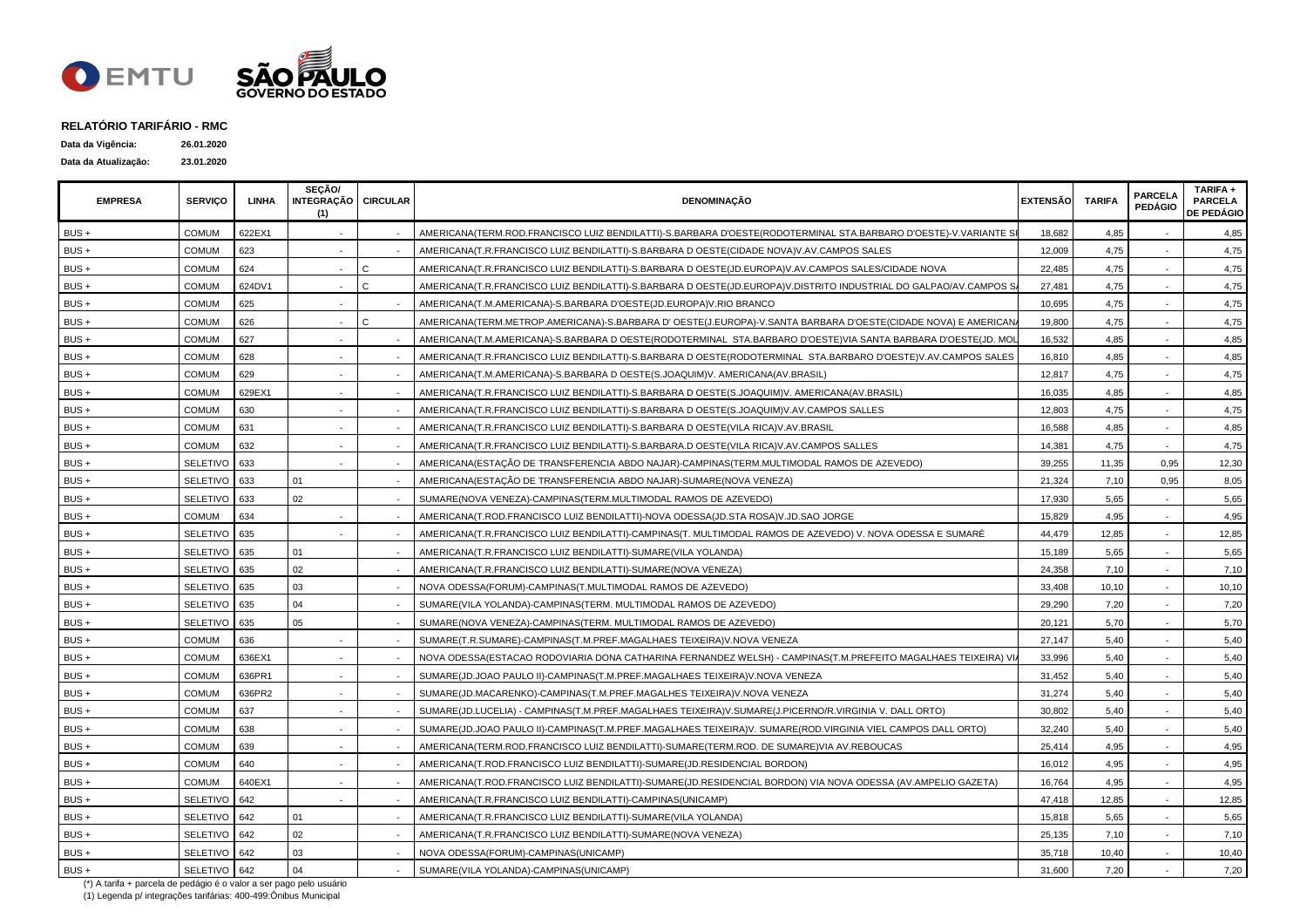

| Data da Vigência:    | 26.01.2020 |
|----------------------|------------|
| Data da Atualização: | 23.01.2020 |

| <b>EMPRESA</b> | <b>SERVICO</b>  | LINHA  | SECÃO/<br>INTEGRAÇÃO CIRCULAR<br>(1) |              | <b>DENOMINAÇÃO</b>                                                                                               | <b>EXTENSÃO</b> | <b>TARIFA</b> | <b>PARCELA</b><br><b>PEDÁGIO</b> | TARIFA +<br><b>PARCELA</b><br><b>DE PEDÁGIO</b> |
|----------------|-----------------|--------|--------------------------------------|--------------|------------------------------------------------------------------------------------------------------------------|-----------------|---------------|----------------------------------|-------------------------------------------------|
| BUS +          | COMUM           | 622EX1 |                                      |              | AMERICANA(TERM.ROD.FRANCISCO LUIZ BENDILATTI)-S.BARBARA D'OESTE(RODOTERMINAL STA.BARBARO D'OESTE)-V.VARIANTE S   | 18,682          | 4,85          |                                  | 4,85                                            |
| BUS +          | <b>COMUM</b>    | 623    |                                      |              | AMERICANA(T.R.FRANCISCO LUIZ BENDILATTI)-S.BARBARA D OESTE(CIDADE NOVA)V.AV.CAMPOS SALES                         | 12.009          | 4,75          |                                  | 4.75                                            |
| BUS +          | <b>COMUM</b>    | 624    |                                      | C            | AMERICANA(T.R.FRANCISCO LUIZ BENDILATTI)-S.BARBARA D OESTE(JD.EUROPA)V.AV.CAMPOS SALES/CIDADE NOVA               | 22,485          | 4,75          |                                  | 4,75                                            |
| BUS +          | COMUM           | 624DV1 |                                      | $\Omega$     | AMERICANA(T.R.FRANCISCO LUIZ BENDILATTI)-S.BARBARA D OESTE(JD.EUROPA)V.DISTRITO INDUSTRIAL DO GALPAO/AV.CAMPOS S | 27.481          | 4,75          |                                  | 4,75                                            |
| BUS +          | COMUM           | 625    |                                      |              | AMERICANA(T.M.AMERICANA)-S.BARBARA D'OESTE(JD.EUROPA)V.RIO BRANCO                                                | 10,695          | 4,75          |                                  | 4,75                                            |
| BUS +          | COMUM           | 626    |                                      | $\mathsf{C}$ | AMERICANA(TERM.METROP.AMERICANA)-S.BARBARA D' OESTE(J.EUROPA)-V.SANTA BARBARA D'OESTE(CIDADE NOVA) E AMERICAN.   | 19,800          | 4,75          |                                  | 4,75                                            |
| BUS +          | COMUM           | 627    |                                      |              | AMERICANA(T.M.AMERICANA)-S.BARBARA D OESTE(RODOTERMINAL STA.BARBARO D'OESTE)VIA SANTA BARBARA D'OESTE(JD. MOL    | 16,532          | 4,85          |                                  | 4,85                                            |
| BUS +          | <b>COMUM</b>    | 628    |                                      |              | AMERICANA(T.R.FRANCISCO LUIZ BENDILATTI)-S.BARBARA D OESTE(RODOTERMINAL STA.BARBARO D'OESTE)V.AV.CAMPOS SALES    | 16,810          | 4,85          |                                  | 4,85                                            |
| BUS +          | <b>COMUM</b>    | 629    |                                      |              | AMERICANA(T.M.AMERICANA)-S.BARBARA D OESTE(S.JOAQUIM)V. AMERICANA(AV.BRASIL)                                     | 12,817          | 4,75          |                                  | 4,75                                            |
| BUS +          | <b>COMUM</b>    | 629EX1 |                                      |              | AMERICANA(T.R.FRANCISCO LUIZ BENDILATTI)-S.BARBARA D OESTE(S.JOAQUIM)V. AMERICANA(AV.BRASIL)                     | 16,035          | 4,85          |                                  | 4,85                                            |
| BUS +          | COMUM           | 630    |                                      |              | AMERICANA(T.R.FRANCISCO LUIZ BENDILATTI)-S.BARBARA D OESTE(S.JOAQUIM)V.AV.CAMPOS SALLES                          | 12,803          | 4,75          |                                  | 4,75                                            |
| BUS +          | COMUM           | 631    |                                      |              | AMERICANA(T.R.FRANCISCO LUIZ BENDILATTI)-S.BARBARA D OESTE(VILA RICA)V.AV.BRASIL                                 | 16,588          | 4,85          |                                  | 4,85                                            |
| BUS +          | <b>COMUM</b>    | 632    |                                      |              | AMERICANA(T.R.FRANCISCO LUIZ BENDILATTI)-S.BARBARA.D OESTE(VILA RICA)V.AV.CAMPOS SALLES                          | 14,381          | 4,75          |                                  | 4,75                                            |
| BUS +          | <b>SELETIVO</b> | 633    |                                      |              | AMERICANA(ESTAÇÃO DE TRANSFERENCIA ABDO NAJAR)-CAMPINAS(TERM.MULTIMODAL RAMOS DE AZEVEDO)                        | 39,255          | 11,35         | 0,95                             | 12,30                                           |
| BUS +          | SELETIVO        | 633    | 01                                   |              | AMERICANA(ESTAÇÃO DE TRANSFERENCIA ABDO NAJAR)-SUMARE(NOVA VENEZA)                                               | 21,324          | 7,10          | 0,95                             | 8,05                                            |
| BUS +          | SELETIVO 633    |        | 02                                   |              | SUMARE(NOVA VENEZA)-CAMPINAS(TERM.MULTIMODAL RAMOS DE AZEVEDO)                                                   | 17,930          | 5,65          |                                  | 5,65                                            |
| BUS+           | <b>COMUM</b>    | 634    |                                      |              | AMERICANA(T.ROD.FRANCISCO LUIZ BENDILATTI)-NOVA ODESSA(JD.STA ROSA)V.JD.SAO JORGE                                | 15,829          | 4,95          |                                  | 4,95                                            |
| BUS +          | SELETIVO 635    |        |                                      |              | AMERICANA(T.R.FRANCISCO LUIZ BENDILATTI)-CAMPINAS(T. MULTIMODAL RAMOS DE AZEVEDO) V. NOVA ODESSA E SUMARÉ        | 44,479          | 12,85         | $\sim$                           | 12,85                                           |
| BUS +          | SELETIVO 635    |        | 01                                   |              | AMERICANA(T.R.FRANCISCO LUIZ BENDILATTI)-SUMARE(VILA YOLANDA)                                                    | 15,189          | 5,65          |                                  | 5,65                                            |
| BUS +          | SELETIVO        | 635    | 02                                   |              | AMERICANA(T.R.FRANCISCO LUIZ BENDILATTI)-SUMARE(NOVA VENEZA)                                                     | 24,358          | 7,10          |                                  | 7,10                                            |
| $BUS +$        | SELETIVO        | 635    | 03                                   |              | NOVA ODESSA(FORUM)-CAMPINAS(T.MULTIMODAL RAMOS DE AZEVEDO)                                                       | 33,408          | 10,10         |                                  | 10,10                                           |
| BUS +          | SELETIVO        | 635    | 04                                   |              | SUMARE(VILA YOLANDA)-CAMPINAS(TERM. MULTIMODAL RAMOS DE AZEVEDO)                                                 | 29,290          | 7,20          |                                  | 7,20                                            |
| $BUS +$        | SELETIVO        | 635    | 05                                   |              | SUMARE(NOVA VENEZA)-CAMPINAS(TERM. MULTIMODAL RAMOS DE AZEVEDO)                                                  | 20,121          | 5,70          |                                  | 5,70                                            |
| BUS +          | <b>COMUM</b>    | 636    |                                      |              | SUMARE(T.R.SUMARE)-CAMPINAS(T.M.PREF.MAGALHAES TEIXEIRA)V.NOVA VENEZA                                            | 27,147          | 5,40          |                                  | 5,40                                            |
| BUS +          | <b>COMUM</b>    | 636EX1 |                                      |              | NOVA ODESSA(ESTACAO RODOVIARIA DONA CATHARINA FERNANDEZ WELSH) - CAMPINAS(T.M.PREFEITO MAGALHAES TEIXEIRA) VI.   | 33,996          | 5.40          |                                  | 5,40                                            |
| BUS +          | COMUM           | 636PR1 |                                      |              | SUMARE(JD.JOAO PAULO II)-CAMPINAS(T.M.PREF.MAGALHAES TEIXEIRA)V.NOVA VENEZA                                      | 31,452          | 5,40          |                                  | 5,40                                            |
| BUS +          | COMUM           | 636PR2 |                                      |              | SUMARE(JD.MACARENKO)-CAMPINAS(T.M.PREF.MAGALHES TEIXEIRA)V.NOVA VENEZA                                           | 31,274          | 5,40          |                                  | 5,40                                            |
| BUS +          | <b>COMUM</b>    | 637    |                                      |              | SUMARE(JD.LUCELIA) - CAMPINAS(T.M.PREF.MAGALHAES TEIXEIRA)V.SUMARE(J.PICERNO/R.VIRGINIA V. DALL ORTO)            | 30,802          | 5,40          |                                  | 5,40                                            |
| BUS +          | <b>COMUM</b>    | 638    |                                      |              | SUMARE(JD.JOAO PAULO II)-CAMPINAS(T.M.PREF.MAGALHAES TEIXEIRA)V. SUMARE(ROD.VIRGINIA VIEL CAMPOS DALL ORTO)      | 32,240          | 5,40          |                                  | 5,40                                            |
| BUS +          | <b>COMUM</b>    | 639    |                                      |              | AMERICANA(TERM.ROD.FRANCISCO LUIZ BENDILATTI)-SUMARE(TERM.ROD. DE SUMARE)VIA AV.REBOUCAS                         | 25,414          | 4,95          |                                  | 4,95                                            |
| BUS +          | <b>COMUM</b>    | 640    |                                      |              | AMERICANA(T.ROD.FRANCISCO LUIZ BENDILATTI)-SUMARE(JD.RESIDENCIAL BORDON)                                         | 16,012          | 4,95          |                                  | 4,95                                            |
| BUS +          | COMUM           | 640EX1 |                                      |              | AMERICANA(T.ROD.FRANCISCO LUIZ BENDILATTI)-SUMARE(JD.RESIDENCIAL BORDON) VIA NOVA ODESSA (AV.AMPELIO GAZETA)     | 16,764          | 4,95          |                                  | 4,95                                            |
| BUS +          | SELETIVO        | 642    |                                      |              | AMERICANA(T.R.FRANCISCO LUIZ BENDILATTI)-CAMPINAS(UNICAMP)                                                       | 47,418          | 12,85         |                                  | 12,85                                           |
| BUS +          | <b>SELETIVO</b> | 642    | 01                                   |              | AMERICANA(T.R.FRANCISCO LUIZ BENDILATTI)-SUMARE(VILA YOLANDA)                                                    | 15,818          | 5,65          |                                  | 5,65                                            |
| BUS +          | <b>SELETIVO</b> | 642    | 02                                   |              | AMERICANA(T.R.FRANCISCO LUIZ BENDILATTI)-SUMARE(NOVA VENEZA)                                                     | 25,135          | 7,10          |                                  | 7,10                                            |
| BUS +          | <b>SELETIVO</b> | 642    | 03                                   |              | NOVA ODESSA(FORUM)-CAMPINAS(UNICAMP)                                                                             | 35,718          | 10,40         |                                  | 10,40                                           |
| BUS +          | SELETIVO 642    |        | 04                                   |              | SUMARE(VILA YOLANDA)-CAMPINAS(UNICAMP)                                                                           | 31,600          | 7,20          |                                  | 7,20                                            |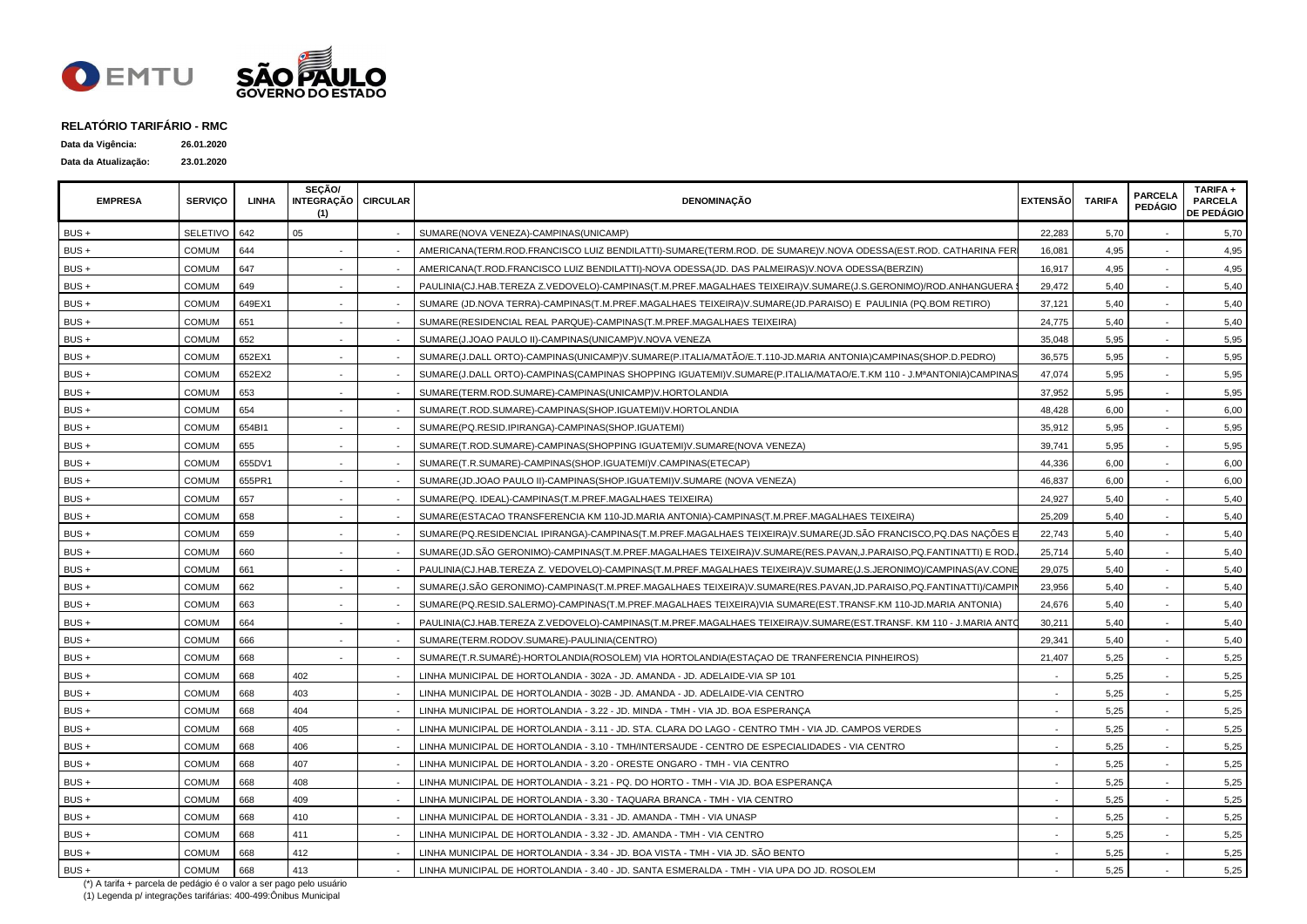

| Data da Vigência:    | 26.01.2020 |
|----------------------|------------|
| Data da Atualização: | 23.01.2020 |

| <b>EMPRESA</b> | <b>SERVICO</b> | LINHA  | SEÇÃO/<br>INTEGRAÇÃO   CIRCULAR<br>(1) | <b>DENOMINAÇÃO</b>                                                                                                 | <b>EXTENSÃO</b> | <b>TARIFA</b> | <b>PARCELA</b><br><b>PEDÁGIO</b> | TARIFA +<br><b>PARCELA</b><br><b>DE PEDÁGIO</b> |
|----------------|----------------|--------|----------------------------------------|--------------------------------------------------------------------------------------------------------------------|-----------------|---------------|----------------------------------|-------------------------------------------------|
| BUS +          | SELETIVO       | 642    | 05                                     | SUMARE(NOVA VENEZA)-CAMPINAS(UNICAMP)                                                                              | 22,283          | 5,70          |                                  | 5,70                                            |
| BUS +          | COMUM          | 644    |                                        | AMERICANA(TERM.ROD.FRANCISCO LUIZ BENDILATTI)-SUMARE(TERM.ROD. DE SUMARE)V.NOVA ODESSA(EST.ROD. CATHARINA FER      | 16,081          | 4,95          |                                  | 4,95                                            |
| BUS +          | COMUM          | 647    |                                        | AMERICANA(T.ROD.FRANCISCO LUIZ BENDILATTI)-NOVA ODESSA(JD. DAS PALMEIRAS)V.NOVA ODESSA(BERZIN)                     | 16,917          | 4,95          |                                  | 4,95                                            |
| BUS +          | COMUM          | 649    |                                        | PAULINIA(CJ.HAB.TEREZA Z.VEDOVELO)-CAMPINAS(T.M.PREF.MAGALHAES TEIXEIRA)V.SUMARE(J.S.GERONIMO)/ROD.ANHANGUERA      | 29,472          | 5,40          |                                  | 5,40                                            |
| BUS +          | <b>COMUM</b>   | 649EX1 |                                        | SUMARE (JD.NOVA TERRA)-CAMPINAS(T.M.PREF.MAGALHAES TEIXEIRA)V.SUMARE(JD.PARAISO) E PAULINIA (PQ.BOM RETIRO)        | 37,121          | 5,40          |                                  | 5,40                                            |
| BUS +          | <b>COMUM</b>   | 651    |                                        | SUMARE(RESIDENCIAL REAL PARQUE)-CAMPINAS(T.M.PREF.MAGALHAES TEIXEIRA)                                              | 24,775          | 5,40          |                                  | 5,40                                            |
| BUS +          | <b>COMUM</b>   | 652    |                                        | SUMARE(J.JOAO PAULO II)-CAMPINAS(UNICAMP)V.NOVA VENEZA                                                             | 35,048          | 5,95          |                                  | 5,95                                            |
| BUS +          | <b>COMUM</b>   | 652EX1 |                                        | SUMARE(J.DALL ORTO)-CAMPINAS(UNICAMP)V.SUMARE(P.ITALIA/MATÃO/E.T.110-JD.MARIA ANTONIA)CAMPINAS(SHOP.D.PEDRO)       | 36,575          | 5,95          |                                  | 5,95                                            |
| BUS +          | <b>COMUM</b>   | 652EX2 |                                        | SUMARE(J.DALL ORTO)-CAMPINAS(CAMPINAS SHOPPING IGUATEMI)V.SUMARE(P.ITALIA/MATAO/E.T.KM 110 - J.MªANTONIA)CAMPINAS  | 47,074          | 5,95          |                                  | 5,95                                            |
| BUS +          | <b>COMUM</b>   | 653    |                                        | SUMARE(TERM.ROD.SUMARE)-CAMPINAS(UNICAMP)V.HORTOLANDIA                                                             | 37,952          | 5,95          | $\overline{\phantom{a}}$         | 5,95                                            |
| BUS +          | COMUM          | 654    |                                        | SUMARE(T.ROD.SUMARE)-CAMPINAS(SHOP.IGUATEMI)V.HORTOLANDIA                                                          | 48,428          | 6,00          |                                  | 6,00                                            |
| BUS +          | COMUM          | 654BI1 |                                        | SUMARE(PQ.RESID.IPIRANGA)-CAMPINAS(SHOP.IGUATEMI)                                                                  | 35,912          | 5,95          |                                  | 5,95                                            |
| BUS +          | <b>COMUM</b>   | 655    |                                        | SUMARE(T.ROD.SUMARE)-CAMPINAS(SHOPPING IGUATEMI)V.SUMARE(NOVA VENEZA)                                              | 39,741          | 5,95          |                                  | 5,95                                            |
| BUS +          | <b>COMUM</b>   | 655DV1 |                                        | SUMARE(T.R.SUMARE)-CAMPINAS(SHOP.IGUATEMI)V.CAMPINAS(ETECAP)                                                       | 44,336          | 6,00          |                                  | 6,00                                            |
| $BUS +$        | <b>COMUM</b>   | 655PR1 |                                        | SUMARE(JD.JOAO PAULO II)-CAMPINAS(SHOP.IGUATEMI)V.SUMARE (NOVA VENEZA)                                             | 46,837          | 6,00          |                                  | 6,00                                            |
| BUS +          | COMUM          | 657    |                                        | SUMARE(PQ. IDEAL)-CAMPINAS(T.M.PREF.MAGALHAES TEIXEIRA)                                                            | 24,927          | 5,40          |                                  | 5,40                                            |
| BUS +          | <b>COMUM</b>   | 658    |                                        | SUMARE(ESTACAO TRANSFERENCIA KM 110-JD.MARIA ANTONIA)-CAMPINAS(T.M.PREF.MAGALHAES TEIXEIRA)                        | 25,209          | 5,40          |                                  | 5,40                                            |
| BUS +          | <b>COMUM</b>   | 659    |                                        | SUMARE(PQ.RESIDENCIAL IPIRANGA)-CAMPINAS(T.M.PREF.MAGALHAES TEIXEIRA)V.SUMARE(JD.SÃO FRANCISCO,PQ.DAS NAÇÕES E     | 22,743          | 5,40          |                                  | 5,40                                            |
| BUS +          | <b>COMUM</b>   | 660    |                                        | SUMARE(JD.SÃO GERONIMO)-CAMPINAS(T.M.PREF.MAGALHAES TEIXEIRA)V.SUMARE(RES.PAVAN,J.PARAISO,PQ.FANTINATTI) E ROD     | 25,714          | 5,40          |                                  | 5,40                                            |
| BUS +          | <b>COMUM</b>   | 661    |                                        | PAULINIA(CJ.HAB.TEREZA Z. VEDOVELO)-CAMPINAS(T.M.PREF.MAGALHAES TEIXEIRA)V.SUMARE(J.S.JERONIMO)/CAMPINAS(AV.CONE   | 29,075          | 5,40          |                                  | 5,40                                            |
| BUS +          | COMUM          | 662    |                                        | SUMARE(J.SÃO GERONIMO)-CAMPINAS(T.M.PREF.MAGALHAES TEIXEIRA)V.SUMARE(RES.PAVAN,JD.PARAISO,PQ.FANTINATTI)/CAMPI     | 23,956          | 5,40          |                                  | 5,40                                            |
| BUS +          | COMUM          | 663    |                                        | SUMARE(PQ.RESID.SALERMO)-CAMPINAS(T.M.PREF.MAGALHAES TEIXEIRA)VIA SUMARE(EST.TRANSF.KM 110-JD.MARIA ANTONIA)       | 24,676          | 5,40          |                                  | 5,40                                            |
| BUS +          | <b>COMUM</b>   | 664    |                                        | PAULINIA(CJ.HAB.TEREZA Z.VEDOVELO)-CAMPINAS(T.M.PREF.MAGALHAES TEIXEIRA)V.SUMARE(EST.TRANSF. KM 110 - J.MARIA ANTC | 30,211          | 5,40          |                                  | 5,40                                            |
| BUS +          | COMUM          | 666    |                                        | SUMARE(TERM.RODOV.SUMARE)-PAULINIA(CENTRO)                                                                         | 29,341          | 5,40          |                                  | 5,40                                            |
| BUS +          | COMUM          | 668    |                                        | SUMARE(T.R.SUMARÉ)-HORTOLANDIA(ROSOLEM) VIA HORTOLANDIA(ESTAÇÃO DE TRANFERENCIA PINHEIROS)                         | 21,407          | 5,25          |                                  | 5,25                                            |
| $BUS +$        | <b>COMUM</b>   | 668    | 402                                    | LINHA MUNICIPAL DE HORTOLANDIA - 302A - JD. AMANDA - JD. ADELAIDE-VIA SP 101                                       |                 | 5,25          |                                  | 5,25                                            |
| BUS +          | <b>COMUM</b>   | 668    | 403                                    | LINHA MUNICIPAL DE HORTOLANDIA - 302B - JD. AMANDA - JD. ADELAIDE-VIA CENTRO                                       |                 | 5,25          |                                  | 5,25                                            |
| BUS +          | <b>COMUM</b>   | 668    | 404                                    | LINHA MUNICIPAL DE HORTOLANDIA - 3.22 - JD. MINDA - TMH - VIA JD. BOA ESPERANÇA                                    |                 | 5,25          |                                  | 5,25                                            |
| BUS +          | COMUM          | 668    | 405                                    | LINHA MUNICIPAL DE HORTOLANDIA - 3.11 - JD. STA. CLARA DO LAGO - CENTRO TMH - VIA JD. CAMPOS VERDES                |                 | 5,25          |                                  | 5,25                                            |
| $BUS +$        | <b>COMUM</b>   | 668    | 406                                    | LINHA MUNICIPAL DE HORTOLANDIA - 3.10 - TMH/INTERSAUDE - CENTRO DE ESPECIALIDADES - VIA CENTRO                     |                 | 5,25          |                                  | 5,25                                            |
| BUS +          | COMUM          | 668    | 407                                    | LINHA MUNICIPAL DE HORTOLANDIA - 3.20 - ORESTE ONGARO - TMH - VIA CENTRO                                           |                 | 5,25          |                                  | 5,25                                            |
| BUS +          | COMUM          | 668    | 408                                    | LINHA MUNICIPAL DE HORTOLANDIA - 3.21 - PQ. DO HORTO - TMH - VIA JD. BOA ESPERANÇA                                 |                 | 5,25          |                                  | 5,25                                            |
| BUS +          | <b>COMUM</b>   | 668    | 409                                    | LINHA MUNICIPAL DE HORTOLANDIA - 3.30 - TAQUARA BRANCA - TMH - VIA CENTRO                                          |                 | 5,25          |                                  | 5,25                                            |
| BUS +          | COMUM          | 668    | 410                                    | LINHA MUNICIPAL DE HORTOLANDIA - 3.31 - JD. AMANDA - TMH - VIA UNASP                                               |                 | 5,25          |                                  | 5,25                                            |
| BUS +          | COMUM          | 668    | 411                                    | LINHA MUNICIPAL DE HORTOLANDIA - 3.32 - JD. AMANDA - TMH - VIA CENTRO                                              |                 | 5,25          |                                  | 5,25                                            |
| BUS +          | <b>COMUM</b>   | 668    | 412                                    | LINHA MUNICIPAL DE HORTOLANDIA - 3.34 - JD. BOA VISTA - TMH - VIA JD. SÃO BENTO                                    |                 | 5,25          |                                  | 5,25                                            |
| BUS +          | <b>COMUM</b>   | 668    | 413                                    | LINHA MUNICIPAL DE HORTOLANDIA - 3.40 - JD. SANTA ESMERALDA - TMH - VIA UPA DO JD. ROSOLEM                         |                 | 5,25          |                                  | 5,25                                            |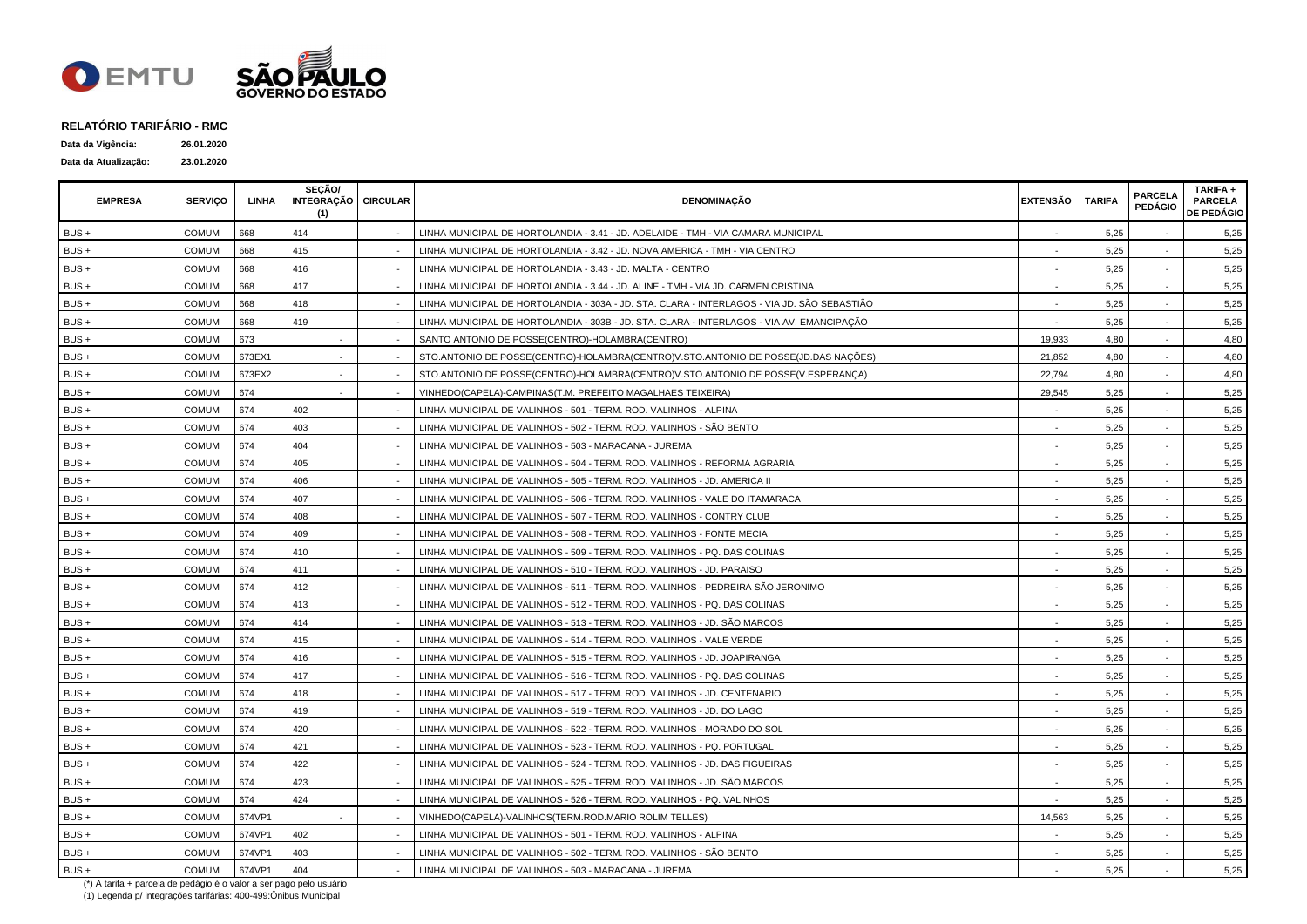

| Data da Vigência:    | 26.01.2020 |
|----------------------|------------|
| Data da Atualização: | 23.01.2020 |

| <b>EMPRESA</b> | <b>SERVICO</b> | <b>LINHA</b> | SECÃO/<br>INTEGRAÇÃO   CIRCULAR<br>(1) | <b>DENOMINACÃO</b>                                                                          | <b>EXTENSÃO</b> | <b>TARIFA</b> | <b>PARCELA</b><br><b>PEDÁGIO</b> | TARIFA +<br><b>PARCELA</b><br><b>DE PEDÁGIO</b> |
|----------------|----------------|--------------|----------------------------------------|---------------------------------------------------------------------------------------------|-----------------|---------------|----------------------------------|-------------------------------------------------|
| BUS +          | <b>COMUM</b>   | 668          | 414                                    | LINHA MUNICIPAL DE HORTOLANDIA - 3.41 - JD. ADELAIDE - TMH - VIA CAMARA MUNICIPAL           |                 | 5,25          |                                  | 5,25                                            |
| $BUS +$        | <b>COMUM</b>   | 668          | 415                                    | LINHA MUNICIPAL DE HORTOLANDIA - 3.42 - JD. NOVA AMERICA - TMH - VIA CENTRO                 |                 | 5,25          |                                  | 5,25                                            |
| BUS+           | <b>COMUM</b>   | 668          | 416                                    | LINHA MUNICIPAL DE HORTOLANDIA - 3.43 - JD. MALTA - CENTRO                                  |                 | 5,25          |                                  | 5,25                                            |
| $BUS +$        | <b>COMUM</b>   | 668          | 417                                    | LINHA MUNICIPAL DE HORTOLANDIA - 3.44 - JD. ALINE - TMH - VIA JD. CARMEN CRISTINA           |                 | 5,25          |                                  | 5,25                                            |
| BUS +          | <b>COMUM</b>   | 668          | 418                                    | LINHA MUNICIPAL DE HORTOLANDIA - 303A - JD. STA. CLARA - INTERLAGOS - VIA JD. SÃO SEBASTIÃO |                 | 5,25          |                                  | 5,25                                            |
| BUS+           | <b>COMUM</b>   | 668          | 419                                    | LINHA MUNICIPAL DE HORTOLANDIA - 303B - JD. STA. CLARA - INTERLAGOS - VIA AV. EMANCIPAÇÃO   |                 | 5,25          |                                  | 5,25                                            |
| BUS+           | <b>COMUM</b>   | 673          |                                        | SANTO ANTONIO DE POSSE(CENTRO)-HOLAMBRA(CENTRO)                                             | 19,933          | 4,80          |                                  | 4,80                                            |
| BUS +          | <b>COMUM</b>   | 673EX1       |                                        | STO.ANTONIO DE POSSE(CENTRO)-HOLAMBRA(CENTRO)V.STO.ANTONIO DE POSSE(JD.DAS NAÇÕES)          | 21,852          | 4,80          |                                  | 4,80                                            |
| $BUS +$        | COMUM          | 673EX2       | $\sim$                                 | STO.ANTONIO DE POSSE(CENTRO)-HOLAMBRA(CENTRO)V.STO.ANTONIO DE POSSE(V.ESPERANÇA)            | 22.794          | 4.80          |                                  | 4,80                                            |
| $BUS +$        | <b>COMUM</b>   | 674          |                                        | VINHEDO(CAPELA)-CAMPINAS(T.M. PREFEITO MAGALHAES TEIXEIRA)                                  | 29,545          | 5,25          |                                  | 5,25                                            |
| BUS +          | <b>COMUM</b>   | 674          | 402                                    | LINHA MUNICIPAL DE VALINHOS - 501 - TERM, ROD, VALINHOS - ALPINA                            | $\sim$          | 5,25          |                                  | 5,25                                            |
| $BUS +$        | <b>COMUM</b>   | 674          | 403                                    | LINHA MUNICIPAL DE VALINHOS - 502 - TERM. ROD. VALINHOS - SÃO BENTO                         |                 | 5,25          |                                  | 5,25                                            |
| BUS +          | <b>COMUM</b>   | 674          | 404                                    | LINHA MUNICIPAL DE VALINHOS - 503 - MARACANA - JUREMA                                       |                 | 5,25          |                                  | 5,25                                            |
| BUS +          | <b>COMUM</b>   | 674          | 405                                    | LINHA MUNICIPAL DE VALINHOS - 504 - TERM. ROD. VALINHOS - REFORMA AGRARIA                   |                 | 5,25          |                                  | 5,25                                            |
| BUS +          | <b>COMUM</b>   | 674          | 406                                    | LINHA MUNICIPAL DE VALINHOS - 505 - TERM. ROD. VALINHOS - JD. AMERICA II                    |                 | 5,25          |                                  | 5,25                                            |
| BUS +          | <b>COMUM</b>   | 674          | 407                                    | LINHA MUNICIPAL DE VALINHOS - 506 - TERM. ROD. VALINHOS - VALE DO ITAMARACA                 |                 | 5,25          |                                  | 5,25                                            |
| BUS +          | <b>COMUM</b>   | 674          | 408                                    | LINHA MUNICIPAL DE VALINHOS - 507 - TERM. ROD. VALINHOS - CONTRY CLUB                       |                 | 5,25          |                                  | 5,25                                            |
| BUS +          | <b>COMUM</b>   | 674          | 409                                    | LINHA MUNICIPAL DE VALINHOS - 508 - TERM. ROD. VALINHOS - FONTE MECIA                       |                 | 5,25          |                                  | 5,25                                            |
| BUS +          | <b>COMUM</b>   | 674          | 410                                    | LINHA MUNICIPAL DE VALINHOS - 509 - TERM. ROD. VALINHOS - PQ. DAS COLINAS                   |                 | 5.25          |                                  | 5,25                                            |
| BUS +          | <b>COMUM</b>   | 674          | 411                                    | LINHA MUNICIPAL DE VALINHOS - 510 - TERM. ROD. VALINHOS - JD. PARAISO                       |                 | 5.25          | $\sim$                           | 5,25                                            |
| $BUS +$        | <b>COMUM</b>   | 674          | 412                                    | LINHA MUNICIPAL DE VALINHOS - 511 - TERM. ROD. VALINHOS - PEDREIRA SÃO JERONIMO             |                 | 5,25          |                                  | 5,25                                            |
| BUS +          | <b>COMUM</b>   | 674          | 413                                    | LINHA MUNICIPAL DE VALINHOS - 512 - TERM. ROD. VALINHOS - PQ. DAS COLINAS                   |                 | 5,25          |                                  | 5,25                                            |
| BUS +          | <b>COMUM</b>   | 674          | 414                                    | LINHA MUNICIPAL DE VALINHOS - 513 - TERM. ROD. VALINHOS - JD. SÃO MARCOS                    |                 | 5,25          |                                  | 5,25                                            |
| BUS +          | <b>COMUM</b>   | 674          | 415                                    | LINHA MUNICIPAL DE VALINHOS - 514 - TERM. ROD. VALINHOS - VALE VERDE                        | $\sim$          | 5,25          |                                  | 5,25                                            |
| BUS +          | <b>COMUM</b>   | 674          | 416                                    | LINHA MUNICIPAL DE VALINHOS - 515 - TERM. ROD. VALINHOS - JD. JOAPIRANGA                    |                 | 5,25          |                                  | 5,25                                            |
| BUS +          | <b>COMUM</b>   | 674          | 417                                    | LINHA MUNICIPAL DE VALINHOS - 516 - TERM. ROD. VALINHOS - PQ. DAS COLINAS                   |                 | 5,25          |                                  | 5,25                                            |
| BUS+           | <b>COMUM</b>   | 674          | 418                                    | LINHA MUNICIPAL DE VALINHOS - 517 - TERM. ROD. VALINHOS - JD. CENTENARIO                    |                 | 5,25          |                                  | 5,25                                            |
| BUS +          | <b>COMUM</b>   | 674          | 419                                    | LINHA MUNICIPAL DE VALINHOS - 519 - TERM. ROD. VALINHOS - JD. DO LAGO                       |                 | 5,25          |                                  | 5,25                                            |
| BUS +          | <b>COMUM</b>   | 674          | 420                                    | LINHA MUNICIPAL DE VALINHOS - 522 - TERM. ROD. VALINHOS - MORADO DO SOL                     | $\sim$          | 5,25          |                                  | 5,25                                            |
| BUS +          | <b>COMUM</b>   | 674          | 421                                    | LINHA MUNICIPAL DE VALINHOS - 523 - TERM. ROD. VALINHOS - PQ. PORTUGAL                      |                 | 5,25          |                                  | 5,25                                            |
| BUS +          | <b>COMUM</b>   | 674          | 422                                    | LINHA MUNICIPAL DE VALINHOS - 524 - TERM. ROD. VALINHOS - JD. DAS FIGUEIRAS                 |                 | 5,25          |                                  | 5,25                                            |
| BUS +          | <b>COMUM</b>   | 674          | 423                                    | LINHA MUNICIPAL DE VALINHOS - 525 - TERM. ROD. VALINHOS - JD. SÃO MARCOS                    | $\sim$          | 5,25          | $\sim$                           | 5,25                                            |
| BUS +          | <b>COMUM</b>   | 674          | 424                                    | LINHA MUNICIPAL DE VALINHOS - 526 - TERM. ROD. VALINHOS - PQ. VALINHOS                      |                 | 5,25          |                                  | 5,25                                            |
| BUS +          | <b>COMUM</b>   | 674VP1       |                                        | VINHEDO(CAPELA)-VALINHOS(TERM.ROD.MARIO ROLIM TELLES)                                       | 14,563          | 5,25          |                                  | 5,25                                            |
| BUS +          | <b>COMUM</b>   | 674VP1       | 402                                    | LINHA MUNICIPAL DE VALINHOS - 501 - TERM. ROD. VALINHOS - ALPINA                            |                 | 5,25          |                                  | 5,25                                            |
| BUS +          | <b>COMUM</b>   | 674VP1       | 403                                    | LINHA MUNICIPAL DE VALINHOS - 502 - TERM. ROD. VALINHOS - SÃO BENTO                         |                 | 5,25          |                                  | 5,25                                            |
| BUS +          | <b>COMUM</b>   | 674VP1       | 404                                    | LINHA MUNICIPAL DE VALINHOS - 503 - MARACANA - JUREMA                                       |                 | 5,25          |                                  | 5,25                                            |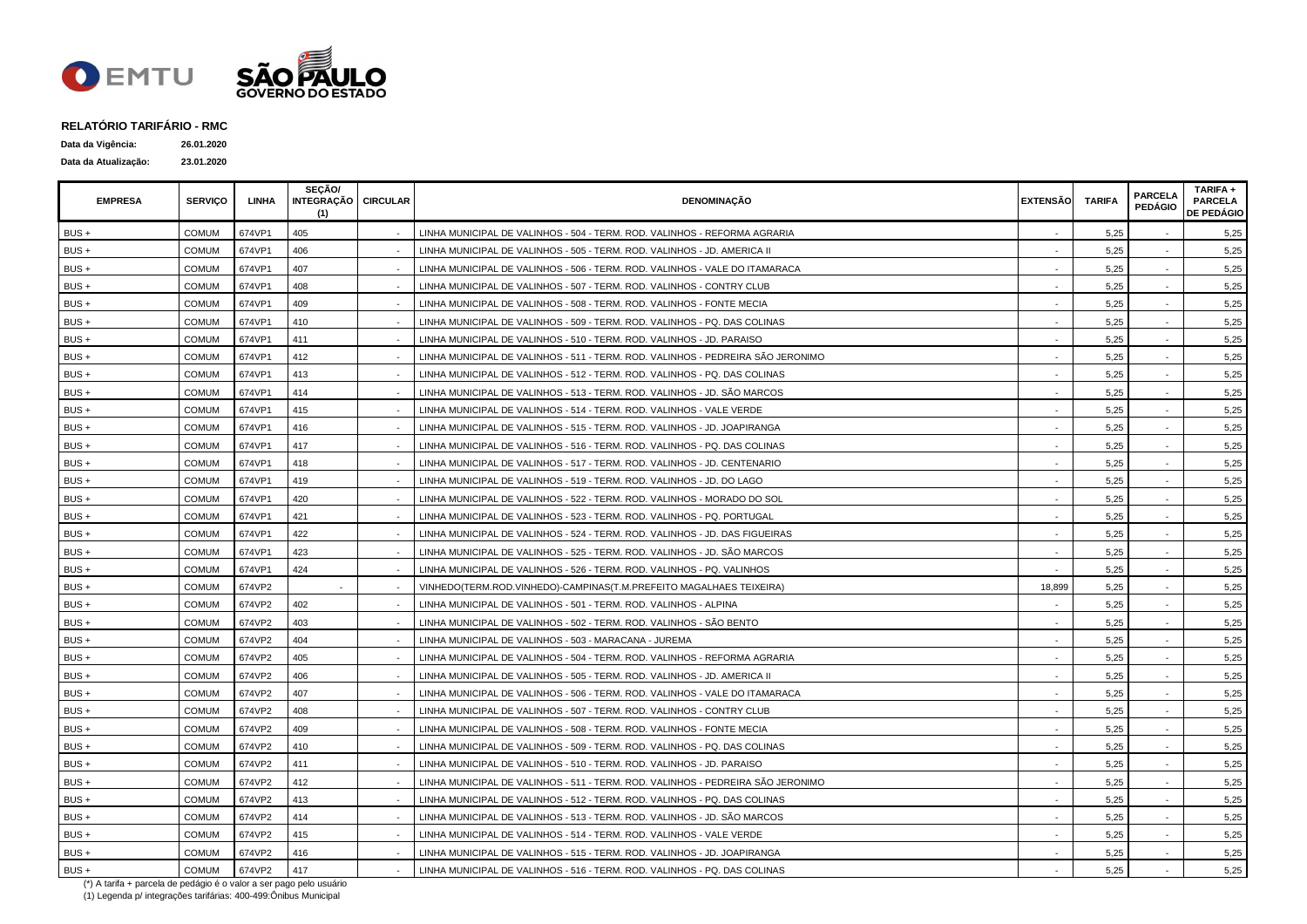

| Data da Vigência:    | 26.01.2020 |
|----------------------|------------|
| Data da Atualização: | 23.01.2020 |

| <b>EMPRESA</b> | <b>SERVICO</b> | LINHA  | SECÃO/<br>INTEGRAÇÃO   CIRCULAR<br>(1) | <b>DENOMINACÃO</b>                                                              | <b>EXTENSÃO</b> | <b>TARIFA</b> | <b>PARCELA</b><br><b>PEDÁGIO</b> | TARIFA +<br><b>PARCELA</b><br><b>DE PEDÁGIO</b> |
|----------------|----------------|--------|----------------------------------------|---------------------------------------------------------------------------------|-----------------|---------------|----------------------------------|-------------------------------------------------|
| BUS +          | <b>COMUM</b>   | 674VP1 | 405                                    | LINHA MUNICIPAL DE VALINHOS - 504 - TERM. ROD. VALINHOS - REFORMA AGRARIA       |                 | 5,25          |                                  | 5,25                                            |
| BUS +          | <b>COMUM</b>   | 674VP1 | 406                                    | LINHA MUNICIPAL DE VALINHOS - 505 - TERM. ROD. VALINHOS - JD. AMERICA II        |                 | 5,25          |                                  | 5,25                                            |
| BUS+           | <b>COMUM</b>   | 674VP1 | 407                                    | LINHA MUNICIPAL DE VALINHOS - 506 - TERM. ROD. VALINHOS - VALE DO ITAMARACA     |                 | 5,25          |                                  | 5,25                                            |
| BUS +          | <b>COMUM</b>   | 674VP1 | 408                                    | LINHA MUNICIPAL DE VALINHOS - 507 - TERM. ROD. VALINHOS - CONTRY CLUB           |                 | 5,25          |                                  | 5,25                                            |
| BUS +          | <b>COMUM</b>   | 674VP1 | 409                                    | LINHA MUNICIPAL DE VALINHOS - 508 - TERM. ROD. VALINHOS - FONTE MECIA           |                 | 5,25          |                                  | 5,25                                            |
| BUS+           | <b>COMUM</b>   | 674VP1 | 410                                    | LINHA MUNICIPAL DE VALINHOS - 509 - TERM. ROD. VALINHOS - PQ. DAS COLINAS       |                 | 5,25          |                                  | 5,25                                            |
| BUS+           | <b>COMUM</b>   | 674VP1 | 411                                    | LINHA MUNICIPAL DE VALINHOS - 510 - TERM. ROD. VALINHOS - JD. PARAISO           |                 | 5,25          |                                  | 5,25                                            |
| BUS +          | <b>COMUM</b>   | 674VP1 | 412                                    | LINHA MUNICIPAL DE VALINHOS - 511 - TERM. ROD. VALINHOS - PEDREIRA SÃO JERONIMO |                 | 5,25          |                                  | 5,25                                            |
| BUS +          | <b>COMUM</b>   | 674VP1 | 413                                    | LINHA MUNICIPAL DE VALINHOS - 512 - TERM. ROD. VALINHOS - PQ. DAS COLINAS       |                 | 5.25          |                                  | 5,25                                            |
| BUS +          | <b>COMUM</b>   | 674VP1 | 414                                    | LINHA MUNICIPAL DE VALINHOS - 513 - TERM. ROD. VALINHOS - JD. SÃO MARCOS        |                 | 5,25          |                                  | 5,25                                            |
| BUS+           | <b>COMUM</b>   | 674VP1 | 415                                    | LINHA MUNICIPAL DE VALINHOS - 514 - TERM. ROD. VALINHOS - VALE VERDE            |                 | 5,25          |                                  | 5,25                                            |
| BUS +          | <b>COMUM</b>   | 674VP1 | 416                                    | LINHA MUNICIPAL DE VALINHOS - 515 - TERM. ROD. VALINHOS - JD. JOAPIRANGA        |                 | 5,25          |                                  | 5,25                                            |
| BUS+           | <b>COMUM</b>   | 674VP1 | 417                                    | LINHA MUNICIPAL DE VALINHOS - 516 - TERM. ROD. VALINHOS - PQ. DAS COLINAS       |                 | 5,25          |                                  | 5,25                                            |
| BUS +          | <b>COMUM</b>   | 674VP1 | 418                                    | LINHA MUNICIPAL DE VALINHOS - 517 - TERM. ROD. VALINHOS - JD. CENTENARIO        |                 | 5,25          |                                  | 5,25                                            |
| BUS+           | <b>COMUM</b>   | 674VP1 | 419                                    | LINHA MUNICIPAL DE VALINHOS - 519 - TERM. ROD. VALINHOS - JD. DO LAGO           |                 | 5,25          |                                  | 5,25                                            |
| BUS +          | <b>COMUM</b>   | 674VP1 | 420                                    | LINHA MUNICIPAL DE VALINHOS - 522 - TERM. ROD. VALINHOS - MORADO DO SOL         |                 | 5,25          |                                  | 5,25                                            |
| BUS +          | <b>COMUM</b>   | 674VP1 | 421                                    | LINHA MUNICIPAL DE VALINHOS - 523 - TERM. ROD. VALINHOS - PQ. PORTUGAL          |                 | 5,25          |                                  | 5,25                                            |
| BUS+           | <b>COMUM</b>   | 674VP1 | 422                                    | LINHA MUNICIPAL DE VALINHOS - 524 - TERM. ROD. VALINHOS - JD. DAS FIGUEIRAS     |                 | 5,25          |                                  | 5,25                                            |
| $BUS +$        | <b>COMUM</b>   | 674VP1 | 423                                    | LINHA MUNICIPAL DE VALINHOS - 525 - TERM. ROD. VALINHOS - JD. SÃO MARCOS        |                 | 5.25          |                                  | 5,25                                            |
| BUS +          | <b>COMUM</b>   | 674VP1 | 424                                    | LINHA MUNICIPAL DE VALINHOS - 526 - TERM. ROD. VALINHOS - PQ. VALINHOS          | $\sim$          | 5.25          | $\sim$                           | 5,25                                            |
| $BUS +$        | <b>COMUM</b>   | 674VP2 |                                        | VINHEDO(TERM.ROD.VINHEDO)-CAMPINAS(T.M.PREFEITO MAGALHAES TEIXEIRA)             | 18,899          | 5,25          |                                  | 5,25                                            |
| BUS+           | <b>COMUM</b>   | 674VP2 | 402                                    | LINHA MUNICIPAL DE VALINHOS - 501 - TERM. ROD. VALINHOS - ALPINA                |                 | 5,25          |                                  | 5,25                                            |
| BUS +          | <b>COMUM</b>   | 674VP2 | 403                                    | LINHA MUNICIPAL DE VALINHOS - 502 - TERM. ROD. VALINHOS - SÃO BENTO             |                 | 5,25          |                                  | 5,25                                            |
| BUS+           | <b>COMUM</b>   | 674VP2 | 404                                    | LINHA MUNICIPAL DE VALINHOS - 503 - MARACANA - JUREMA                           | $\sim$          | 5,25          |                                  | 5,25                                            |
| BUS +          | <b>COMUM</b>   | 674VP2 | 405                                    | LINHA MUNICIPAL DE VALINHOS - 504 - TERM. ROD. VALINHOS - REFORMA AGRARIA       |                 | 5,25          |                                  | 5,25                                            |
| BUS +          | <b>COMUM</b>   | 674VP2 | 406                                    | LINHA MUNICIPAL DE VALINHOS - 505 - TERM. ROD. VALINHOS - JD. AMERICA II        |                 | 5,25          |                                  | 5,25                                            |
| BUS +          | <b>COMUM</b>   | 674VP2 | 407                                    | LINHA MUNICIPAL DE VALINHOS - 506 - TERM. ROD. VALINHOS - VALE DO ITAMARACA     |                 | 5,25          |                                  | 5,25                                            |
| BUS +          | <b>COMUM</b>   | 674VP2 | 408                                    | LINHA MUNICIPAL DE VALINHOS - 507 - TERM. ROD. VALINHOS - CONTRY CLUB           |                 | 5,25          |                                  | 5,25                                            |
| $BUS +$        | <b>COMUM</b>   | 674VP2 | 409                                    | LINHA MUNICIPAL DE VALINHOS - 508 - TERM. ROD. VALINHOS - FONTE MECIA           | $\sim$          | 5,25          |                                  | 5,25                                            |
| BUS +          | <b>COMUM</b>   | 674VP2 | 410                                    | LINHA MUNICIPAL DE VALINHOS - 509 - TERM, ROD, VALINHOS - PQ, DAS COLINAS       |                 | 5.25          |                                  | 5,25                                            |
| BUS +          | <b>COMUM</b>   | 674VP2 | 411                                    | LINHA MUNICIPAL DE VALINHOS - 510 - TERM. ROD. VALINHOS - JD. PARAISO           |                 | 5,25          |                                  | 5,25                                            |
| BUS+           | <b>COMUM</b>   | 674VP2 | 412                                    | LINHA MUNICIPAL DE VALINHOS - 511 - TERM. ROD. VALINHOS - PEDREIRA SÃO JERONIMO |                 | 5,25          | $\sim$                           | 5,25                                            |
| BUS+           | <b>COMUM</b>   | 674VP2 | 413                                    | LINHA MUNICIPAL DE VALINHOS - 512 - TERM. ROD. VALINHOS - PQ. DAS COLINAS       |                 | 5,25          |                                  | 5,25                                            |
| BUS +          | <b>COMUM</b>   | 674VP2 | 414                                    | LINHA MUNICIPAL DE VALINHOS - 513 - TERM. ROD. VALINHOS - JD. SÃO MARCOS        |                 | 5,25          |                                  | 5,25                                            |
| $BUS +$        | <b>COMUM</b>   | 674VP2 | 415                                    | LINHA MUNICIPAL DE VALINHOS - 514 - TERM. ROD. VALINHOS - VALE VERDE            |                 | 5,25          |                                  | 5,25                                            |
| BUS +          | <b>COMUM</b>   | 674VP2 | 416                                    | LINHA MUNICIPAL DE VALINHOS - 515 - TERM. ROD. VALINHOS - JD. JOAPIRANGA        |                 | 5,25          |                                  | 5,25                                            |
| BUS +          | <b>COMUM</b>   | 674VP2 | 417                                    | LINHA MUNICIPAL DE VALINHOS - 516 - TERM. ROD. VALINHOS - PQ. DAS COLINAS       |                 | 5,25          |                                  | 5,25                                            |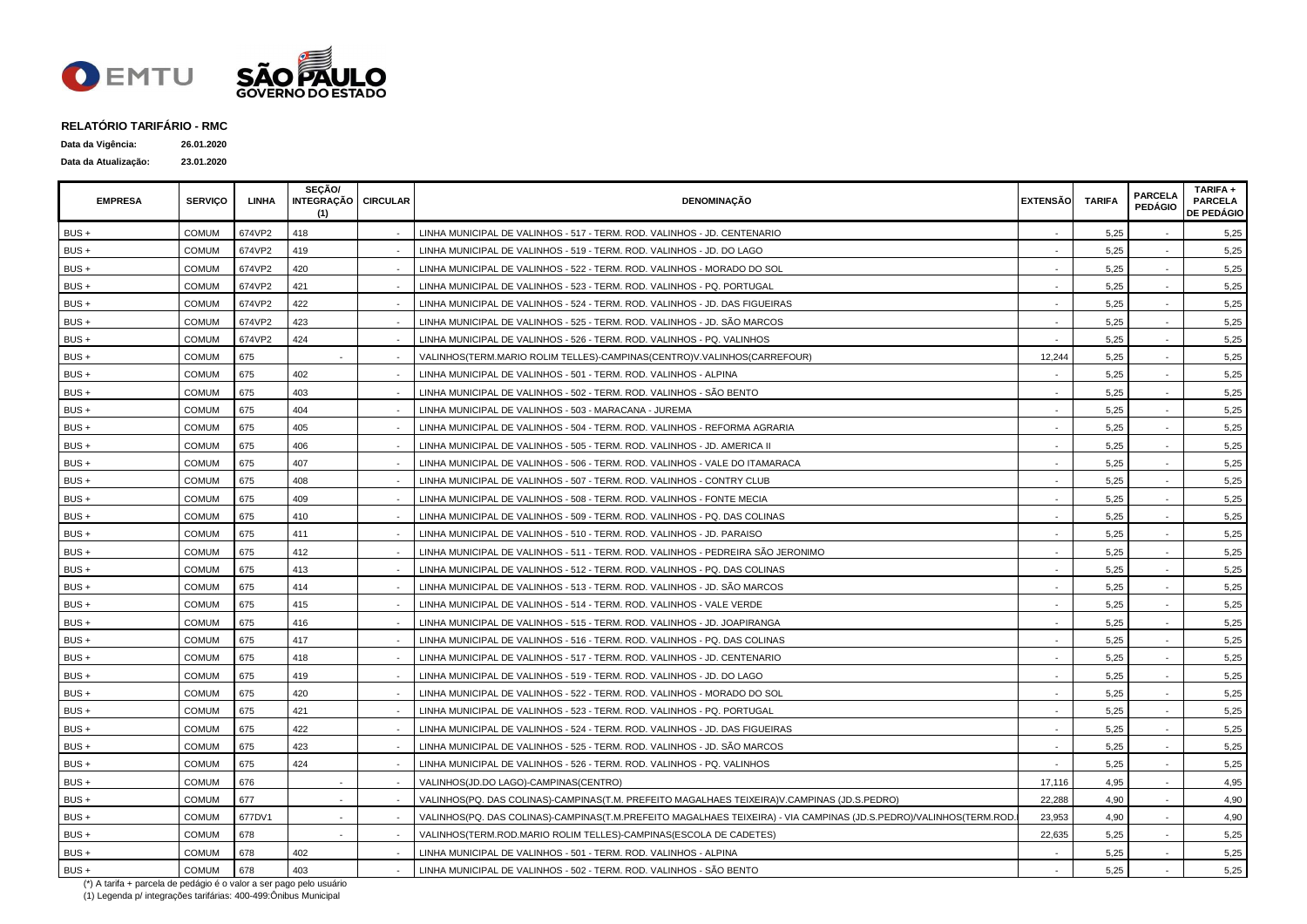

| Data da Vigência:    | 26.01.2020 |
|----------------------|------------|
| Data da Atualização: | 23.01.2020 |

| <b>EMPRESA</b> | <b>SERVICO</b> | LINHA  | <b>SECÃO/</b><br>INTEGRAÇÃO   CIRCULAR<br>(1) | <b>DENOMINAÇÃO</b>                                                                                                | <b>EXTENSÃO</b> | <b>TARIFA</b> | <b>PARCELA</b><br><b>PEDÁGIO</b> | TARIFA +<br><b>PARCELA</b><br><b>DE PEDÁGIO</b> |
|----------------|----------------|--------|-----------------------------------------------|-------------------------------------------------------------------------------------------------------------------|-----------------|---------------|----------------------------------|-------------------------------------------------|
| BUS+           | COMUM          | 674VP2 | 418                                           | LINHA MUNICIPAL DE VALINHOS - 517 - TERM. ROD. VALINHOS - JD. CENTENARIO                                          |                 | 5,25          |                                  | 5,25                                            |
| $BUS +$        | <b>COMUM</b>   | 674VP2 | 419                                           | LINHA MUNICIPAL DE VALINHOS - 519 - TERM. ROD. VALINHOS - JD. DO LAGO                                             |                 | 5,25          |                                  | 5,25                                            |
| $BUS +$        | COMUM          | 674VP2 | 420                                           | LINHA MUNICIPAL DE VALINHOS - 522 - TERM. ROD. VALINHOS - MORADO DO SOL                                           |                 | 5,25          |                                  | 5,25                                            |
| BUS+           | <b>COMUM</b>   | 674VP2 | 421                                           | LINHA MUNICIPAL DE VALINHOS - 523 - TERM. ROD. VALINHOS - PQ. PORTUGAL                                            |                 | 5,25          |                                  | 5,25                                            |
| BUS +          | <b>COMUM</b>   | 674VP2 | 422                                           | LINHA MUNICIPAL DE VALINHOS - 524 - TERM. ROD. VALINHOS - JD. DAS FIGUEIRAS                                       |                 | 5,25          |                                  | 5,25                                            |
| BUS +          | <b>COMUM</b>   | 674VP2 | 423                                           | LINHA MUNICIPAL DE VALINHOS - 525 - TERM. ROD. VALINHOS - JD. SÃO MARCOS                                          |                 | 5,25          |                                  | 5,25                                            |
| BUS+           | <b>COMUM</b>   | 674VP2 | 424                                           | LINHA MUNICIPAL DE VALINHOS - 526 - TERM. ROD. VALINHOS - PQ. VALINHOS                                            |                 | 5,25          |                                  | 5,25                                            |
| BUS +          | <b>COMUM</b>   | 675    |                                               | VALINHOS(TERM.MARIO ROLIM TELLES)-CAMPINAS(CENTRO)V.VALINHOS(CARREFOUR)                                           | 12,244          | 5,25          |                                  | 5,25                                            |
| BUS+           | <b>COMUM</b>   | 675    | 402                                           | LINHA MUNICIPAL DE VALINHOS - 501 - TERM. ROD. VALINHOS - ALPINA                                                  |                 | 5,25          |                                  | 5,25                                            |
| BUS +          | <b>COMUM</b>   | 675    | 403                                           | LINHA MUNICIPAL DE VALINHOS - 502 - TERM. ROD. VALINHOS - SÃO BENTO                                               |                 | 5,25          | $\sim$                           | 5,25                                            |
| BUS +          | COMUM          | 675    | 404                                           | LINHA MUNICIPAL DE VALINHOS - 503 - MARACANA - JUREMA                                                             |                 | 5,25          |                                  | 5,25                                            |
| BUS+           | COMUM          | 675    | 405                                           | LINHA MUNICIPAL DE VALINHOS - 504 - TERM. ROD. VALINHOS - REFORMA AGRARIA                                         |                 | 5,25          |                                  | 5,25                                            |
| $BUS +$        | <b>COMUM</b>   | 675    | 406                                           | LINHA MUNICIPAL DE VALINHOS - 505 - TERM. ROD. VALINHOS - JD. AMERICA II                                          |                 | 5,25          |                                  | 5,25                                            |
| $BUS +$        | <b>COMUM</b>   | 675    | 407                                           | LINHA MUNICIPAL DE VALINHOS - 506 - TERM. ROD. VALINHOS - VALE DO ITAMARACA                                       |                 | 5.25          |                                  | 5,25                                            |
| $BUS +$        | <b>COMUM</b>   | 675    | 408                                           | LINHA MUNICIPAL DE VALINHOS - 507 - TERM. ROD. VALINHOS - CONTRY CLUB                                             |                 | 5,25          |                                  | 5,25                                            |
| BUS +          | <b>COMUM</b>   | 675    | 409                                           | LINHA MUNICIPAL DE VALINHOS - 508 - TERM. ROD. VALINHOS - FONTE MECIA                                             |                 | 5,25          |                                  | 5,25                                            |
| BUS+           | <b>COMUM</b>   | 675    | 410                                           | LINHA MUNICIPAL DE VALINHOS - 509 - TERM. ROD. VALINHOS - PQ. DAS COLINAS                                         |                 | 5,25          |                                  | 5,25                                            |
| BUS +          | <b>COMUM</b>   | 675    | 411                                           | LINHA MUNICIPAL DE VALINHOS - 510 - TERM. ROD. VALINHOS - JD. PARAISO                                             |                 | 5,25          |                                  | 5,25                                            |
| BUS+           | <b>COMUM</b>   | 675    | 412                                           | LINHA MUNICIPAL DE VALINHOS - 511 - TERM. ROD. VALINHOS - PEDREIRA SÃO JERONIMO                                   |                 | 5,25          |                                  | 5,25                                            |
| BUS+           | <b>COMUM</b>   | 675    | 413                                           | LINHA MUNICIPAL DE VALINHOS - 512 - TERM. ROD. VALINHOS - PQ. DAS COLINAS                                         |                 | 5,25          | $\sim$                           | 5,25                                            |
| BUS +          | COMUM          | 675    | 414                                           | LINHA MUNICIPAL DE VALINHOS - 513 - TERM. ROD. VALINHOS - JD. SÃO MARCOS                                          |                 | 5,25          |                                  | 5,25                                            |
| BUS +          | COMUM          | 675    | 415                                           | LINHA MUNICIPAL DE VALINHOS - 514 - TERM. ROD. VALINHOS - VALE VERDE                                              |                 | 5,25          |                                  | 5,25                                            |
| BUS +          | <b>COMUM</b>   | 675    | 416                                           | LINHA MUNICIPAL DE VALINHOS - 515 - TERM. ROD. VALINHOS - JD. JOAPIRANGA                                          |                 | 5,25          |                                  | 5,25                                            |
| BUS +          | COMUM          | 675    | 417                                           | LINHA MUNICIPAL DE VALINHOS - 516 - TERM. ROD. VALINHOS - PQ. DAS COLINAS                                         |                 | 5,25          |                                  | 5,25                                            |
| $BUS +$        | <b>COMUM</b>   | 675    | 418                                           | LINHA MUNICIPAL DE VALINHOS - 517 - TERM. ROD. VALINHOS - JD. CENTENARIO                                          |                 | 5.25          |                                  | 5,25                                            |
| $BUS +$        | <b>COMUM</b>   | 675    | 419                                           | LINHA MUNICIPAL DE VALINHOS - 519 - TERM. ROD. VALINHOS - JD. DO LAGO                                             |                 | 5,25          |                                  | 5,25                                            |
| BUS+           | <b>COMUM</b>   | 675    | 420                                           | LINHA MUNICIPAL DE VALINHOS - 522 - TERM. ROD. VALINHOS - MORADO DO SOL                                           |                 | 5,25          |                                  | 5,25                                            |
| BUS+           | <b>COMUM</b>   | 675    | 421                                           | LINHA MUNICIPAL DE VALINHOS - 523 - TERM. ROD. VALINHOS - PQ. PORTUGAL                                            |                 | 5,25          |                                  | 5,25                                            |
| BUS +          | <b>COMUM</b>   | 675    | 422                                           | LINHA MUNICIPAL DE VALINHOS - 524 - TERM. ROD. VALINHOS - JD. DAS FIGUEIRAS                                       |                 | 5,25          |                                  | 5,25                                            |
| $BUS +$        | <b>COMUM</b>   | 675    | 423                                           | LINHA MUNICIPAL DE VALINHOS - 525 - TERM. ROD. VALINHOS - JD. SÃO MARCOS                                          |                 | 5,25          |                                  | 5,25                                            |
| $BUS +$        | <b>COMUM</b>   | 675    | 424                                           | LINHA MUNICIPAL DE VALINHOS - 526 - TERM. ROD. VALINHOS - PQ. VALINHOS                                            |                 | 5,25          |                                  | 5,25                                            |
| BUS +          | COMUM          | 676    |                                               | VALINHOS(JD.DO LAGO)-CAMPINAS(CENTRO)                                                                             | 17,116          | 4,95          |                                  | 4,95                                            |
| BUS+           | <b>COMUM</b>   | 677    |                                               | VALINHOS(PQ. DAS COLINAS)-CAMPINAS(T.M. PREFEITO MAGALHAES TEIXEIRA)V.CAMPINAS (JD.S.PEDRO)                       | 22,288          | 4,90          |                                  | 4,90                                            |
| BUS +          | COMUM          | 677DV1 |                                               | VALINHOS(PQ. DAS COLINAS)-CAMPINAS(T.M.PREFEITO MAGALHAES TEIXEIRA) - VIA CAMPINAS (JD.S.PEDRO)/VALINHOS(TERM.ROD | 23,953          | 4,90          |                                  | 4,90                                            |
| $BUS +$        | <b>COMUM</b>   | 678    |                                               | VALINHOS(TERM.ROD.MARIO ROLIM TELLES)-CAMPINAS(ESCOLA DE CADETES)                                                 | 22,635          | 5,25          |                                  | 5,25                                            |
| BUS +          | <b>COMUM</b>   | 678    | 402                                           | LINHA MUNICIPAL DE VALINHOS - 501 - TERM. ROD. VALINHOS - ALPINA                                                  |                 | 5,25          |                                  | 5,25                                            |
| BUS +          | <b>COMUM</b>   | 678    | 403                                           | LINHA MUNICIPAL DE VALINHOS - 502 - TERM. ROD. VALINHOS - SÃO BENTO                                               |                 | 5,25          |                                  | 5,25                                            |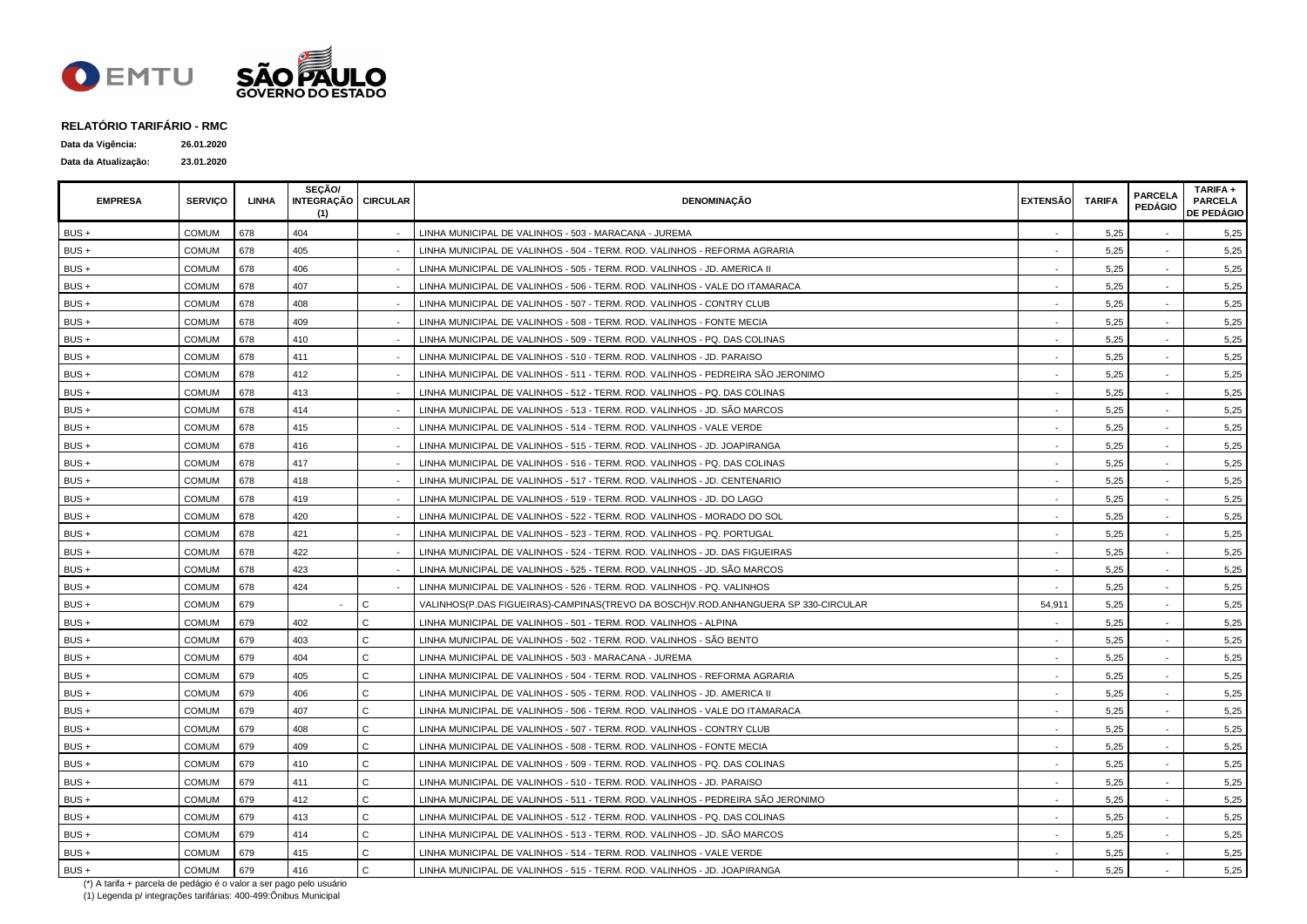

| Data da Vigência:    | 26.01.2020 |
|----------------------|------------|
| Data da Atualização: | 23.01.2020 |

| <b>EMPRESA</b> | <b>SERVICO</b> | LINHA | SECÃO/<br>INTEGRAÇÃO CIRCULAR<br>(1) |              | <b>DENOMINAÇÃO</b>                                                                 | <b>EXTENSÃO</b> | <b>TARIFA</b> | <b>PARCELA</b><br><b>PEDÁGIO</b> | TARIFA +<br><b>PARCELA</b><br><b>DE PEDÁGIO</b> |
|----------------|----------------|-------|--------------------------------------|--------------|------------------------------------------------------------------------------------|-----------------|---------------|----------------------------------|-------------------------------------------------|
| BUS +          | <b>COMUM</b>   | 678   | 404                                  |              | LINHA MUNICIPAL DE VALINHOS - 503 - MARACANA - JUREMA                              |                 | 5,25          |                                  | 5,25                                            |
| $BUS +$        | <b>COMUM</b>   | 678   | 405                                  |              | LINHA MUNICIPAL DE VALINHOS - 504 - TERM. ROD. VALINHOS - REFORMA AGRARIA          |                 | 5,25          |                                  | 5,25                                            |
| BUS+           | <b>COMUM</b>   | 678   | 406                                  |              | LINHA MUNICIPAL DE VALINHOS - 505 - TERM. ROD. VALINHOS - JD. AMERICA II           |                 | 5,25          |                                  | 5,25                                            |
| $BUS +$        | COMUM          | 678   | 407                                  |              | LINHA MUNICIPAL DE VALINHOS - 506 - TERM. ROD. VALINHOS - VALE DO ITAMARACA        |                 | 5,25          |                                  | 5,25                                            |
| BUS +          | <b>COMUM</b>   | 678   | 408                                  |              | LINHA MUNICIPAL DE VALINHOS - 507 - TERM. ROD. VALINHOS - CONTRY CLUB              |                 | 5,25          |                                  | 5,25                                            |
| BUS+           | <b>COMUM</b>   | 678   | 409                                  |              | LINHA MUNICIPAL DE VALINHOS - 508 - TERM. ROD. VALINHOS - FONTE MECIA              |                 | 5,25          |                                  | 5,25                                            |
| BUS +          | <b>COMUM</b>   | 678   | 410                                  |              | LINHA MUNICIPAL DE VALINHOS - 509 - TERM. ROD. VALINHOS - PQ. DAS COLINAS          |                 | 5,25          |                                  | 5,25                                            |
| BUS +          | <b>COMUM</b>   | 678   | 411                                  |              | LINHA MUNICIPAL DE VALINHOS - 510 - TERM. ROD. VALINHOS - JD. PARAISO              |                 | 5,25          |                                  | 5,25                                            |
| $BUS +$        | <b>COMUM</b>   | 678   | 412                                  |              | LINHA MUNICIPAL DE VALINHOS - 511 - TERM. ROD. VALINHOS - PEDREIRA SÃO JERONIMO    |                 | 5,25          |                                  | 5,25                                            |
| $BUS +$        | <b>COMUM</b>   | 678   | 413                                  |              | LINHA MUNICIPAL DE VALINHOS - 512 - TERM. ROD. VALINHOS - PQ. DAS COLINAS          |                 | 5,25          | $\sim$                           | 5,25                                            |
| $BUS +$        | <b>COMUM</b>   | 678   | 414                                  |              | LINHA MUNICIPAL DE VALINHOS - 513 - TERM. ROD. VALINHOS - JD. SÃO MARCOS           |                 | 5,25          |                                  | 5,25                                            |
| $BUS +$        | <b>COMUM</b>   | 678   | 415                                  |              | LINHA MUNICIPAL DE VALINHOS - 514 - TERM. ROD. VALINHOS - VALE VERDE               |                 | 5,25          |                                  | 5,25                                            |
| $BUS +$        | <b>COMUM</b>   | 678   | 416                                  |              | LINHA MUNICIPAL DE VALINHOS - 515 - TERM. ROD. VALINHOS - JD. JOAPIRANGA           |                 | 5,25          |                                  | 5,25                                            |
| $BUS +$        | <b>COMUM</b>   | 678   | 417                                  |              | LINHA MUNICIPAL DE VALINHOS - 516 - TERM. ROD. VALINHOS - PQ. DAS COLINAS          |                 | 5,25          |                                  | 5,25                                            |
| BUS +          | <b>COMUM</b>   | 678   | 418                                  |              | LINHA MUNICIPAL DE VALINHOS - 517 - TERM. ROD. VALINHOS - JD. CENTENARIO           |                 | 5,25          |                                  | 5,25                                            |
| BUS +          | <b>COMUM</b>   | 678   | 419                                  |              | LINHA MUNICIPAL DE VALINHOS - 519 - TERM. ROD. VALINHOS - JD. DO LAGO              |                 | 5,25          |                                  | 5,25                                            |
| BUS+           | <b>COMUM</b>   | 678   | 420                                  |              | LINHA MUNICIPAL DE VALINHOS - 522 - TERM. ROD. VALINHOS - MORADO DO SOL            |                 | 5,25          |                                  | 5,25                                            |
| $BUS +$        | <b>COMUM</b>   | 678   | 421                                  |              | LINHA MUNICIPAL DE VALINHOS - 523 - TERM. ROD. VALINHOS - PQ. PORTUGAL             |                 | 5,25          |                                  | 5,25                                            |
| BUS +          | <b>COMUM</b>   | 678   | 422                                  |              | LINHA MUNICIPAL DE VALINHOS - 524 - TERM. ROD. VALINHOS - JD. DAS FIGUEIRAS        |                 | 5.25          |                                  | 5,25                                            |
| $BUS +$        | <b>COMUM</b>   | 678   | 423                                  |              | LINHA MUNICIPAL DE VALINHOS - 525 - TERM. ROD. VALINHOS - JD. SÃO MARCOS           |                 | 5,25          | $\sim$                           | 5,25                                            |
| BUS +          | COMUM          | 678   | 424                                  |              | LINHA MUNICIPAL DE VALINHOS - 526 - TERM. ROD. VALINHOS - PQ. VALINHOS             |                 | 5,25          |                                  | 5,25                                            |
| BUS +          | <b>COMUM</b>   | 679   |                                      | C.           | VALINHOS(P.DAS FIGUEIRAS)-CAMPINAS(TREVO DA BOSCH)V.ROD.ANHANGUERA SP 330-CIRCULAR | 54,911          | 5,25          |                                  | 5,25                                            |
| BUS +          | <b>COMUM</b>   | 679   | 402                                  | C.           | LINHA MUNICIPAL DE VALINHOS - 501 - TERM. ROD. VALINHOS - ALPINA                   |                 | 5,25          |                                  | 5,25                                            |
| BUS +          | <b>COMUM</b>   | 679   | 403                                  | C.           | LINHA MUNICIPAL DE VALINHOS - 502 - TERM. ROD. VALINHOS - SÃO BENTO                |                 | 5,25          |                                  | 5,25                                            |
| BUS +          | <b>COMUM</b>   | 679   | 404                                  | Ć            | LINHA MUNICIPAL DE VALINHOS - 503 - MARACANA - JUREMA                              |                 | 5,25          |                                  | 5,25                                            |
| BUS +          | <b>COMUM</b>   | 679   | 405                                  | Ć            | LINHA MUNICIPAL DE VALINHOS - 504 - TERM. ROD. VALINHOS - REFORMA AGRARIA          |                 | 5,25          |                                  | 5,25                                            |
| BUS+           | <b>COMUM</b>   | 679   | 406                                  | Ć            | LINHA MUNICIPAL DE VALINHOS - 505 - TERM. ROD. VALINHOS - JD. AMERICA II           |                 | 5,25          |                                  | 5,25                                            |
| $BUS +$        | <b>COMUM</b>   | 679   | 407                                  | $\mathsf{C}$ | LINHA MUNICIPAL DE VALINHOS - 506 - TERM. ROD. VALINHOS - VALE DO ITAMARACA        |                 | 5,25          |                                  | 5,25                                            |
| $BUS +$        | <b>COMUM</b>   | 679   | 408                                  | C.           | LINHA MUNICIPAL DE VALINHOS - 507 - TERM. ROD. VALINHOS - CONTRY CLUB              |                 | 5,25          |                                  | 5,25                                            |
| BUS +          | <b>COMUM</b>   | 679   | 409                                  | C.           | LINHA MUNICIPAL DE VALINHOS - 508 - TERM. ROD. VALINHOS - FONTE MECIA              |                 | 5,25          |                                  | 5,25                                            |
| BUS +          | <b>COMUM</b>   | 679   | 410                                  | Ć            | LINHA MUNICIPAL DE VALINHOS - 509 - TERM. ROD. VALINHOS - PQ. DAS COLINAS          |                 | 5,25          |                                  | 5,25                                            |
| BUS +          | COMUM          | 679   | 411                                  | C.           | LINHA MUNICIPAL DE VALINHOS - 510 - TERM. ROD. VALINHOS - JD. PARAISO              |                 | 5,25          |                                  | 5,25                                            |
| BUS +          | <b>COMUM</b>   | 679   | 412                                  | C            | LINHA MUNICIPAL DE VALINHOS - 511 - TERM. ROD. VALINHOS - PEDREIRA SÃO JERONIMO    |                 | 5,25          |                                  | 5,25                                            |
| BUS +          | <b>COMUM</b>   | 679   | 413                                  | C.           | LINHA MUNICIPAL DE VALINHOS - 512 - TERM. ROD. VALINHOS - PQ. DAS COLINAS          |                 | 5,25          |                                  | 5,25                                            |
| BUS +          | <b>COMUM</b>   | 679   | 414                                  | C.           | LINHA MUNICIPAL DE VALINHOS - 513 - TERM. ROD. VALINHOS - JD. SÃO MARCOS           |                 | 5,25          |                                  | 5,25                                            |
| BUS +          | <b>COMUM</b>   | 679   | 415                                  | C            | LINHA MUNICIPAL DE VALINHOS - 514 - TERM. ROD. VALINHOS - VALE VERDE               |                 | 5,25          |                                  | 5,25                                            |
| BUS +          | <b>COMUM</b>   | 679   | 416                                  | Ċ            | LINHA MUNICIPAL DE VALINHOS - 515 - TERM. ROD. VALINHOS - JD. JOAPIRANGA           |                 | 5,25          |                                  | 5,25                                            |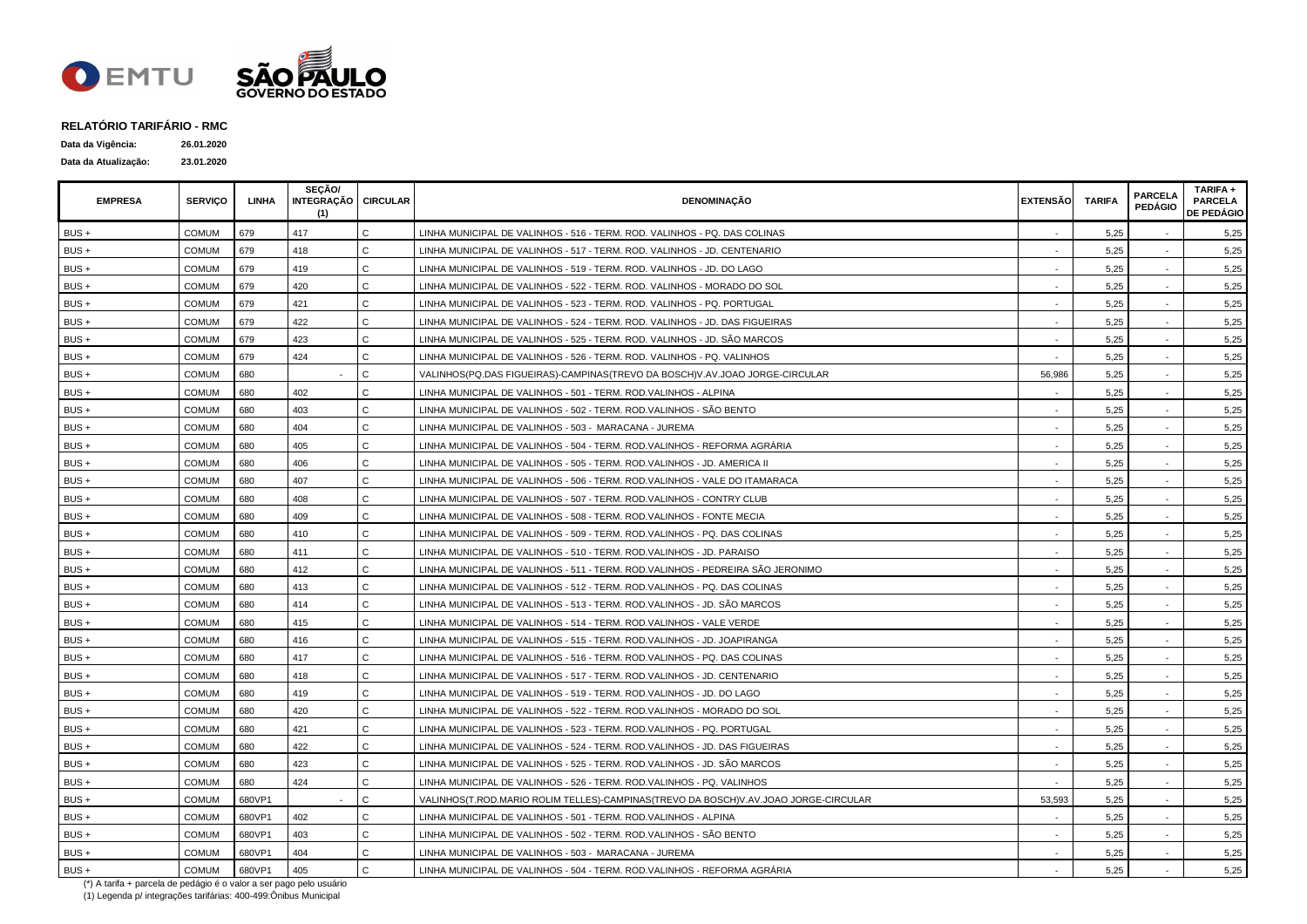

| Data da Vigência:    | 26.01.2020 |
|----------------------|------------|
| Data da Atualização: | 23.01.2020 |

| <b>EMPRESA</b> | <b>SERVICO</b> | LINHA  | SECÃO/<br>INTEGRAÇÃO CIRCULAR<br>(1) |              | <b>DENOMINACÃO</b>                                                                  | <b>EXTENSÃO</b> | <b>TARIFA</b> | <b>PARCELA</b><br><b>PEDÁGIO</b> | TARIFA +<br><b>PARCELA</b><br><b>DE PEDÁGIO</b> |
|----------------|----------------|--------|--------------------------------------|--------------|-------------------------------------------------------------------------------------|-----------------|---------------|----------------------------------|-------------------------------------------------|
| BUS +          | <b>COMUM</b>   | 679    | 417                                  | $\mathsf{C}$ | LINHA MUNICIPAL DE VALINHOS - 516 - TERM. ROD. VALINHOS - PQ. DAS COLINAS           |                 | 5,25          |                                  | 5,25                                            |
| $BUS +$        | <b>COMUM</b>   | 679    | 418                                  | C.           | LINHA MUNICIPAL DE VALINHOS - 517 - TERM. ROD. VALINHOS - JD. CENTENARIO            |                 | 5,25          |                                  | 5,25                                            |
| $BUS +$        | <b>COMUM</b>   | 679    | 419                                  | C.           | LINHA MUNICIPAL DE VALINHOS - 519 - TERM. ROD. VALINHOS - JD. DO LAGO               |                 | 5,25          |                                  | 5,25                                            |
| $BUS +$        | <b>COMUM</b>   | 679    | 420                                  | Ć            | LINHA MUNICIPAL DE VALINHOS - 522 - TERM. ROD. VALINHOS - MORADO DO SOL             |                 | 5,25          |                                  | 5,25                                            |
| BUS +          | <b>COMUM</b>   | 679    | 421                                  | Ć            | LINHA MUNICIPAL DE VALINHOS - 523 - TERM. ROD. VALINHOS - PQ. PORTUGAL              |                 | 5,25          |                                  | 5,25                                            |
| BUS+           | <b>COMUM</b>   | 679    | 422                                  | C.           | LINHA MUNICIPAL DE VALINHOS - 524 - TERM. ROD. VALINHOS - JD. DAS FIGUEIRAS         |                 | 5,25          |                                  | 5,25                                            |
| BUS +          | <b>COMUM</b>   | 679    | 423                                  | C            | LINHA MUNICIPAL DE VALINHOS - 525 - TERM. ROD. VALINHOS - JD. SÃO MARCOS            |                 | 5,25          |                                  | 5,25                                            |
| BUS +          | <b>COMUM</b>   | 679    | 424                                  | C.           | LINHA MUNICIPAL DE VALINHOS - 526 - TERM, ROD, VALINHOS - PQ, VALINHOS              |                 | 5,25          |                                  | 5,25                                            |
| $BUS +$        | <b>COMUM</b>   | 680    |                                      | C.           | VALINHOS(PQ.DAS FIGUEIRAS)-CAMPINAS(TREVO DA BOSCH)V.AV.JOAO JORGE-CIRCULAR         | 56,986          | 5,25          |                                  | 5,25                                            |
| $BUS +$        | <b>COMUM</b>   | 680    | 402                                  | C.           | LINHA MUNICIPAL DE VALINHOS - 501 - TERM. ROD.VALINHOS - ALPINA                     |                 | 5,25          | $\sim$                           | 5,25                                            |
| $BUS +$        | <b>COMUM</b>   | 680    | 403                                  | Ć            | LINHA MUNICIPAL DE VALINHOS - 502 - TERM. ROD.VALINHOS - SÃO BENTO                  |                 | 5,25          |                                  | 5,25                                            |
| $BUS +$        | <b>COMUM</b>   | 680    | 404                                  | C.           | LINHA MUNICIPAL DE VALINHOS - 503 - MARACANA - JUREMA                               |                 | 5,25          |                                  | 5,25                                            |
| $BUS +$        | <b>COMUM</b>   | 680    | 405                                  | C.           | LINHA MUNICIPAL DE VALINHOS - 504 - TERM. ROD.VALINHOS - REFORMA AGRÁRIA            |                 | 5,25          |                                  | 5,25                                            |
| $BUS +$        | <b>COMUM</b>   | 680    | 406                                  | C.           | LINHA MUNICIPAL DE VALINHOS - 505 - TERM. ROD.VALINHOS - JD. AMERICA II             |                 | 5,25          |                                  | 5,25                                            |
| BUS +          | <b>COMUM</b>   | 680    | 407                                  | C            | LINHA MUNICIPAL DE VALINHOS - 506 - TERM. ROD.VALINHOS - VALE DO ITAMARACA          |                 | 5,25          |                                  | 5,25                                            |
| BUS +          | <b>COMUM</b>   | 680    | 408                                  | Ć            | LINHA MUNICIPAL DE VALINHOS - 507 - TERM. ROD.VALINHOS - CONTRY CLUB                |                 | 5,25          |                                  | 5,25                                            |
| BUS+           | <b>COMUM</b>   | 680    | 409                                  | C.           | LINHA MUNICIPAL DE VALINHOS - 508 - TERM. ROD.VALINHOS - FONTE MECIA                |                 | 5,25          |                                  | 5,25                                            |
| $BUS +$        | <b>COMUM</b>   | 680    | 410                                  | $\mathsf{C}$ | LINHA MUNICIPAL DE VALINHOS - 509 - TERM. ROD.VALINHOS - PQ. DAS COLINAS            |                 | 5,25          |                                  | 5,25                                            |
| $BUS +$        | <b>COMUM</b>   | 680    | 411                                  | C.           | LINHA MUNICIPAL DE VALINHOS - 510 - TERM. ROD.VALINHOS - JD. PARAISO                |                 | 5.25          |                                  | 5,25                                            |
| $BUS +$        | <b>COMUM</b>   | 680    | 412                                  | C            | LINHA MUNICIPAL DE VALINHOS - 511 - TERM. ROD.VALINHOS - PEDREIRA SÃO JERONIMO      |                 | 5,25          | $\sim$                           | 5,25                                            |
| $BUS +$        | COMUM          | 680    | 413                                  | Ć            | LINHA MUNICIPAL DE VALINHOS - 512 - TERM. ROD.VALINHOS - PQ. DAS COLINAS            |                 | 5,25          | $\sim$                           | 5,25                                            |
| BUS+           | <b>COMUM</b>   | 680    | 414                                  | C.           | LINHA MUNICIPAL DE VALINHOS - 513 - TERM. ROD.VALINHOS - JD. SÃO MARCOS             |                 | 5,25          |                                  | 5,25                                            |
| BUS +          | <b>COMUM</b>   | 680    | 415                                  | $\mathsf{C}$ | LINHA MUNICIPAL DE VALINHOS - 514 - TERM. ROD.VALINHOS - VALE VERDE                 |                 | 5,25          |                                  | 5,25                                            |
| BUS+           | <b>COMUM</b>   | 680    | 416                                  | C.           | LINHA MUNICIPAL DE VALINHOS - 515 - TERM. ROD.VALINHOS - JD. JOAPIRANGA             |                 | 5,25          |                                  | 5,25                                            |
| BUS +          | <b>COMUM</b>   | 680    | 417                                  | Ć            | LINHA MUNICIPAL DE VALINHOS - 516 - TERM. ROD.VALINHOS - PQ. DAS COLINAS            |                 | 5,25          |                                  | 5,25                                            |
| BUS +          | <b>COMUM</b>   | 680    | 418                                  | Ć            | LINHA MUNICIPAL DE VALINHOS - 517 - TERM. ROD.VALINHOS - JD. CENTENARIO             |                 | 5,25          |                                  | 5,25                                            |
| BUS +          | <b>COMUM</b>   | 680    | 419                                  | C.           | LINHA MUNICIPAL DE VALINHOS - 519 - TERM. ROD.VALINHOS - JD. DO LAGO                |                 | 5,25          |                                  | 5,25                                            |
| $BUS +$        | <b>COMUM</b>   | 680    | 420                                  | C.           | LINHA MUNICIPAL DE VALINHOS - 522 - TERM. ROD.VALINHOS - MORADO DO SOL              |                 | 5,25          |                                  | 5,25                                            |
| $BUS +$        | <b>COMUM</b>   | 680    | 421                                  | C.           | LINHA MUNICIPAL DE VALINHOS - 523 - TERM. ROD.VALINHOS - PQ. PORTUGAL               |                 | 5,25          |                                  | 5,25                                            |
| BUS +          | <b>COMUM</b>   | 680    | 422                                  | C.           | LINHA MUNICIPAL DE VALINHOS - 524 - TERM. ROD.VALINHOS - JD. DAS FIGUEIRAS          |                 | 5,25          |                                  | 5,25                                            |
| BUS +          | <b>COMUM</b>   | 680    | 423                                  | Ć            | LINHA MUNICIPAL DE VALINHOS - 525 - TERM. ROD.VALINHOS - JD. SÃO MARCOS             |                 | 5,25          |                                  | 5,25                                            |
| $BUS +$        | COMUM          | 680    | 424                                  | C.           | LINHA MUNICIPAL DE VALINHOS - 526 - TERM. ROD.VALINHOS - PQ. VALINHOS               |                 | 5,25          |                                  | 5,25                                            |
| BUS+           | <b>COMUM</b>   | 680VP1 |                                      | C            | VALINHOS(T.ROD.MARIO ROLIM TELLES)-CAMPINAS(TREVO DA BOSCH)V.AV.JOAO JORGE-CIRCULAR | 53,593          | 5,25          |                                  | 5,25                                            |
| BUS +          | <b>COMUM</b>   | 680VP1 | 402                                  | C            | LINHA MUNICIPAL DE VALINHOS - 501 - TERM. ROD.VALINHOS - ALPINA                     |                 | 5,25          |                                  | 5,25                                            |
| BUS +          | <b>COMUM</b>   | 680VP1 | 403                                  | C.           | LINHA MUNICIPAL DE VALINHOS - 502 - TERM. ROD.VALINHOS - SÃO BENTO                  |                 | 5,25          |                                  | 5,25                                            |
| BUS +          | <b>COMUM</b>   | 680VP1 | 404                                  | C            | LINHA MUNICIPAL DE VALINHOS - 503 - MARACANA - JUREMA                               |                 | 5,25          |                                  | 5,25                                            |
| BUS +          | <b>COMUM</b>   | 680VP1 | 405                                  | Ċ            | LINHA MUNICIPAL DE VALINHOS - 504 - TERM. ROD.VALINHOS - REFORMA AGRÁRIA            |                 | 5,25          |                                  | 5,25                                            |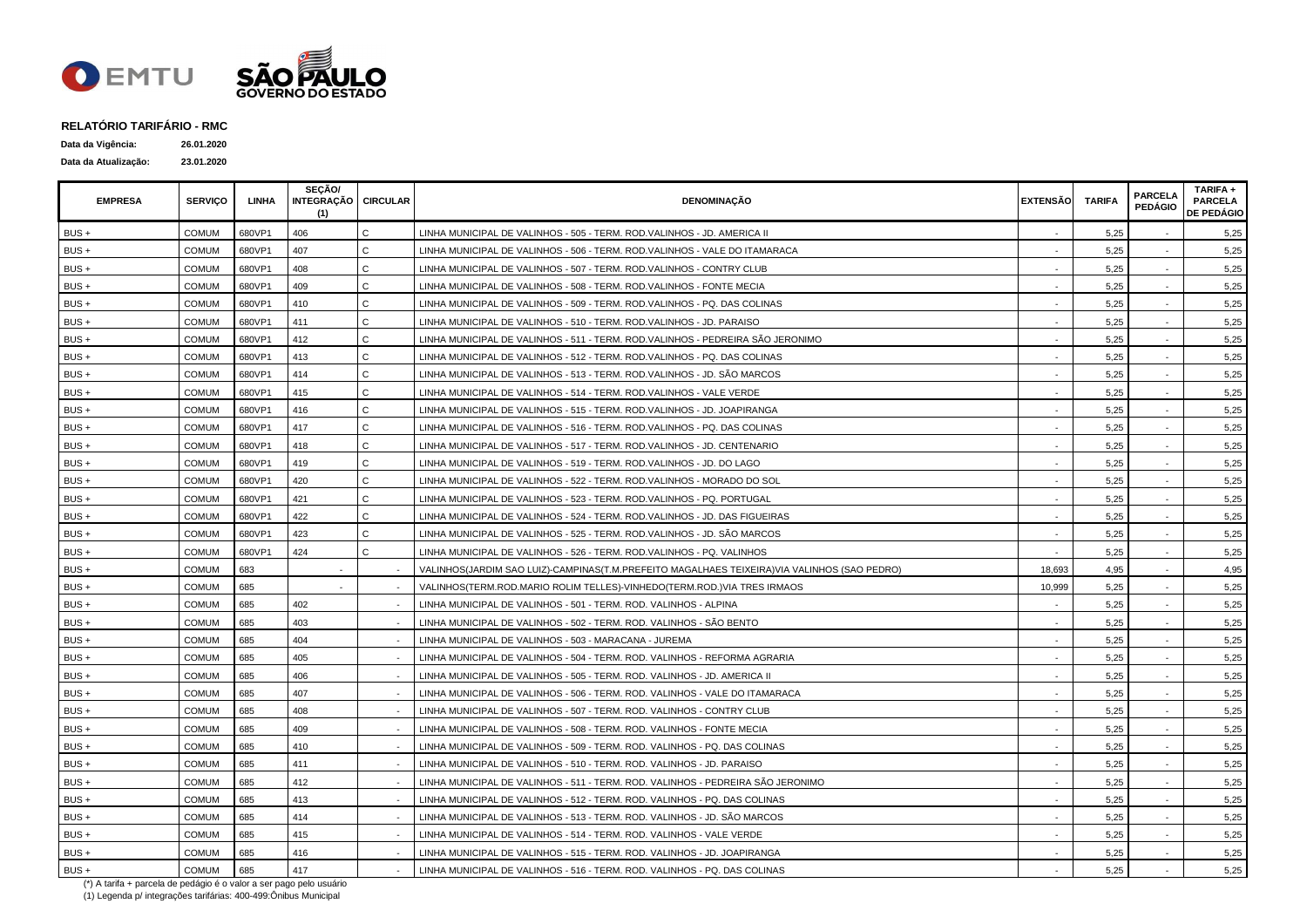

| Data da Vigência:    | 26.01.2020 |
|----------------------|------------|
| Data da Atualização: | 23.01.2020 |

| <b>EMPRESA</b> | <b>SERVICO</b> | LINHA  | <b>SECÃO/</b><br>INTEGRAÇÃO   CIRCULAR<br>(1) |              | DENOMINAÇÃO                                                                                 | <b>EXTENSÃO</b> | <b>TARIFA</b> | <b>PARCELA</b><br><b>PEDÁGIO</b> | TARIFA +<br><b>PARCELA</b><br><b>DE PEDÁGIO</b> |
|----------------|----------------|--------|-----------------------------------------------|--------------|---------------------------------------------------------------------------------------------|-----------------|---------------|----------------------------------|-------------------------------------------------|
| BUS+           | COMUM          | 680VP1 | 406                                           | C.           | LINHA MUNICIPAL DE VALINHOS - 505 - TERM. ROD.VALINHOS - JD. AMERICA II                     |                 | 5,25          |                                  | 5,25                                            |
| $BUS +$        | <b>COMUM</b>   | 680VP1 | 407                                           | C            | LINHA MUNICIPAL DE VALINHOS - 506 - TERM. ROD.VALINHOS - VALE DO ITAMARACA                  |                 | 5,25          |                                  | 5,25                                            |
| $BUS +$        | COMUM          | 680VP1 | 408                                           | C.           | LINHA MUNICIPAL DE VALINHOS - 507 - TERM. ROD.VALINHOS - CONTRY CLUB                        |                 | 5,25          |                                  | 5,25                                            |
| $BUS +$        | <b>COMUM</b>   | 680VP1 | 409                                           | C.           | LINHA MUNICIPAL DE VALINHOS - 508 - TERM. ROD.VALINHOS - FONTE MECIA                        |                 | 5.25          |                                  | 5,25                                            |
| BUS +          | <b>COMUM</b>   | 680VP1 | 410                                           | Ć            | LINHA MUNICIPAL DE VALINHOS - 509 - TERM. ROD.VALINHOS - PQ. DAS COLINAS                    |                 | 5,25          |                                  | 5,25                                            |
| BUS +          | <b>COMUM</b>   | 680VP1 | 411                                           | Ć            | LINHA MUNICIPAL DE VALINHOS - 510 - TERM. ROD.VALINHOS - JD. PARAISO                        |                 | 5,25          |                                  | 5,25                                            |
| BUS+           | <b>COMUM</b>   | 680VP1 | 412                                           | $\mathsf{C}$ | LINHA MUNICIPAL DE VALINHOS - 511 - TERM. ROD.VALINHOS - PEDREIRA SÃO JERONIMO              |                 | 5,25          |                                  | 5,25                                            |
| BUS +          | <b>COMUM</b>   | 680VP1 | 413                                           | C.           | LINHA MUNICIPAL DE VALINHOS - 512 - TERM. ROD.VALINHOS - PQ. DAS COLINAS                    |                 | 5,25          |                                  | 5,25                                            |
| BUS+           | <b>COMUM</b>   | 680VP1 | 414                                           | C.           | LINHA MUNICIPAL DE VALINHOS - 513 - TERM. ROD.VALINHOS - JD. SÃO MARCOS                     |                 | 5,25          |                                  | 5,25                                            |
| BUS +          | <b>COMUM</b>   | 680VP1 | 415                                           | C            | LINHA MUNICIPAL DE VALINHOS - 514 - TERM. ROD.VALINHOS - VALE VERDE                         |                 | 5,25          | $\sim$                           | 5,25                                            |
| BUS +          | COMUM          | 680VP1 | 416                                           | Ć            | LINHA MUNICIPAL DE VALINHOS - 515 - TERM. ROD.VALINHOS - JD. JOAPIRANGA                     |                 | 5,25          | $\overline{\phantom{a}}$         | 5,25                                            |
| BUS +          | <b>COMUM</b>   | 680VP1 | 417                                           | C.           | LINHA MUNICIPAL DE VALINHOS - 516 - TERM. ROD.VALINHOS - PQ. DAS COLINAS                    |                 | 5,25          |                                  | 5,25                                            |
| $BUS +$        | <b>COMUM</b>   | 680VP1 | 418                                           | C            | LINHA MUNICIPAL DE VALINHOS - 517 - TERM. ROD.VALINHOS - JD. CENTENARIO                     |                 | 5,25          |                                  | 5,25                                            |
| $BUS +$        | <b>COMUM</b>   | 680VP1 | 419                                           | C.           | LINHA MUNICIPAL DE VALINHOS - 519 - TERM. ROD.VALINHOS - JD. DO LAGO                        |                 | 5.25          |                                  | 5,25                                            |
| $BUS +$        | <b>COMUM</b>   | 680VP1 | 420                                           | Ć            | LINHA MUNICIPAL DE VALINHOS - 522 - TERM. ROD.VALINHOS - MORADO DO SOL                      |                 | 5,25          |                                  | 5,25                                            |
| BUS+           | <b>COMUM</b>   | 680VP1 | 421                                           | Ć            | LINHA MUNICIPAL DE VALINHOS - 523 - TERM. ROD.VALINHOS - PQ. PORTUGAL                       |                 | 5,25          |                                  | 5,25                                            |
| BUS+           | <b>COMUM</b>   | 680VP1 | 422                                           | C.           | LINHA MUNICIPAL DE VALINHOS - 524 - TERM. ROD.VALINHOS - JD. DAS FIGUEIRAS                  |                 | 5,25          |                                  | 5,25                                            |
| BUS +          | <b>COMUM</b>   | 680VP1 | 423                                           | C.           | LINHA MUNICIPAL DE VALINHOS - 525 - TERM. ROD.VALINHOS - JD. SÃO MARCOS                     |                 | 5,25          |                                  | 5,25                                            |
| BUS+           | <b>COMUM</b>   | 680VP1 | 424                                           | C.           | LINHA MUNICIPAL DE VALINHOS - 526 - TERM. ROD.VALINHOS - PQ. VALINHOS                       |                 | 5,25          |                                  | 5,25                                            |
| BUS+           | <b>COMUM</b>   | 683    | $\sim$                                        |              | VALINHOS(JARDIM SAO LUIZ)-CAMPINAS(T.M.PREFEITO MAGALHAES TEIXEIRA)VIA VALINHOS (SAO PEDRO) | 18,693          | 4,95          |                                  | 4,95                                            |
| BUS +          | COMUM          | 685    |                                               |              | VALINHOS(TERM.ROD.MARIO ROLIM TELLES)-VINHEDO(TERM.ROD.)VIA TRES IRMAOS                     | 10,999          | 5,25          |                                  | 5,25                                            |
| BUS +          | COMUM          | 685    | 402                                           |              | LINHA MUNICIPAL DE VALINHOS - 501 - TERM. ROD. VALINHOS - ALPINA                            |                 | 5,25          |                                  | 5,25                                            |
| BUS +          | <b>COMUM</b>   | 685    | 403                                           |              | LINHA MUNICIPAL DE VALINHOS - 502 - TERM. ROD. VALINHOS - SÃO BENTO                         |                 | 5,25          |                                  | 5,25                                            |
| BUS +          | COMUM          | 685    | 404                                           |              | LINHA MUNICIPAL DE VALINHOS - 503 - MARACANA - JUREMA                                       |                 | 5,25          |                                  | 5,25                                            |
| $BUS +$        | <b>COMUM</b>   | 685    | 405                                           |              | LINHA MUNICIPAL DE VALINHOS - 504 - TERM. ROD. VALINHOS - REFORMA AGRARIA                   |                 | 5.25          |                                  | 5,25                                            |
| $BUS +$        | <b>COMUM</b>   | 685    | 406                                           |              | LINHA MUNICIPAL DE VALINHOS - 505 - TERM. ROD. VALINHOS - JD. AMERICA II                    |                 | 5,25          |                                  | 5,25                                            |
| BUS+           | <b>COMUM</b>   | 685    | 407                                           |              | LINHA MUNICIPAL DE VALINHOS - 506 - TERM. ROD. VALINHOS - VALE DO ITAMARACA                 |                 | 5,25          |                                  | 5,25                                            |
| $BUS +$        | <b>COMUM</b>   | 685    | 408                                           |              | LINHA MUNICIPAL DE VALINHOS - 507 - TERM. ROD. VALINHOS - CONTRY CLUB                       |                 | 5,25          |                                  | 5,25                                            |
| BUS+           | <b>COMUM</b>   | 685    | 409                                           |              | LINHA MUNICIPAL DE VALINHOS - 508 - TERM. ROD. VALINHOS - FONTE MECIA                       |                 | 5,25          |                                  | 5,25                                            |
| $BUS +$        | <b>COMUM</b>   | 685    | 410                                           |              | LINHA MUNICIPAL DE VALINHOS - 509 - TERM. ROD. VALINHOS - PQ. DAS COLINAS                   |                 | 5,25          |                                  | 5,25                                            |
| $BUS +$        | <b>COMUM</b>   | 685    | 411                                           |              | LINHA MUNICIPAL DE VALINHOS - 510 - TERM. ROD. VALINHOS - JD. PARAISO                       |                 | 5,25          |                                  | 5,25                                            |
| BUS +          | COMUM          | 685    | 412                                           |              | LINHA MUNICIPAL DE VALINHOS - 511 - TERM. ROD. VALINHOS - PEDREIRA SÃO JERONIMO             |                 | 5,25          |                                  | 5,25                                            |
| BUS+           | <b>COMUM</b>   | 685    | 413                                           |              | LINHA MUNICIPAL DE VALINHOS - 512 - TERM. ROD. VALINHOS - PQ. DAS COLINAS                   |                 | 5,25          |                                  | 5,25                                            |
| BUS +          | COMUM          | 685    | 414                                           |              | LINHA MUNICIPAL DE VALINHOS - 513 - TERM. ROD. VALINHOS - JD. SÃO MARCOS                    |                 | 5,25          |                                  | 5,25                                            |
| $BUS +$        | <b>COMUM</b>   | 685    | 415                                           |              | LINHA MUNICIPAL DE VALINHOS - 514 - TERM. ROD. VALINHOS - VALE VERDE                        |                 | 5,25          |                                  | 5,25                                            |
| BUS +          | <b>COMUM</b>   | 685    | 416                                           |              | LINHA MUNICIPAL DE VALINHOS - 515 - TERM. ROD. VALINHOS - JD. JOAPIRANGA                    |                 | 5,25          |                                  | 5,25                                            |
| BUS +          | <b>COMUM</b>   | 685    | 417                                           |              | LINHA MUNICIPAL DE VALINHOS - 516 - TERM. ROD. VALINHOS - PQ. DAS COLINAS                   |                 | 5,25          |                                  | 5,25                                            |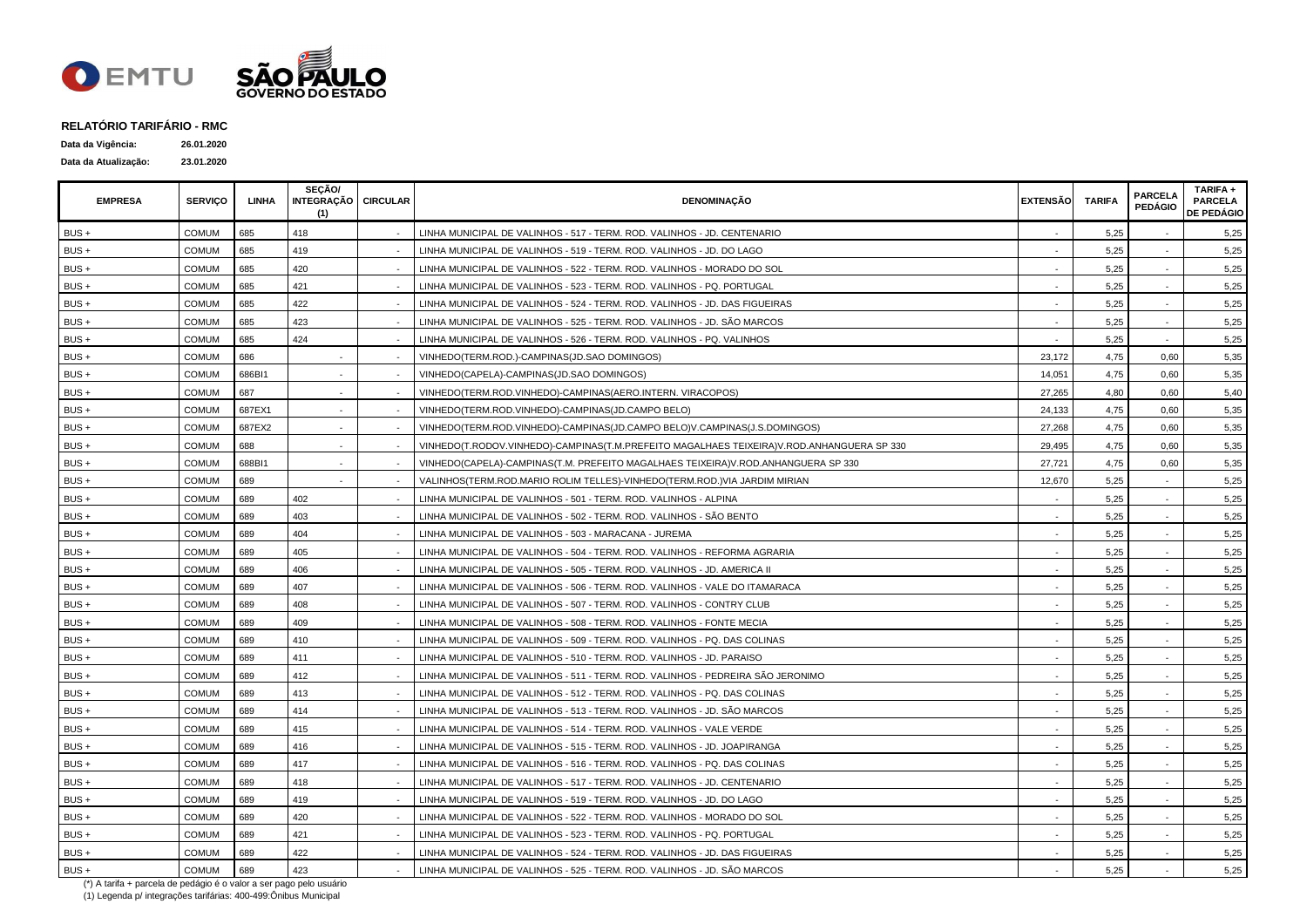

| Data da Vigência:    | 26.01.2020 |
|----------------------|------------|
| Data da Atualização: | 23.01.2020 |

| <b>EMPRESA</b> | <b>SERVICO</b> | <b>LINHA</b> | SECÃO/<br>INTEGRAÇÃO   CIRCULAR<br>(1) | <b>DENOMINAÇÃO</b>                                                                        | <b>EXTENSÃO</b> | <b>TARIFA</b> | <b>PARCELA</b><br><b>PEDÁGIO</b> | TARIFA +<br><b>PARCELA</b><br><b>DE PEDÁGIO</b> |
|----------------|----------------|--------------|----------------------------------------|-------------------------------------------------------------------------------------------|-----------------|---------------|----------------------------------|-------------------------------------------------|
| $BUS +$        | COMUM          | 685          | 418                                    | LINHA MUNICIPAL DE VALINHOS - 517 - TERM, ROD, VALINHOS - JD, CENTENARIO                  |                 | 5,25          |                                  | 5,25                                            |
| $BUS +$        | COMUM          | 685          | 419                                    | LINHA MUNICIPAL DE VALINHOS - 519 - TERM. ROD. VALINHOS - JD. DO LAGO                     |                 | 5,25          |                                  | 5,25                                            |
| BUS +          | <b>COMUM</b>   | 685          | 420                                    | LINHA MUNICIPAL DE VALINHOS - 522 - TERM. ROD. VALINHOS - MORADO DO SOL                   |                 | 5,25          |                                  | 5,25                                            |
| $BUS +$        | <b>COMUM</b>   | 685          | 421                                    | LINHA MUNICIPAL DE VALINHOS - 523 - TERM. ROD. VALINHOS - PQ. PORTUGAL                    |                 | 5.25          |                                  | 5,25                                            |
| $BUS +$        | <b>COMUM</b>   | 685          | 422                                    | LINHA MUNICIPAL DE VALINHOS - 524 - TERM. ROD. VALINHOS - JD. DAS FIGUEIRAS               |                 | 5,25          |                                  | 5,25                                            |
| BUS +          | COMUM          | 685          | 423                                    | LINHA MUNICIPAL DE VALINHOS - 525 - TERM. ROD. VALINHOS - JD. SÃO MARCOS                  |                 | 5,25          |                                  | 5,25                                            |
| BUS+           | <b>COMUM</b>   | 685          | 424                                    | LINHA MUNICIPAL DE VALINHOS - 526 - TERM. ROD. VALINHOS - PQ. VALINHOS                    |                 | 5,25          |                                  | 5,25                                            |
| BUS +          | <b>COMUM</b>   | 686          |                                        | VINHEDO(TERM.ROD.)-CAMPINAS(JD.SAO DOMINGOS)                                              | 23,172          | 4,75          | 0,60                             | 5,35                                            |
| BUS+           | <b>COMUM</b>   | 686BI1       | $\sim$                                 | VINHEDO(CAPELA)-CAMPINAS(JD.SAO DOMINGOS)                                                 | 14,051          | 4,75          | 0,60                             | 5,35                                            |
| BUS +          | <b>COMUM</b>   | 687          | $\sim$                                 | VINHEDO(TERM.ROD.VINHEDO)-CAMPINAS(AERO.INTERN. VIRACOPOS)                                | 27,265          | 4,80          | 0,60                             | 5,40                                            |
| BUS +          | COMUM          | 687EX1       |                                        | VINHEDO(TERM.ROD.VINHEDO)-CAMPINAS(JD.CAMPO BELO)                                         | 24,133          | 4,75          | 0,60                             | 5,35                                            |
| BUS +          | COMUM          | 687EX2       |                                        | VINHEDO(TERM.ROD.VINHEDO)-CAMPINAS(JD.CAMPO BELO)V.CAMPINAS(J.S.DOMINGOS)                 | 27,268          | 4,75          | 0,60                             | 5,35                                            |
| BUS +          | <b>COMUM</b>   | 688          |                                        | VINHEDO(T.RODOV.VINHEDO)-CAMPINAS(T.M.PREFEITO MAGALHAES TEIXEIRA)V.ROD.ANHANGUERA SP 330 | 29,495          | 4,75          | 0,60                             | 5,35                                            |
| BUS +          | <b>COMUM</b>   | 688BI1       |                                        | VINHEDO(CAPELA)-CAMPINAS(T.M. PREFEITO MAGALHAES TEIXEIRA)V.ROD.ANHANGUERA SP 330         | 27,721          | 4,75          | 0,60                             | 5,35                                            |
| BUS +          | <b>COMUM</b>   | 689          |                                        | VALINHOS(TERM.ROD.MARIO ROLIM TELLES)-VINHEDO(TERM.ROD.)VIA JARDIM MIRIAN                 | 12,670          | 5,25          |                                  | 5,25                                            |
| BUS +          | <b>COMUM</b>   | 689          | 402                                    | LINHA MUNICIPAL DE VALINHOS - 501 - TERM. ROD. VALINHOS - ALPINA                          |                 | 5,25          |                                  | 5,25                                            |
| BUS+           | <b>COMUM</b>   | 689          | 403                                    | LINHA MUNICIPAL DE VALINHOS - 502 - TERM. ROD. VALINHOS - SÃO BENTO                       |                 | 5,25          |                                  | 5,25                                            |
| BUS +          | <b>COMUM</b>   | 689          | 404                                    | LINHA MUNICIPAL DE VALINHOS - 503 - MARACANA - JUREMA                                     |                 | 5,25          |                                  | 5,25                                            |
| $BUS +$        | <b>COMUM</b>   | 689          | 405                                    | LINHA MUNICIPAL DE VALINHOS - 504 - TERM. ROD. VALINHOS - REFORMA AGRARIA                 |                 | 5,25          | $\sim$                           | 5,25                                            |
| BUS +          | <b>COMUM</b>   | 689          | 406                                    | LINHA MUNICIPAL DE VALINHOS - 505 - TERM. ROD. VALINHOS - JD. AMERICA II                  |                 | 5,25          |                                  | 5,25                                            |
| BUS +          | COMUM          | 689          | 407                                    | LINHA MUNICIPAL DE VALINHOS - 506 - TERM. ROD. VALINHOS - VALE DO ITAMARACA               |                 | 5,25          |                                  | 5,25                                            |
| $BUS +$        | COMUM          | 689          | 408                                    | LINHA MUNICIPAL DE VALINHOS - 507 - TERM. ROD. VALINHOS - CONTRY CLUB                     |                 | 5,25          |                                  | 5,25                                            |
| $BUS +$        | <b>COMUM</b>   | 689          | 409                                    | LINHA MUNICIPAL DE VALINHOS - 508 - TERM. ROD. VALINHOS - FONTE MECIA                     |                 | 5,25          |                                  | 5,25                                            |
| BUS +          | COMUM          | 689          | 410                                    | LINHA MUNICIPAL DE VALINHOS - 509 - TERM. ROD. VALINHOS - PQ. DAS COLINAS                 |                 | 5,25          |                                  | 5,25                                            |
| $BUS +$        | <b>COMUM</b>   | 689          | 411                                    | LINHA MUNICIPAL DE VALINHOS - 510 - TERM. ROD. VALINHOS - JD. PARAISO                     |                 | 5,25          |                                  | 5,25                                            |
| $BUS +$        | <b>COMUM</b>   | 689          | 412                                    | LINHA MUNICIPAL DE VALINHOS - 511 - TERM. ROD. VALINHOS - PEDREIRA SÃO JERONIMO           |                 | 5,25          |                                  | 5,25                                            |
| BUS+           | <b>COMUM</b>   | 689          | 413                                    | LINHA MUNICIPAL DE VALINHOS - 512 - TERM. ROD. VALINHOS - PQ. DAS COLINAS                 |                 | 5,25          |                                  | 5,25                                            |
| BUS+           | <b>COMUM</b>   | 689          | 414                                    | LINHA MUNICIPAL DE VALINHOS - 513 - TERM. ROD. VALINHOS - JD. SÃO MARCOS                  |                 | 5,25          |                                  | 5,25                                            |
| BUS +          | <b>COMUM</b>   | 689          | 415                                    | LINHA MUNICIPAL DE VALINHOS - 514 - TERM. ROD. VALINHOS - VALE VERDE                      |                 | 5,25          |                                  | 5,25                                            |
| $BUS +$        | <b>COMUM</b>   | 689          | 416                                    | LINHA MUNICIPAL DE VALINHOS - 515 - TERM. ROD. VALINHOS - JD. JOAPIRANGA                  |                 | 5,25          |                                  | 5,25                                            |
| $BUS +$        | <b>COMUM</b>   | 689          | 417                                    | LINHA MUNICIPAL DE VALINHOS - 516 - TERM. ROD. VALINHOS - PQ. DAS COLINAS                 |                 | 5,25          |                                  | 5,25                                            |
| BUS +          | COMUM          | 689          | 418                                    | LINHA MUNICIPAL DE VALINHOS - 517 - TERM. ROD. VALINHOS - JD. CENTENARIO                  |                 | 5,25          |                                  | 5,25                                            |
| BUS+           | <b>COMUM</b>   | 689          | 419                                    | LINHA MUNICIPAL DE VALINHOS - 519 - TERM. ROD. VALINHOS - JD. DO LAGO                     |                 | 5,25          |                                  | 5,25                                            |
| BUS +          | <b>COMUM</b>   | 689          | 420                                    | LINHA MUNICIPAL DE VALINHOS - 522 - TERM. ROD. VALINHOS - MORADO DO SOL                   |                 | 5,25          |                                  | 5,25                                            |
| $BUS +$        | <b>COMUM</b>   | 689          | 421                                    | LINHA MUNICIPAL DE VALINHOS - 523 - TERM. ROD. VALINHOS - PQ. PORTUGAL                    |                 | 5,25          |                                  | 5,25                                            |
| BUS +          | <b>COMUM</b>   | 689          | 422                                    | LINHA MUNICIPAL DE VALINHOS - 524 - TERM. ROD. VALINHOS - JD. DAS FIGUEIRAS               |                 | 5,25          |                                  | 5,25                                            |
| BUS +          | <b>COMUM</b>   | 689          | 423                                    | LINHA MUNICIPAL DE VALINHOS - 525 - TERM. ROD. VALINHOS - JD. SÃO MARCOS                  |                 | 5,25          |                                  | 5,25                                            |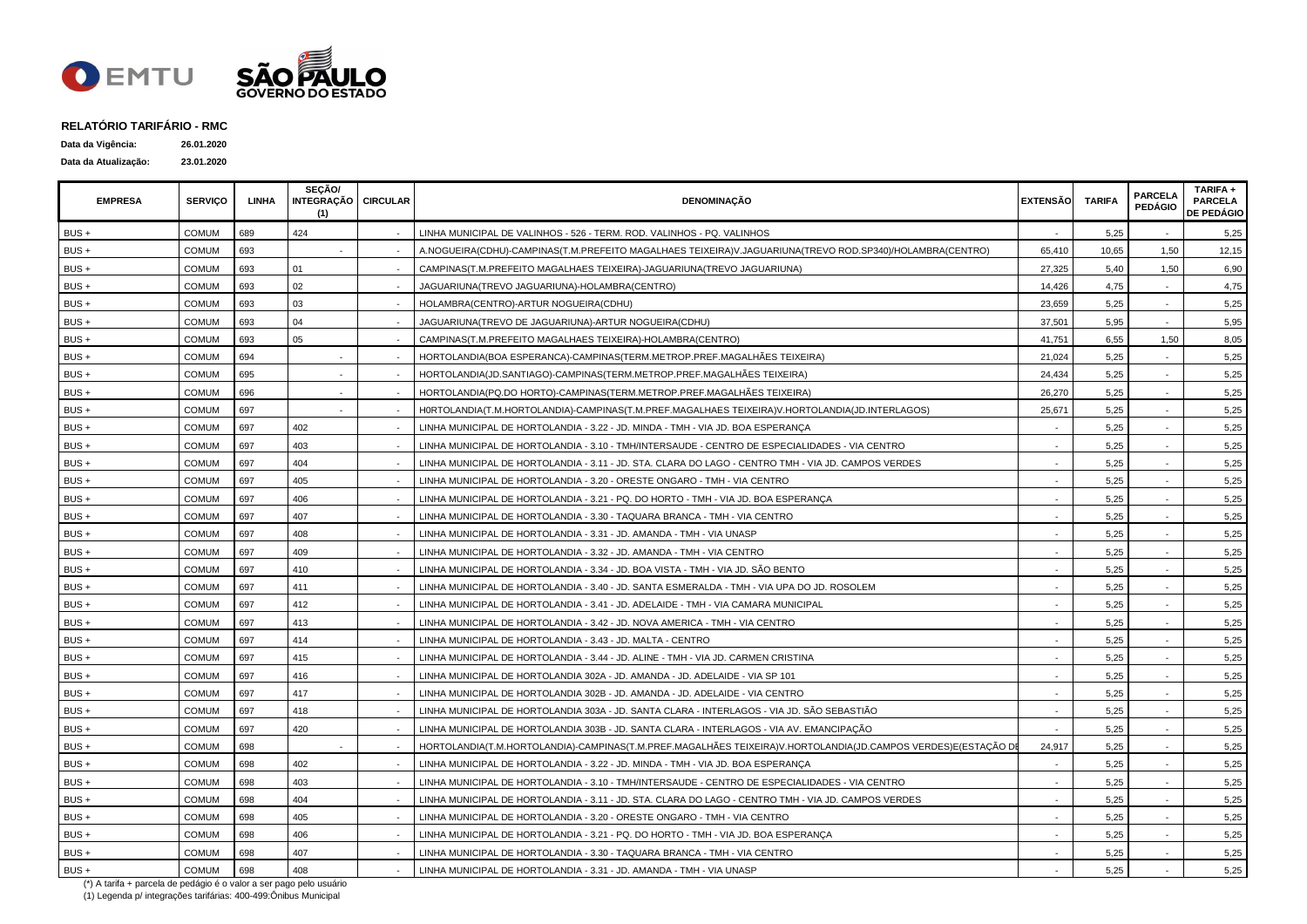

| Data da Vigência:    | 26.01.2020 |
|----------------------|------------|
| Data da Atualização: | 23.01.2020 |

| <b>EMPRESA</b> | <b>SERVICO</b> | LINHA | SECÃO/<br>INTEGRAÇÃO CIRCULAR<br>(1) | <b>DENOMINAÇÃO</b>                                                                                            | <b>EXTENSÃO</b> | <b>TARIFA</b> | <b>PARCELA</b><br><b>PEDÁGIO</b> | TARIFA +<br><b>PARCELA</b><br><b>DE PEDÁGIO</b> |
|----------------|----------------|-------|--------------------------------------|---------------------------------------------------------------------------------------------------------------|-----------------|---------------|----------------------------------|-------------------------------------------------|
| BUS +          | COMUM          | 689   | 424                                  | LINHA MUNICIPAL DE VALINHOS - 526 - TERM. ROD. VALINHOS - PQ. VALINHOS                                        |                 | 5,25          |                                  | 5,25                                            |
| $BUS +$        | COMUM          | 693   |                                      | A.NOGUEIRA(CDHU)-CAMPINAS(T.M.PREFEITO MAGALHAES TEIXEIRA)V.JAGUARIUNA(TREVO ROD.SP340)/HOLAMBRA(CENTRO)      | 65,410          | 10,65         | 1,50                             | 12,15                                           |
| BUS +          | COMUM          | 693   | 01                                   | CAMPINAS(T.M.PREFEITO MAGALHAES TEIXEIRA)-JAGUARIUNA(TREVO JAGUARIUNA)                                        | 27,325          | 5,40          | 1,50                             | 6,90                                            |
| BUS +          | <b>COMUM</b>   | 693   | 02                                   | JAGUARIUNA(TREVO JAGUARIUNA)-HOLAMBRA(CENTRO)                                                                 | 14,426          | 4,75          |                                  | 4,75                                            |
| BUS +          | <b>COMUM</b>   | 693   | 03                                   | HOLAMBRA(CENTRO)-ARTUR NOGUEIRA(CDHU)                                                                         | 23,659          | 5,25          |                                  | 5,25                                            |
| BUS +          | <b>COMUM</b>   | 693   | 04                                   | JAGUARIUNA(TREVO DE JAGUARIUNA)-ARTUR NOGUEIRA(CDHU)                                                          | 37,501          | 5,95          |                                  | 5,95                                            |
| BUS +          | <b>COMUM</b>   | 693   | 05                                   | CAMPINAS(T.M.PREFEITO MAGALHAES TEIXEIRA)-HOLAMBRA(CENTRO)                                                    | 41,751          | 6,55          | 1,50                             | 8,05                                            |
| BUS +          | <b>COMUM</b>   | 694   |                                      | HORTOLANDIA(BOA ESPERANCA)-CAMPINAS(TERM.METROP.PREF.MAGALHÃES TEIXEIRA)                                      | 21,024          | 5,25          |                                  | 5,25                                            |
| BUS +          | <b>COMUM</b>   | 695   |                                      | HORTOLANDIA(JD.SANTIAGO)-CAMPINAS(TERM.METROP.PREF.MAGALHÃES TEIXEIRA)                                        | 24,434          | 5,25          |                                  | 5,25                                            |
| BUS +          | <b>COMUM</b>   | 696   |                                      | HORTOLANDIA(PQ.DO HORTO)-CAMPINAS(TERM.METROP.PREF.MAGALHÃES TEIXEIRA)                                        | 26,270          | 5,25          | $\blacksquare$                   | 5,25                                            |
| BUS +          | COMUM          | 697   | $\sim$                               | H0RTOLANDIA(T.M.HORTOLANDIA)-CAMPINAS(T.M.PREF.MAGALHAES TEIXEIRA)V.HORTOLANDIA(JD.INTERLAGOS)                | 25,671          | 5,25          |                                  | 5,25                                            |
| BUS +          | COMUM          | 697   | 402                                  | LINHA MUNICIPAL DE HORTOLANDIA - 3.22 - JD. MINDA - TMH - VIA JD. BOA ESPERANÇA                               |                 | 5,25          |                                  | 5,25                                            |
| $BUS +$        | <b>COMUM</b>   | 697   | 403                                  | LINHA MUNICIPAL DE HORTOLANDIA - 3.10 - TMH/INTERSAUDE - CENTRO DE ESPECIALIDADES - VIA CENTRO                |                 | 5,25          |                                  | 5,25                                            |
| BUS +          | <b>COMUM</b>   | 697   | 404                                  | LINHA MUNICIPAL DE HORTOLANDIA - 3.11 - JD. STA. CLARA DO LAGO - CENTRO TMH - VIA JD. CAMPOS VERDES           |                 | 5.25          |                                  | 5,25                                            |
| $BUS +$        | <b>COMUM</b>   | 697   | 405                                  | LINHA MUNICIPAL DE HORTOLANDIA - 3.20 - ORESTE ONGARO - TMH - VIA CENTRO                                      |                 | 5,25          |                                  | 5,25                                            |
| BUS +          | COMUM          | 697   | 406                                  | LINHA MUNICIPAL DE HORTOLANDIA - 3.21 - PQ. DO HORTO - TMH - VIA JD. BOA ESPERANÇA                            |                 | 5,25          |                                  | 5,25                                            |
| BUS +          | <b>COMUM</b>   | 697   | 407                                  | LINHA MUNICIPAL DE HORTOLANDIA - 3.30 - TAQUARA BRANCA - TMH - VIA CENTRO                                     |                 | 5,25          |                                  | 5,25                                            |
| BUS +          | <b>COMUM</b>   | 697   | 408                                  | LINHA MUNICIPAL DE HORTOLANDIA - 3.31 - JD. AMANDA - TMH - VIA UNASP                                          |                 | 5,25          |                                  | 5,25                                            |
| BUS +          | <b>COMUM</b>   | 697   | 409                                  | LINHA MUNICIPAL DE HORTOLANDIA - 3.32 - JD. AMANDA - TMH - VIA CENTRO                                         |                 | 5,25          |                                  | 5,25                                            |
| BUS +          | <b>COMUM</b>   | 697   | 410                                  | LINHA MUNICIPAL DE HORTOLANDIA - 3.34 - JD. BOA VISTA - TMH - VIA JD. SÃO BENTO                               |                 | 5,25          | $\blacksquare$                   | 5,25                                            |
| BUS +          | COMUM          | 697   | 411                                  | LINHA MUNICIPAL DE HORTOLANDIA - 3.40 - JD. SANTA ESMERALDA - TMH - VIA UPA DO JD. ROSOLEM                    |                 | 5,25          |                                  | 5,25                                            |
| BUS +          | COMUM          | 697   | 412                                  | LINHA MUNICIPAL DE HORTOLANDIA - 3.41 - JD. ADELAIDE - TMH - VIA CAMARA MUNICIPAL                             |                 | 5,25          |                                  | 5,25                                            |
| BUS +          | <b>COMUM</b>   | 697   | 413                                  | LINHA MUNICIPAL DE HORTOLANDIA - 3.42 - JD. NOVA AMERICA - TMH - VIA CENTRO                                   |                 | 5,25          |                                  | 5,25                                            |
| BUS +          | COMUM          | 697   | 414                                  | LINHA MUNICIPAL DE HORTOLANDIA - 3.43 - JD. MALTA - CENTRO                                                    |                 | 5,25          |                                  | 5,25                                            |
| $BUS +$        | <b>COMUM</b>   | 697   | 415                                  | LINHA MUNICIPAL DE HORTOLANDIA - 3.44 - JD. ALINE - TMH - VIA JD. CARMEN CRISTINA                             |                 | 5.25          |                                  | 5,25                                            |
| $BUS +$        | <b>COMUM</b>   | 697   | 416                                  | LINHA MUNICIPAL DE HORTOLANDIA 302A - JD. AMANDA - JD. ADELAIDE - VIA SP 101                                  |                 | 5,25          |                                  | 5,25                                            |
| BUS +          | <b>COMUM</b>   | 697   | 417                                  | LINHA MUNICIPAL DE HORTOLANDIA 302B - JD. AMANDA - JD. ADELAIDE - VIA CENTRO                                  |                 | 5,25          |                                  | 5,25                                            |
| $BUS +$        | <b>COMUM</b>   | 697   | 418                                  | LINHA MUNICIPAL DE HORTOLANDIA 303A - JD. SANTA CLARA - INTERLAGOS - VIA JD. SÃO SEBASTIÃO                    |                 | 5,25          |                                  | 5,25                                            |
| BUS +          | COMUM          | 697   | 420                                  | LINHA MUNICIPAL DE HORTOLANDIA 303B - JD. SANTA CLARA - INTERLAGOS - VIA AV. EMANCIPAÇÃO                      |                 | 5,25          |                                  | 5,25                                            |
| BUS +          | <b>COMUM</b>   | 698   |                                      | HORTOLANDIA(T.M.HORTOLANDIA)-CAMPINAS(T.M.PREF.MAGALHÃES TEIXEIRA)V.HORTOLANDIA(JD.CAMPOS VERDES)E(ESTAÇÃO DB | 24,917          | 5,25          |                                  | 5,25                                            |
| $BUS +$        | <b>COMUM</b>   | 698   | 402                                  | LINHA MUNICIPAL DE HORTOLANDIA - 3.22 - JD. MINDA - TMH - VIA JD. BOA ESPERANCA                               |                 | 5,25          |                                  | 5,25                                            |
| BUS +          | COMUM          | 698   | 403                                  | LINHA MUNICIPAL DE HORTOLANDIA - 3.10 - TMH/INTERSAUDE - CENTRO DE ESPECIALIDADES - VIA CENTRO                |                 | 5,25          |                                  | 5,25                                            |
| BUS +          | <b>COMUM</b>   | 698   | 404                                  | LINHA MUNICIPAL DE HORTOLANDIA - 3.11 - JD. STA. CLARA DO LAGO - CENTRO TMH - VIA JD. CAMPOS VERDES           |                 | 5,25          |                                  | 5,25                                            |
| BUS +          | COMUM          | 698   | 405                                  | LINHA MUNICIPAL DE HORTOLANDIA - 3.20 - ORESTE ONGARO - TMH - VIA CENTRO                                      |                 | 5,25          |                                  | 5,25                                            |
| BUS +          | COMUM          | 698   | 406                                  | LINHA MUNICIPAL DE HORTOLANDIA - 3.21 - PQ. DO HORTO - TMH - VIA JD. BOA ESPERANÇA                            |                 | 5,25          |                                  | 5,25                                            |
| BUS +          | <b>COMUM</b>   | 698   | 407                                  | LINHA MUNICIPAL DE HORTOLANDIA - 3.30 - TAQUARA BRANCA - TMH - VIA CENTRO                                     |                 | 5,25          |                                  | 5,25                                            |
| BUS +          | <b>COMUM</b>   | 698   | 408                                  | LINHA MUNICIPAL DE HORTOLANDIA - 3.31 - JD. AMANDA - TMH - VIA UNASP                                          |                 | 5,25          |                                  | 5,25                                            |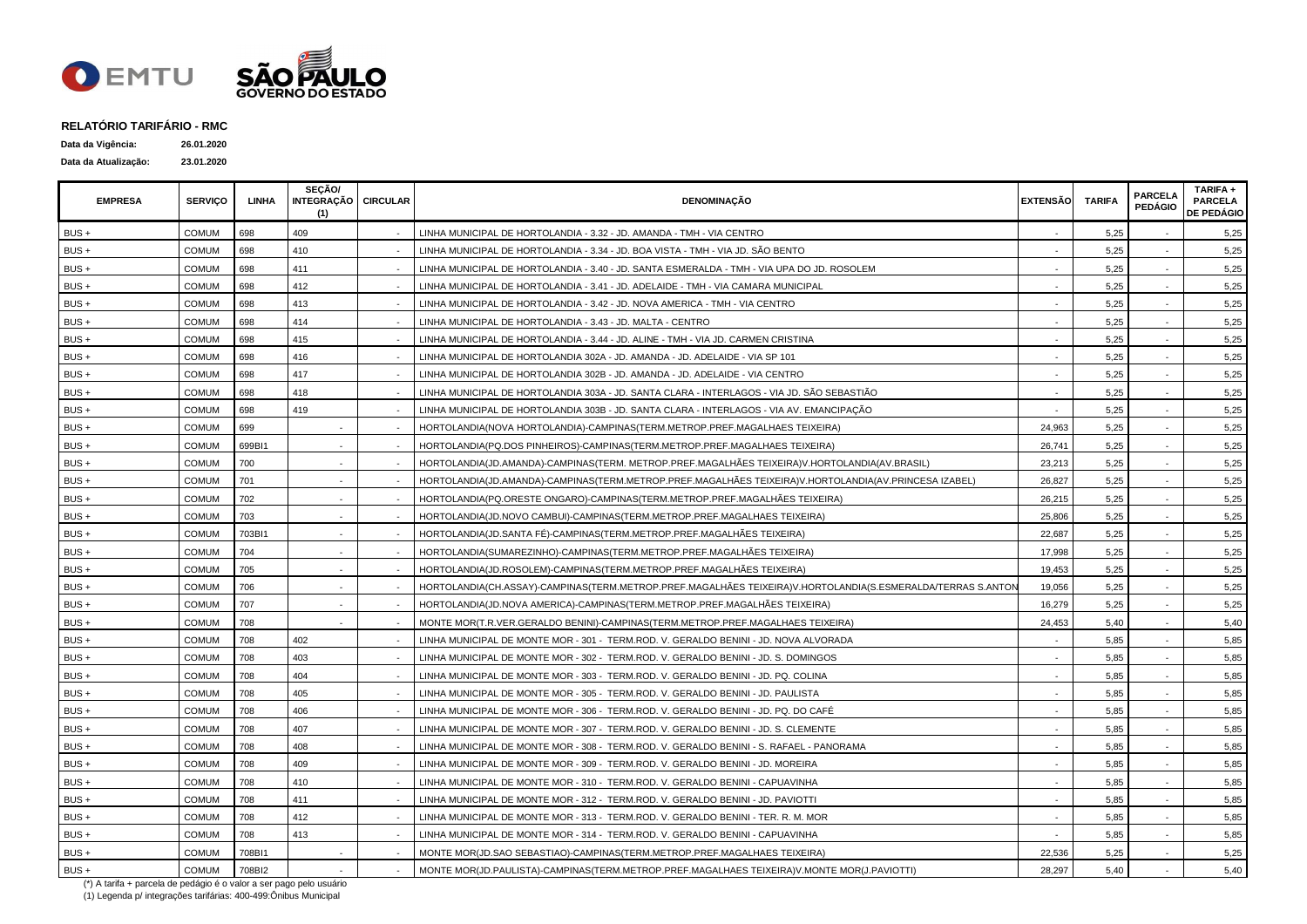

| Data da Vigência:    | 26.01.2020 |
|----------------------|------------|
| Data da Atualização: | 23.01.2020 |

| <b>EMPRESA</b> | <b>SERVICO</b> | LINHA  | SECÃO/<br>INTEGRAÇÃO   CIRCULAR<br>(1) | <b>DENOMINAÇÃO</b>                                                                                          | <b>EXTENSÃO</b> | <b>TARIFA</b> | <b>PARCELA</b><br><b>PEDÁGIO</b> | TARIFA+<br><b>PARCELA</b><br><b>DE PEDÁGIO</b> |
|----------------|----------------|--------|----------------------------------------|-------------------------------------------------------------------------------------------------------------|-----------------|---------------|----------------------------------|------------------------------------------------|
| BUS +          | COMUM          | 698    | 409                                    | LINHA MUNICIPAL DE HORTOLANDIA - 3.32 - JD. AMANDA - TMH - VIA CENTRO                                       |                 | 5,25          |                                  | 5,25                                           |
| BUS +          | COMUM          | 698    | 410                                    | LINHA MUNICIPAL DE HORTOLANDIA - 3.34 - JD. BOA VISTA - TMH - VIA JD. SÃO BENTO                             |                 | 5,25          |                                  | 5,25                                           |
| BUS +          | COMUM          | 698    | 411                                    | LINHA MUNICIPAL DE HORTOLANDIA - 3.40 - JD. SANTA ESMERALDA - TMH - VIA UPA DO JD. ROSOLEM                  |                 | 5,25          |                                  | 5,25                                           |
| BUS +          | COMUM          | 698    | 412                                    | LINHA MUNICIPAL DE HORTOLANDIA - 3.41 - JD. ADELAIDE - TMH - VIA CAMARA MUNICIPAL                           |                 | 5,25          |                                  | 5,25                                           |
| $BUS +$        | <b>COMUM</b>   | 698    | 413                                    | LINHA MUNICIPAL DE HORTOLANDIA - 3.42 - JD. NOVA AMERICA - TMH - VIA CENTRO                                 |                 | 5,25          |                                  | 5,25                                           |
| BUS +          | COMUM          | 698    | 414                                    | LINHA MUNICIPAL DE HORTOLANDIA - 3.43 - JD. MALTA - CENTRO                                                  |                 | 5,25          |                                  | 5,25                                           |
| BUS +          | <b>COMUM</b>   | 698    | 415                                    | LINHA MUNICIPAL DE HORTOLANDIA - 3.44 - JD. ALINE - TMH - VIA JD. CARMEN CRISTINA                           |                 | 5,25          |                                  | 5,25                                           |
| BUS +          | <b>COMUM</b>   | 698    | 416                                    | LINHA MUNICIPAL DE HORTOLANDIA 302A - JD. AMANDA - JD. ADELAIDE - VIA SP 101                                |                 | 5,25          |                                  | 5,25                                           |
| BUS +          | <b>COMUM</b>   | 698    | 417                                    | LINHA MUNICIPAL DE HORTOLANDIA 302B - JD. AMANDA - JD. ADELAIDE - VIA CENTRO                                |                 | 5,25          |                                  | 5,25                                           |
| $BUS +$        | <b>COMUM</b>   | 698    | 418                                    | LINHA MUNICIPAL DE HORTOLANDIA 303A - JD. SANTA CLARA - INTERLAGOS - VIA JD. SÃO SEBASTIÃO                  |                 | 5,25          |                                  | 5,25                                           |
| $BUS +$        | COMUM          | 698    | 419                                    | LINHA MUNICIPAL DE HORTOLANDIA 303B - JD. SANTA CLARA - INTERLAGOS - VIA AV. EMANCIPAÇÃO                    |                 | 5,25          |                                  | 5,25                                           |
| $BUS +$        | COMUM          | 699    |                                        | HORTOLANDIA(NOVA HORTOLANDIA)-CAMPINAS(TERM.METROP.PREF.MAGALHAES TEIXEIRA)                                 | 24,963          | 5,25          |                                  | 5,25                                           |
| BUS +          | <b>COMUM</b>   | 699BI1 |                                        | HORTOLANDIA(PQ.DOS PINHEIROS)-CAMPINAS(TERM.METROP.PREF.MAGALHAES TEIXEIRA)                                 | 26,741          | 5,25          |                                  | 5,25                                           |
| BUS +          | COMUM          | 700    |                                        | HORTOLANDIA(JD.AMANDA)-CAMPINAS(TERM. METROP.PREF.MAGALHÃES TEIXEIRA)V.HORTOLANDIA(AV.BRASIL)               | 23,213          | 5,25          |                                  | 5,25                                           |
| BUS +          | COMUM          | 701    |                                        | HORTOLANDIA(JD.AMANDA)-CAMPINAS(TERM.METROP.PREF.MAGALHÁES TEIXEIRA)V.HORTOLANDIA(AV.PRINCESA IZABEL)       | 26,827          | 5,25          |                                  | 5,25                                           |
| BUS +          | COMUM          | 702    |                                        | HORTOLANDIA(PQ.ORESTE ONGARO)-CAMPINAS(TERM.METROP.PREF.MAGALHÃES TEIXEIRA)                                 | 26,215          | 5,25          |                                  | 5,25                                           |
| $BUS +$        | COMUM          | 703    |                                        | HORTOLANDIA(JD.NOVO CAMBUI)-CAMPINAS(TERM.METROP.PREF.MAGALHAES TEIXEIRA)                                   | 25,806          | 5,25          |                                  | 5,25                                           |
| BUS +          | <b>COMUM</b>   | 703BI1 |                                        | HORTOLANDIA(JD.SANTA FÉ)-CAMPINAS(TERM.METROP.PREF.MAGALHÃES TEIXEIRA)                                      | 22,687          | 5,25          |                                  | 5,25                                           |
| BUS +          | <b>COMUM</b>   | 704    |                                        | HORTOLANDIA(SUMAREZINHO)-CAMPINAS(TERM.METROP.PREF.MAGALHÃES TEIXEIRA)                                      | 17,998          | 5,25          |                                  | 5,25                                           |
| BUS +          | <b>COMUM</b>   | 705    |                                        | HORTOLANDIA(JD.ROSOLEM)-CAMPINAS(TERM.METROP.PREF.MAGALHÃES TEIXEIRA)                                       | 19,453          | 5,25          |                                  | 5,25                                           |
| $BUS +$        | <b>COMUM</b>   | 706    |                                        | HORTOLANDIA(CH.ASSAY)-CAMPINAS(TERM.METROP.PREF.MAGALHÃES TEIXEIRA)V.HORTOLANDIA(S.ESMERALDA/TERRAS S.ANTON | 19,056          | 5,25          |                                  | 5,25                                           |
| $BUS +$        | <b>COMUM</b>   | 707    |                                        | HORTOLANDIA(JD.NOVA AMERICA)-CAMPINAS(TERM.METROP.PREF.MAGALHÃES TEIXEIRA)                                  | 16,279          | 5,25          | $\blacksquare$                   | 5,25                                           |
| BUS +          | COMUM          | 708    |                                        | MONTE MOR(T.R.VER.GERALDO BENINI)-CAMPINAS(TERM.METROP.PREF.MAGALHAES TEIXEIRA)                             | 24,453          | 5,40          |                                  | 5,40                                           |
| BUS +          | COMUM          | 708    | 402                                    | LINHA MUNICIPAL DE MONTE MOR - 301 -  TERM.ROD. V. GERALDO BENINI - JD. NOVA ALVORADA                       |                 | 5,85          |                                  | 5,85                                           |
| BUS +          | <b>COMUM</b>   | 708    | 403                                    | LINHA MUNICIPAL DE MONTE MOR - 302 - TERM.ROD. V. GERALDO BENINI - JD. S. DOMINGOS                          |                 | 5,85          |                                  | 5,85                                           |
| $BUS +$        | COMUM          | 708    | 404                                    | LINHA MUNICIPAL DE MONTE MOR - 303 - TERM.ROD. V. GERALDO BENINI - JD. PQ. COLINA                           |                 | 5,85          |                                  | 5,85                                           |
| BUS +          | COMUM          | 708    | 405                                    | LINHA MUNICIPAL DE MONTE MOR - 305 - TERM.ROD. V. GERALDO BENINI - JD. PAULISTA                             |                 | 5,85          |                                  | 5,85                                           |
| BUS +          | <b>COMUM</b>   | 708    | 406                                    | LINHA MUNICIPAL DE MONTE MOR - 306 - TERM.ROD. V. GERALDO BENINI - JD. PQ. DO CAFÉ                          |                 | 5,85          |                                  | 5,85                                           |
| BUS +          | <b>COMUM</b>   | 708    | 407                                    | LINHA MUNICIPAL DE MONTE MOR - 307 - TERM.ROD. V. GERALDO BENINI - JD. S. CLEMENTE                          |                 | 5,85          |                                  | 5,85                                           |
| BUS +          | <b>COMUM</b>   | 708    | 408                                    | LINHA MUNICIPAL DE MONTE MOR - 308 - TERM.ROD. V. GERALDO BENINI - S. RAFAEL - PANORAMA                     |                 | 5,85          |                                  | 5,85                                           |
| BUS +          | <b>COMUM</b>   | 708    | 409                                    | LINHA MUNICIPAL DE MONTE MOR - 309 - TERM.ROD. V. GERALDO BENINI - JD. MOREIRA                              |                 | 5,85          |                                  | 5,85                                           |
| $BUS +$        | <b>COMUM</b>   | 708    | 410                                    | LINHA MUNICIPAL DE MONTE MOR - 310 - TERM.ROD, V. GERALDO BENINI - CAPUAVINHA                               |                 | 5,85          |                                  | 5,85                                           |
| $BUS +$        | <b>COMUM</b>   | 708    | 411                                    | LINHA MUNICIPAL DE MONTE MOR - 312 - TERM.ROD. V. GERALDO BENINI - JD. PAVIOTTI                             | $\sim$          | 5,85          | $\sim$                           | 5,85                                           |
| BUS+           | COMUM          | 708    | 412                                    | LINHA MUNICIPAL DE MONTE MOR - 313 - TERM.ROD. V. GERALDO BENINI - TER. R. M. MOR                           |                 | 5,85          |                                  | 5,85                                           |
| BUS+           | COMUM          | 708    | 413                                    | LINHA MUNICIPAL DE MONTE MOR - 314 -  TERM.ROD. V. GERALDO BENINI - CAPUAVINHA                              |                 | 5,85          |                                  | 5,85                                           |
| BUS +          | COMUM          | 708BI1 |                                        | MONTE MOR(JD.SAO SEBASTIAO)-CAMPINAS(TERM.METROP.PREF.MAGALHAES TEIXEIRA)                                   | 22,536          | 5,25          |                                  | 5,25                                           |
| $BUS +$        | <b>COMUM</b>   | 708BI2 |                                        | MONTE MOR(J.D.PAULISTA)-CAMPINAS(TERM.METROP.PREF.MAGALHAES TEIXEIRA)V.MONTE MOR(J.PAVIOTTI)                | 28,297          | 5,40          |                                  | 5,40                                           |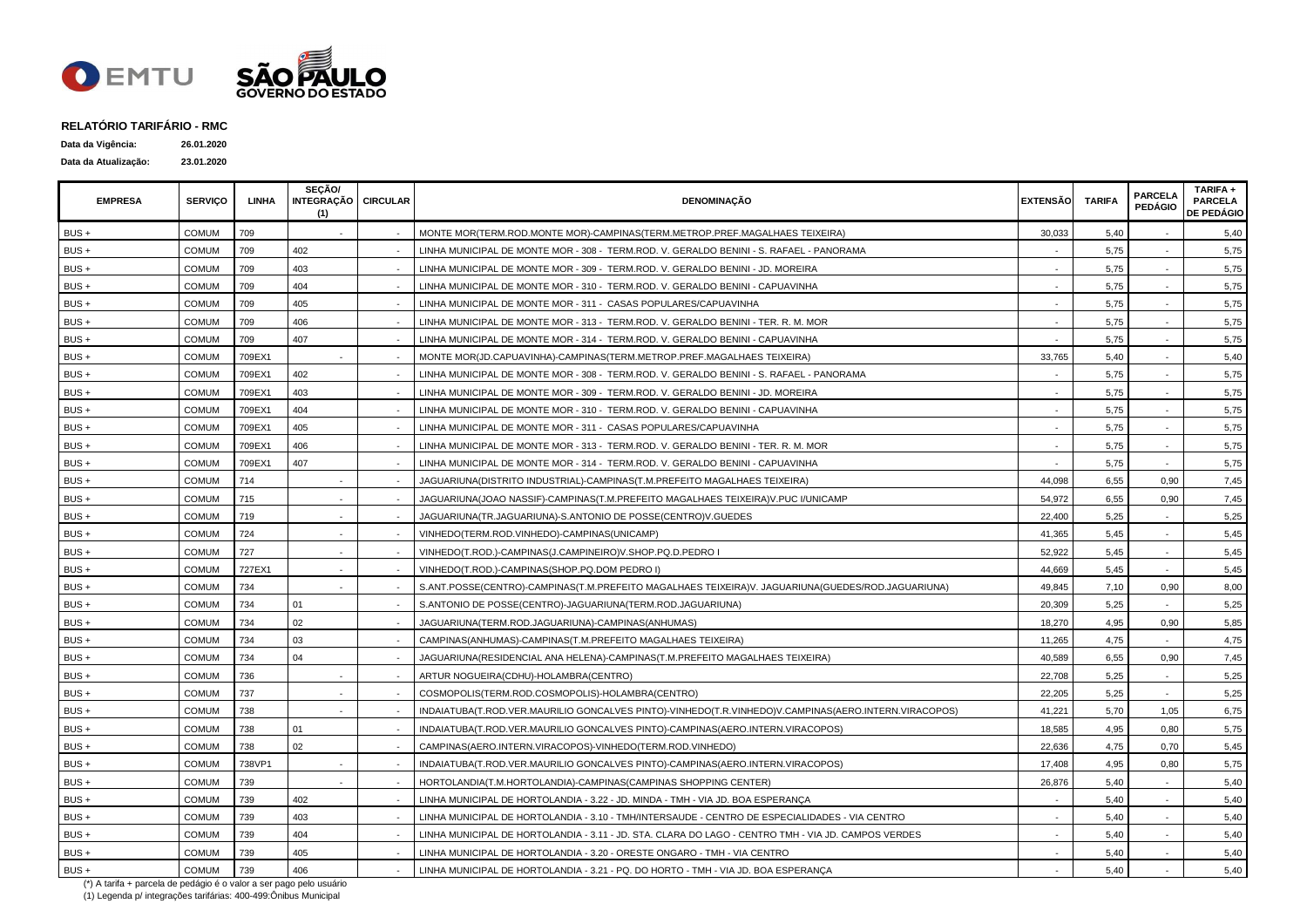

| Data da Vigência:    | 26.01.2020 |
|----------------------|------------|
| Data da Atualização: | 23.01.2020 |

| <b>EMPRESA</b> | <b>SERVICO</b> | <b>LINHA</b> | SECÃO/<br>INTEGRAÇÃO CIRCULAR<br>(1) | <b>DENOMINAÇÃO</b>                                                                                   | <b>EXTENSÃO</b> | <b>TARIFA</b> | <b>PARCELA</b><br><b>PEDÁGIO</b> | TARIFA +<br><b>PARCELA</b><br><b>DE PEDÁGIO</b> |
|----------------|----------------|--------------|--------------------------------------|------------------------------------------------------------------------------------------------------|-----------------|---------------|----------------------------------|-------------------------------------------------|
| BUS +          | <b>COMUM</b>   | 709          |                                      | MONTE MOR(TERM.ROD.MONTE MOR)-CAMPINAS(TERM.METROP.PREF.MAGALHAES TEIXEIRA)                          | 30,033          | 5,40          |                                  | 5,40                                            |
| $BUS +$        | COMUM          | 709          | 402                                  | LINHA MUNICIPAL DE MONTE MOR - 308 - TERM.ROD. V. GERALDO BENINI - S. RAFAEL - PANORAMA              |                 | 5,75          |                                  | 5,75                                            |
| BUS+           | <b>COMUM</b>   | 709          | 403                                  | LINHA MUNICIPAL DE MONTE MOR - 309 - TERM.ROD. V. GERALDO BENINI - JD. MOREIRA                       |                 | 5,75          |                                  | 5,75                                            |
| BUS +          | COMUM          | 709          | 404                                  | LINHA MUNICIPAL DE MONTE MOR - 310 - TERM.ROD. V. GERALDO BENINI - CAPUAVINHA                        |                 | 5,75          |                                  | 5,75                                            |
| BUS +          | <b>COMUM</b>   | 709          | 405                                  | LINHA MUNICIPAL DE MONTE MOR - 311 - CASAS POPULARES/CAPUAVINHA                                      |                 | 5,75          |                                  | 5,75                                            |
| BUS+           | <b>COMUM</b>   | 709          | 406                                  | LINHA MUNICIPAL DE MONTE MOR - 313 - TERM.ROD. V. GERALDO BENINI - TER. R. M. MOR                    |                 | 5,75          |                                  | 5,75                                            |
| BUS +          | <b>COMUM</b>   | 709          | 407                                  | LINHA MUNICIPAL DE MONTE MOR - 314 - TERM.ROD. V. GERALDO BENINI - CAPUAVINHA                        |                 | 5,75          |                                  | 5,75                                            |
| $BUS +$        | <b>COMUM</b>   | 709EX1       |                                      | MONTE MOR(JD.CAPUAVINHA)-CAMPINAS(TERM.METROP.PREF.MAGALHAES TEIXEIRA)                               | 33,765          | 5,40          |                                  | 5,40                                            |
| $BUS +$        | COMUM          | 709EX1       | 402                                  | LINHA MUNICIPAL DE MONTE MOR - 308 - TERM.ROD. V. GERALDO BENINI - S. RAFAEL - PANORAMA              |                 | 5,75          |                                  | 5,75                                            |
| BUS +          | <b>COMUM</b>   | 709EX1       | 403                                  | LINHA MUNICIPAL DE MONTE MOR - 309 - TERM.ROD. V. GERALDO BENINI - JD. MOREIRA                       |                 | 5,75          | $\sim$                           | 5,75                                            |
| $BUS +$        | <b>COMUM</b>   | 709EX1       | 404                                  | LINHA MUNICIPAL DE MONTE MOR - 310 - TERM.ROD. V. GERALDO BENINI - CAPUAVINHA                        |                 | 5,75          |                                  | 5,75                                            |
| $BUS +$        | <b>COMUM</b>   | 709EX1       | 405                                  | LINHA MUNICIPAL DE MONTE MOR - 311 - CASAS POPULARES/CAPUAVINHA                                      |                 | 5,75          |                                  | 5,75                                            |
| BUS +          | <b>COMUM</b>   | 709EX1       | 406                                  | LINHA MUNICIPAL DE MONTE MOR - 313 - TERM.ROD. V. GERALDO BENINI - TER. R. M. MOR                    |                 | 5,75          |                                  | 5,75                                            |
| BUS +          | <b>COMUM</b>   | 709EX1       | 407                                  | LINHA MUNICIPAL DE MONTE MOR - 314 - TERM.ROD. V. GERALDO BENINI - CAPUAVINHA                        |                 | 5,75          |                                  | 5,75                                            |
| BUS +          | <b>COMUM</b>   | 714          |                                      | JAGUARIUNA(DISTRITO INDUSTRIAL)-CAMPINAS(T.M.PREFEITO MAGALHAES TEIXEIRA)                            | 44,098          | 6,55          | 0,90                             | 7,45                                            |
| BUS +          | <b>COMUM</b>   | 715          |                                      | JAGUARIUNA(JOAO NASSIF)-CAMPINAS(T.M.PREFEITO MAGALHAES TEIXEIRA)V.PUC I/UNICAMP                     | 54,972          | 6,55          | 0,90                             | 7,45                                            |
| BUS +          | <b>COMUM</b>   | 719          |                                      | JAGUARIUNA(TR.JAGUARIUNA)-S.ANTONIO DE POSSE(CENTRO)V.GUEDES                                         | 22,400          | 5,25          |                                  | 5,25                                            |
| $BUS +$        | <b>COMUM</b>   | 724          |                                      | VINHEDO(TERM.ROD.VINHEDO)-CAMPINAS(UNICAMP)                                                          | 41,365          | 5,45          |                                  | 5,45                                            |
| $BUS +$        | <b>COMUM</b>   | 727          |                                      | VINHEDO(T.ROD.)-CAMPINAS(J.CAMPINEIRO)V.SHOP.PQ.D.PEDRO I                                            | 52.922          | 5.45          |                                  | 5,45                                            |
| $BUS +$        | COMUM          | 727EX1       | $\sim$                               | VINHEDO(T.ROD.)-CAMPINAS(SHOP.PQ.DOM PEDRO I)                                                        | 44,669          | 5,45          | $\sim$                           | 5,45                                            |
| BUS+           | COMUM          | 734          |                                      | S.ANT.POSSE(CENTRO)-CAMPINAS(T.M.PREFEITO MAGALHAES TEIXEIRA)V. JAGUARIUNA(GUEDES/ROD.JAGUARIUNA)    | 49,845          | 7,10          | 0.90                             | 8,00                                            |
| BUS+           | COMUM          | 734          | 01                                   | S.ANTONIO DE POSSE(CENTRO)-JAGUARIUNA(TERM.ROD.JAGUARIUNA)                                           | 20,309          | 5,25          |                                  | 5,25                                            |
| BUS +          | <b>COMUM</b>   | 734          | 02                                   | JAGUARIUNA(TERM.ROD.JAGUARIUNA)-CAMPINAS(ANHUMAS)                                                    | 18,270          | 4,95          | 0,90                             | 5,85                                            |
| BUS +          | <b>COMUM</b>   | 734          | 03                                   | CAMPINAS(ANHUMAS)-CAMPINAS(T.M.PREFEITO MAGALHAES TEIXEIRA)                                          | 11,265          | 4,75          |                                  | 4,75                                            |
| BUS +          | <b>COMUM</b>   | 734          | 04                                   | JAGUARIUNA(RESIDENCIAL ANA HELENA)-CAMPINAS(T.M.PREFEITO MAGALHAES TEIXEIRA)                         | 40,589          | 6,55          | 0,90                             | 7,45                                            |
| BUS +          | <b>COMUM</b>   | 736          |                                      | ARTUR NOGUEIRA(CDHU)-HOLAMBRA(CENTRO)                                                                | 22,708          | 5,25          |                                  | 5,25                                            |
| BUS +          | <b>COMUM</b>   | 737          |                                      | COSMOPOLIS(TERM.ROD.COSMOPOLIS)-HOLAMBRA(CENTRO)                                                     | 22,205          | 5,25          |                                  | 5,25                                            |
| $BUS +$        | <b>COMUM</b>   | 738          |                                      | INDAIATUBA(T.ROD.VER.MAURILIO GONCALVES PINTO)-VINHEDO(T.R.VINHEDO)V.CAMPINAS(AERO.INTERN.VIRACOPOS) | 41,221          | 5,70          | 1,05                             | 6,75                                            |
| $BUS +$        | <b>COMUM</b>   | 738          | 01                                   | INDAIATUBA(T.ROD.VER.MAURILIO GONCALVES PINTO)-CAMPINAS(AERO.INTERN.VIRACOPOS)                       | 18,585          | 4,95          | 0,80                             | 5,75                                            |
| BUS +          | <b>COMUM</b>   | 738          | 02                                   | CAMPINAS(AERO.INTERN.VIRACOPOS)-VINHEDO(TERM.ROD.VINHEDO)                                            | 22,636          | 4,75          | 0,70                             | 5,45                                            |
| BUS +          | COMUM          | 738VP1       |                                      | INDAIATUBA(T.ROD.VER.MAURILIO GONCALVES PINTO)-CAMPINAS(AERO.INTERN.VIRACOPOS)                       | 17,408          | 4,95          | 0,80                             | 5,75                                            |
| BUS +          | COMUM          | 739          |                                      | HORTOLANDIA(T.M.HORTOLANDIA)-CAMPINAS(CAMPINAS SHOPPING CENTER)                                      | 26,876          | 5,40          |                                  | 5,40                                            |
| BUS +          | <b>COMUM</b>   | 739          | 402                                  | LINHA MUNICIPAL DE HORTOLANDIA - 3.22 - JD. MINDA - TMH - VIA JD. BOA ESPERANCA                      |                 | 5,40          |                                  | 5,40                                            |
| BUS +          | COMUM          | 739          | 403                                  | LINHA MUNICIPAL DE HORTOLANDIA - 3.10 - TMH/INTERSAUDE - CENTRO DE ESPECIALIDADES - VIA CENTRO       |                 | 5,40          |                                  | 5,40                                            |
| $BUS +$        | <b>COMUM</b>   | 739          | 404                                  | LINHA MUNICIPAL DE HORTOLANDIA - 3.11 - JD. STA. CLARA DO LAGO - CENTRO TMH - VIA JD. CAMPOS VERDES  |                 | 5,40          |                                  | 5,40                                            |
| BUS +          | <b>COMUM</b>   | 739          | 405                                  | LINHA MUNICIPAL DE HORTOLANDIA - 3.20 - ORESTE ONGARO - TMH - VIA CENTRO                             |                 | 5,40          |                                  | 5,40                                            |
| BUS +          | <b>COMUM</b>   | 739          | 406                                  | LINHA MUNICIPAL DE HORTOLANDIA - 3.21 - PQ. DO HORTO - TMH - VIA JD. BOA ESPERANÇA                   |                 | 5,40          |                                  | 5,40                                            |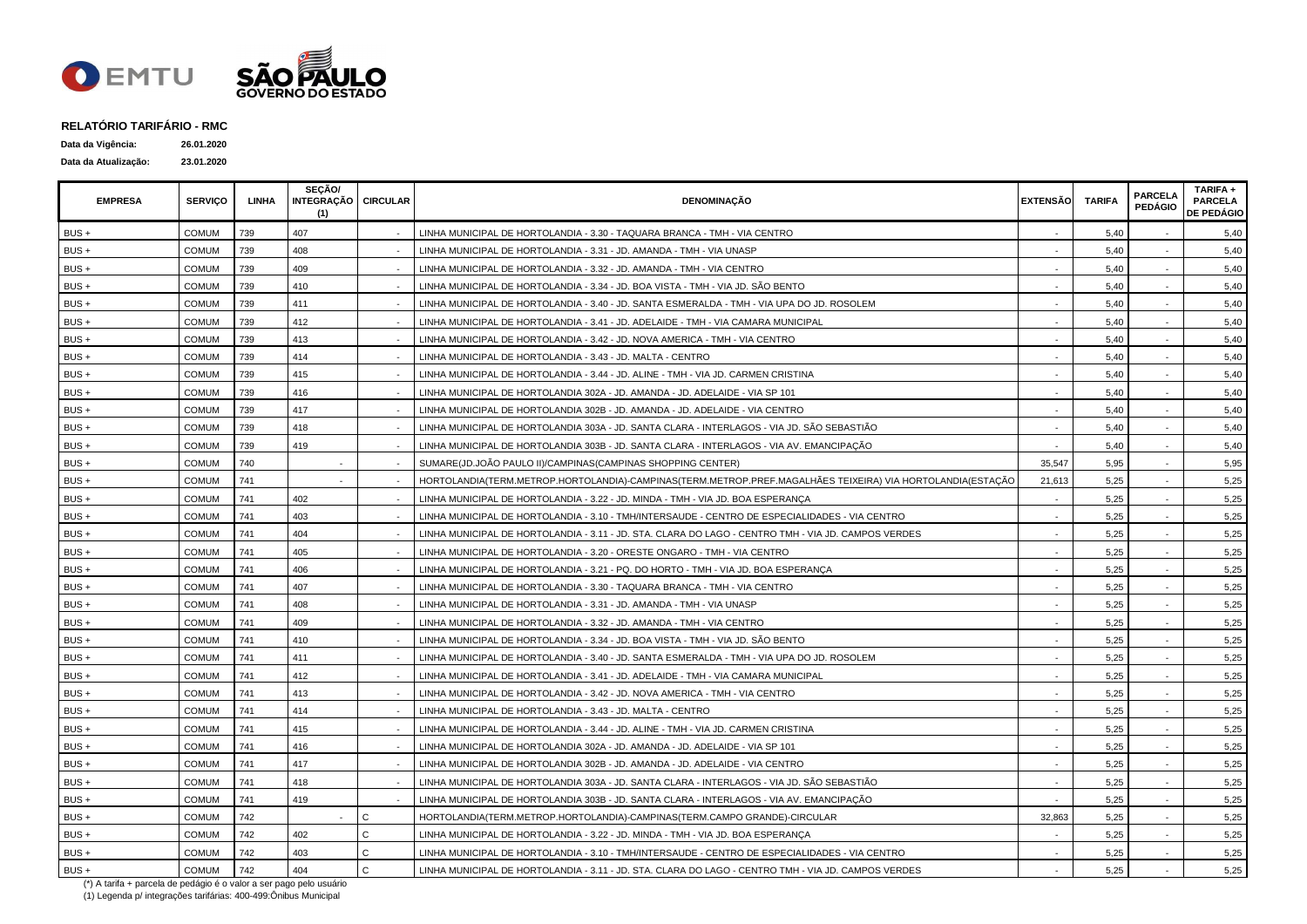

| Data da Vigência:    | 26.01.2020 |
|----------------------|------------|
| Data da Atualização: | 23.01.2020 |

| <b>EMPRESA</b> | <b>SERVICO</b> | LINHA | SECÃO/<br>INTEGRAÇÃO CIRCULAR<br>(1) |              | <b>DENOMINAÇÃO</b>                                                                                         | <b>EXTENSÃO</b> | <b>TARIFA</b> | <b>PARCELA</b><br><b>PEDÁGIO</b> | TARIFA +<br><b>PARCELA</b><br><b>DE PEDÁGIO</b> |
|----------------|----------------|-------|--------------------------------------|--------------|------------------------------------------------------------------------------------------------------------|-----------------|---------------|----------------------------------|-------------------------------------------------|
| BUS +          | COMUM          | 739   | 407                                  |              | LINHA MUNICIPAL DE HORTOLANDIA - 3.30 - TAQUARA BRANCA - TMH - VIA CENTRO                                  |                 | 5,40          |                                  | 5,40                                            |
| BUS +          | COMUM          | 739   | 408                                  |              | LINHA MUNICIPAL DE HORTOLANDIA - 3.31 - JD. AMANDA - TMH - VIA UNASP                                       |                 | 5,40          |                                  | 5,40                                            |
| $BUS +$        | COMUM          | 739   | 409                                  |              | LINHA MUNICIPAL DE HORTOLANDIA - 3.32 - JD. AMANDA - TMH - VIA CENTRO                                      |                 | 5,40          |                                  | 5,40                                            |
| BUS +          | <b>COMUM</b>   | 739   | 410                                  |              | LINHA MUNICIPAL DE HORTOLANDIA - 3.34 - JD. BOA VISTA - TMH - VIA JD. SÃO BENTO                            |                 | 5.40          |                                  | 5,40                                            |
| $BUS +$        | <b>COMUM</b>   | 739   | 411                                  |              | LINHA MUNICIPAL DE HORTOLANDIA - 3.40 - JD. SANTA ESMERALDA - TMH - VIA UPA DO JD. ROSOLEM                 |                 | 5,40          |                                  | 5,40                                            |
| BUS +          | <b>COMUM</b>   | 739   | 412                                  |              | LINHA MUNICIPAL DE HORTOLANDIA - 3.41 - JD. ADELAIDE - TMH - VIA CAMARA MUNICIPAL                          |                 | 5,40          |                                  | 5,40                                            |
| BUS +          | <b>COMUM</b>   | 739   | 413                                  |              | LINHA MUNICIPAL DE HORTOLANDIA - 3.42 - JD. NOVA AMERICA - TMH - VIA CENTRO                                |                 | 5,40          |                                  | 5,40                                            |
| $BUS +$        | <b>COMUM</b>   | 739   | 414                                  |              | LINHA MUNICIPAL DE HORTOLANDIA - 3.43 - JD. MALTA - CENTRO                                                 |                 | 5,40          |                                  | 5,40                                            |
| $BUS +$        | <b>COMUM</b>   | 739   | 415                                  |              | LINHA MUNICIPAL DE HORTOLANDIA - 3.44 - JD. ALINE - TMH - VIA JD. CARMEN CRISTINA                          |                 | 5,40          |                                  | 5,40                                            |
| BUS +          | <b>COMUM</b>   | 739   | 416                                  |              | LINHA MUNICIPAL DE HORTOLANDIA 302A - JD. AMANDA - JD. ADELAIDE - VIA SP 101                               |                 | 5,40          |                                  | 5,40                                            |
| BUS +          | <b>COMUM</b>   | 739   | 417                                  |              | LINHA MUNICIPAL DE HORTOLANDIA 302B - JD. AMANDA - JD. ADELAIDE - VIA CENTRO                               |                 | 5,40          | $\blacksquare$                   | 5,40                                            |
| BUS +          | COMUM          | 739   | 418                                  |              | LINHA MUNICIPAL DE HORTOLANDIA 303A - JD. SANTA CLARA - INTERLAGOS - VIA JD. SÃO SEBASTIÃO                 |                 | 5,40          |                                  | 5,40                                            |
| $BUS +$        | <b>COMUM</b>   | 739   | 419                                  |              | LINHA MUNICIPAL DE HORTOLANDIA 303B - JD. SANTA CLARA - INTERLAGOS - VIA AV. EMANCIPAÇÃO                   |                 | 5.40          |                                  | 5,40                                            |
| $BUS +$        | <b>COMUM</b>   | 740   |                                      |              | SUMARE(JD.JOÃO PAULO II)/CAMPINAS(CAMPINAS SHOPPING CENTER)                                                | 35,547          | 5,95          |                                  | 5,95                                            |
| BUS +          | COMUM          | 741   |                                      |              | HORTOLANDIA(TERM.METROP.HORTOLANDIA)-CAMPINAS(TERM.METROP.PREF.MAGALHÃES TEIXEIRA) VIA HORTOLANDIA(ESTAÇÃO | 21,613          | 5,25          |                                  | 5,25                                            |
| BUS +          | COMUM          | 741   | 402                                  |              | LINHA MUNICIPAL DE HORTOLANDIA - 3.22 - JD. MINDA - TMH - VIA JD. BOA ESPERANÇA                            |                 | 5,25          |                                  | 5,25                                            |
| BUS +          | <b>COMUM</b>   | 741   | 403                                  |              | LINHA MUNICIPAL DE HORTOLANDIA - 3.10 - TMH/INTERSAUDE - CENTRO DE ESPECIALIDADES - VIA CENTRO             |                 | 5,25          |                                  | 5,25                                            |
| BUS +          | <b>COMUM</b>   | 741   | 404                                  |              | LINHA MUNICIPAL DE HORTOLANDIA - 3.11 - JD. STA. CLARA DO LAGO - CENTRO TMH - VIA JD. CAMPOS VERDES        |                 | 5,25          |                                  | 5,25                                            |
| BUS +          | <b>COMUM</b>   | 741   | 405                                  |              | LINHA MUNICIPAL DE HORTOLANDIA - 3.20 - ORESTE ONGARO - TMH - VIA CENTRO                                   |                 | 5,25          |                                  | 5,25                                            |
| BUS +          | <b>COMUM</b>   | 741   | 406                                  |              | LINHA MUNICIPAL DE HORTOLANDIA - 3.21 - PQ. DO HORTO - TMH - VIA JD. BOA ESPERANÇA                         |                 | 5,25          |                                  | 5,25                                            |
| BUS +          | <b>COMUM</b>   | 741   | 407                                  |              | LINHA MUNICIPAL DE HORTOLANDIA - 3.30 - TAQUARA BRANCA - TMH - VIA CENTRO                                  |                 | 5,25          |                                  | 5,25                                            |
| BUS +          | <b>COMUM</b>   | 741   | 408                                  |              | LINHA MUNICIPAL DE HORTOLANDIA - 3.31 - JD. AMANDA - TMH - VIA UNASP                                       |                 | 5,25          | $\blacksquare$                   | 5,25                                            |
| BUS +          | COMUM          | 741   | 409                                  |              | LINHA MUNICIPAL DE HORTOLANDIA - 3.32 - JD. AMANDA - TMH - VIA CENTRO                                      |                 | 5,25          |                                  | 5,25                                            |
| BUS +          | COMUM          | 741   | 410                                  |              | LINHA MUNICIPAL DE HORTOLANDIA - 3.34 - JD. BOA VISTA - TMH - VIA JD. SÃO BENTO                            |                 | 5,25          |                                  | 5,25                                            |
| BUS +          | <b>COMUM</b>   | 741   | 411                                  |              | LINHA MUNICIPAL DE HORTOLANDIA - 3.40 - JD. SANTA ESMERALDA - TMH - VIA UPA DO JD. ROSOLEM                 |                 | 5,25          |                                  | 5,25                                            |
| BUS +          | <b>COMUM</b>   | 741   | 412                                  |              | LINHA MUNICIPAL DE HORTOLANDIA - 3.41 - JD. ADELAIDE - TMH - VIA CAMARA MUNICIPAL                          |                 | 5,25          |                                  | 5,25                                            |
| BUS +          | <b>COMUM</b>   | 741   | 413                                  |              | LINHA MUNICIPAL DE HORTOLANDIA - 3.42 - JD. NOVA AMERICA - TMH - VIA CENTRO                                |                 | 5,25          |                                  | 5,25                                            |
| $BUS +$        | <b>COMUM</b>   | 741   | 414                                  |              | LINHA MUNICIPAL DE HORTOLANDIA - 3.43 - JD. MALTA - CENTRO                                                 |                 | 5,25          |                                  | 5,25                                            |
| BUS +          | COMUM          | 741   | 415                                  |              | LINHA MUNICIPAL DE HORTOLANDIA - 3.44 - JD. ALINE - TMH - VIA JD. CARMEN CRISTINA                          |                 | 5,25          |                                  | 5,25                                            |
| BUS +          | <b>COMUM</b>   | 741   | 416                                  |              | LINHA MUNICIPAL DE HORTOLANDIA 302A - JD. AMANDA - JD. ADELAIDE - VIA SP 101                               |                 | 5,25          |                                  | 5,25                                            |
| BUS +          | <b>COMUM</b>   | 741   | 417                                  |              | LINHA MUNICIPAL DE HORTOLANDIA 302B - JD. AMANDA - JD. ADELAIDE - VIA CENTRO                               |                 | 5,25          |                                  | 5,25                                            |
| BUS +          | <b>COMUM</b>   | 741   | 418                                  |              | LINHA MUNICIPAL DE HORTOLANDIA 303A - JD. SANTA CLARA - INTERLAGOS - VIA JD. SÃO SEBASTIÃO                 |                 | 5,25          |                                  | 5,25                                            |
| $BUS +$        | <b>COMUM</b>   | 741   | 419                                  |              | LINHA MUNICIPAL DE HORTOLANDIA 303B - JD. SANTA CLARA - INTERLAGOS - VIA AV. EMANCIPAÇÃO                   |                 | 5,25          |                                  | 5,25                                            |
| $BUS +$        | <b>COMUM</b>   | 742   |                                      | $\mathsf{C}$ | HORTOLANDIA(TERM.METROP.HORTOLANDIA)-CAMPINAS(TERM.CAMPO GRANDE)-CIRCULAR                                  | 32,863          | 5,25          | $\blacksquare$                   | 5,25                                            |
| BUS +          | COMUM          | 742   | 402                                  | C.           | LINHA MUNICIPAL DE HORTOLANDIA - 3.22 - JD. MINDA - TMH - VIA JD. BOA ESPERANCA                            |                 | 5,25          |                                  | 5,25                                            |
| BUS +          | COMUM          | 742   | 403                                  | C.           | LINHA MUNICIPAL DE HORTOLANDIA - 3.10 - TMH/INTERSAUDE - CENTRO DE ESPECIALIDADES - VIA CENTRO             |                 | 5,25          |                                  | 5,25                                            |
| BUS +          | <b>COMUM</b>   | 742   | 404                                  | $\mathsf{C}$ | LINHA MUNICIPAL DE HORTOLANDIA - 3.11 - JD. STA. CLARA DO LAGO - CENTRO TMH - VIA JD. CAMPOS VERDES        |                 | 5,25          |                                  | 5,25                                            |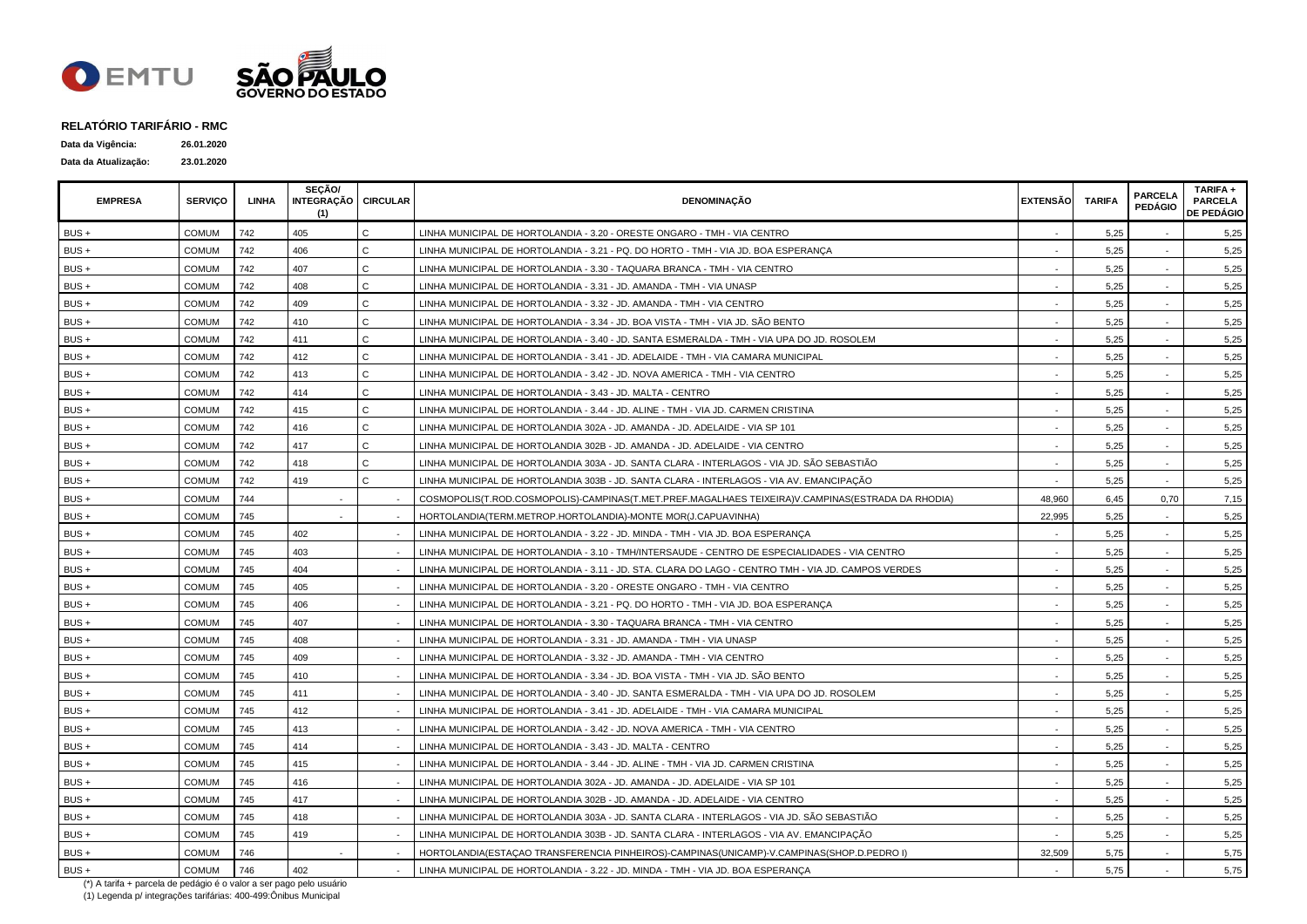

| Data da Vigência:    | 26.01.2020 |
|----------------------|------------|
| Data da Atualização: | 23.01.2020 |

| <b>EMPRESA</b> | <b>SERVICO</b> | LINHA | SECÃO/<br>INTEGRAÇÃO   CIRCULAR<br>(1) |              | <b>DENOMINAÇÃO</b>                                                                                  | <b>EXTENSÃO</b> | <b>TARIFA</b> | <b>PARCELA</b><br><b>PEDÁGIO</b> | TARIFA +<br><b>PARCELA</b><br><b>DE PEDÁGIO</b> |
|----------------|----------------|-------|----------------------------------------|--------------|-----------------------------------------------------------------------------------------------------|-----------------|---------------|----------------------------------|-------------------------------------------------|
| BUS+           | <b>COMUM</b>   | 742   | 405                                    | $\mathbf{C}$ | LINHA MUNICIPAL DE HORTOLANDIA - 3.20 - ORESTE ONGARO - TMH - VIA CENTRO                            |                 | 5,25          |                                  | 5,25                                            |
| $BUS +$        | <b>COMUM</b>   | 742   | 406                                    | $\mathsf{C}$ | LINHA MUNICIPAL DE HORTOLANDIA - 3.21 - PQ. DO HORTO - TMH - VIA JD. BOA ESPERANCA                  |                 | 5,25          |                                  | 5,25                                            |
| BUS +          | COMUM          | 742   | 407                                    | $\mathbf{C}$ | LINHA MUNICIPAL DE HORTOLANDIA - 3.30 - TAQUARA BRANCA - TMH - VIA CENTRO                           |                 | 5,25          |                                  | 5,25                                            |
| BUS +          | COMUM          | 742   | 408                                    | C.           | LINHA MUNICIPAL DE HORTOLANDIA - 3.31 - JD. AMANDA - TMH - VIA UNASP                                |                 | 5.25          |                                  | 5,25                                            |
| BUS+           | <b>COMUM</b>   | 742   | 409                                    | C            | LINHA MUNICIPAL DE HORTOLANDIA - 3.32 - JD. AMANDA - TMH - VIA CENTRO                               |                 | 5,25          |                                  | 5,25                                            |
| BUS+           | <b>COMUM</b>   | 742   | 410                                    | $\mathsf{C}$ | LINHA MUNICIPAL DE HORTOLANDIA - 3.34 - JD. BOA VISTA - TMH - VIA JD. SÃO BENTO                     |                 | 5,25          |                                  | 5,25                                            |
| BUS+           | <b>COMUM</b>   | 742   | 411                                    | $\mathsf{C}$ | LINHA MUNICIPAL DE HORTOLANDIA - 3.40 - JD. SANTA ESMERALDA - TMH - VIA UPA DO JD. ROSOLEM          |                 | 5,25          |                                  | 5,25                                            |
| BUS+           | <b>COMUM</b>   | 742   | 412                                    | $\mathsf{C}$ | LINHA MUNICIPAL DE HORTOLANDIA - 3.41 - JD. ADELAIDE - TMH - VIA CAMARA MUNICIPAL                   |                 | 5,25          |                                  | 5,25                                            |
| BUS+           | <b>COMUM</b>   | 742   | 413                                    | $\mathbf{C}$ | LINHA MUNICIPAL DE HORTOLANDIA - 3.42 - JD. NOVA AMERICA - TMH - VIA CENTRO                         |                 | 5,25          |                                  | 5,25                                            |
| BUS+           | <b>COMUM</b>   | 742   | 414                                    | C            | LINHA MUNICIPAL DE HORTOLANDIA - 3.43 - JD. MALTA - CENTRO                                          |                 | 5,25          | $\sim$                           | 5,25                                            |
| BUS +          | <b>COMUM</b>   | 742   | 415                                    | $\mathsf{C}$ | LINHA MUNICIPAL DE HORTOLANDIA - 3.44 - JD. ALINE - TMH - VIA JD. CARMEN CRISTINA                   |                 | 5,25          | $\sim$                           | 5,25                                            |
| $BUS +$        | <b>COMUM</b>   | 742   | 416                                    | $\mathbf{C}$ | LINHA MUNICIPAL DE HORTOLANDIA 302A - JD. AMANDA - JD. ADELAIDE - VIA SP 101                        |                 | 5,25          |                                  | 5,25                                            |
| BUS +          | <b>COMUM</b>   | 742   | 417                                    | $\mathsf{C}$ | LINHA MUNICIPAL DE HORTOLANDIA 302B - JD. AMANDA - JD. ADELAIDE - VIA CENTRO                        |                 | 5,25          |                                  | 5,25                                            |
| $BUS +$        | <b>COMUM</b>   | 742   | 418                                    | $\mathbf{C}$ | LINHA MUNICIPAL DE HORTOLANDIA 303A - JD. SANTA CLARA - INTERLAGOS - VIA JD. SÃO SEBASTIÃO          |                 | 5.25          |                                  | 5,25                                            |
| $BUS +$        | <b>COMUM</b>   | 742   | 419                                    | $\mathsf{C}$ | LINHA MUNICIPAL DE HORTOLANDIA 303B - JD. SANTA CLARA - INTERLAGOS - VIA AV. EMANCIPAÇÃO            |                 | 5,25          |                                  | 5,25                                            |
| BUS+           | <b>COMUM</b>   | 744   |                                        |              | COSMOPOLIS(T.ROD.COSMOPOLIS)-CAMPINAS(T.MET.PREF.MAGALHAES TEIXEIRA)V.CAMPINAS(ESTRADA DA RHODIA)   | 48,960          | 6,45          | 0.70                             | 7,15                                            |
| BUS +          | <b>COMUM</b>   | 745   |                                        |              | HORTOLANDIA(TERM.METROP.HORTOLANDIA)-MONTE MOR(J.CAPUAVINHA)                                        | 22,995          | 5,25          |                                  | 5,25                                            |
| BUS+           | COMUM          | 745   | 402                                    |              | LINHA MUNICIPAL DE HORTOLANDIA - 3.22 - JD. MINDA - TMH - VIA JD. BOA ESPERANÇA                     |                 | 5,25          |                                  | 5,25                                            |
| BUS+           | <b>COMUM</b>   | 745   | 403                                    |              | LINHA MUNICIPAL DE HORTOLANDIA - 3.10 - TMH/INTERSAUDE - CENTRO DE ESPECIALIDADES - VIA CENTRO      |                 | 5,25          | $\sim$                           | 5,25                                            |
| BUS +          | <b>COMUM</b>   | 745   | 404                                    |              | LINHA MUNICIPAL DE HORTOLANDIA - 3.11 - JD. STA. CLARA DO LAGO - CENTRO TMH - VIA JD. CAMPOS VERDES |                 | 5,25          | $\sim$                           | 5,25                                            |
| BUS +          | <b>COMUM</b>   | 745   | 405                                    |              | LINHA MUNICIPAL DE HORTOLANDIA - 3.20 - ORESTE ONGARO - TMH - VIA CENTRO                            |                 | 5,25          |                                  | 5,25                                            |
| BUS +          | <b>COMUM</b>   | 745   | 406                                    |              | LINHA MUNICIPAL DE HORTOLANDIA - 3.21 - PQ. DO HORTO - TMH - VIA JD. BOA ESPERANÇA                  |                 | 5,25          |                                  | 5,25                                            |
| BUS +          | <b>COMUM</b>   | 745   | 407                                    |              | LINHA MUNICIPAL DE HORTOLANDIA - 3.30 - TAQUARA BRANCA - TMH - VIA CENTRO                           |                 | 5,25          |                                  | 5,25                                            |
| BUS +          | <b>COMUM</b>   | 745   | 408                                    |              | LINHA MUNICIPAL DE HORTOLANDIA - 3.31 - JD. AMANDA - TMH - VIA UNASP                                |                 | 5,25          |                                  | 5,25                                            |
| BUS +          | <b>COMUM</b>   | 745   | 409                                    |              | LINHA MUNICIPAL DE HORTOLANDIA - 3.32 - JD. AMANDA - TMH - VIA CENTRO                               |                 | 5.25          |                                  | 5,25                                            |
| $BUS +$        | <b>COMUM</b>   | 745   | 410                                    |              | LINHA MUNICIPAL DE HORTOLANDIA - 3.34 - JD. BOA VISTA - TMH - VIA JD. SÃO BENTO                     |                 | 5,25          |                                  | 5,25                                            |
| BUS+           | <b>COMUM</b>   | 745   | 411                                    |              | LINHA MUNICIPAL DE HORTOLANDIA - 3.40 - JD. SANTA ESMERALDA - TMH - VIA UPA DO JD. ROSOLEM          |                 | 5,25          |                                  | 5,25                                            |
| BUS+           | <b>COMUM</b>   | 745   | 412                                    |              | LINHA MUNICIPAL DE HORTOLANDIA - 3.41 - JD. ADELAIDE - TMH - VIA CAMARA MUNICIPAL                   |                 | 5,25          |                                  | 5,25                                            |
| BUS +          | COMUM          | 745   | 413                                    |              | LINHA MUNICIPAL DE HORTOLANDIA - 3.42 - JD. NOVA AMERICA - TMH - VIA CENTRO                         |                 | 5,25          |                                  | 5,25                                            |
| BUS +          | <b>COMUM</b>   | 745   | 414                                    |              | LINHA MUNICIPAL DE HORTOLANDIA - 3.43 - JD. MALTA - CENTRO                                          |                 | 5,25          |                                  | 5,25                                            |
| BUS +          | <b>COMUM</b>   | 745   | 415                                    |              | LINHA MUNICIPAL DE HORTOLANDIA - 3.44 - JD. ALINE - TMH - VIA JD. CARMEN CRISTINA                   |                 | 5,25          |                                  | 5,25                                            |
| BUS+           | <b>COMUM</b>   | 745   | 416                                    |              | LINHA MUNICIPAL DE HORTOLANDIA 302A - JD. AMANDA - JD. ADELAIDE - VIA SP 101                        |                 | 5,25          |                                  | 5,25                                            |
| BUS+           | <b>COMUM</b>   | 745   | 417                                    |              | LINHA MUNICIPAL DE HORTOLANDIA 302B - JD. AMANDA - JD. ADELAIDE - VIA CENTRO                        |                 | 5,25          |                                  | 5,25                                            |
| BUS+           | <b>COMUM</b>   | 745   | 418                                    |              | LINHA MUNICIPAL DE HORTOLANDIA 303A - JD. SANTA CLARA - INTERLAGOS - VIA JD. SÃO SEBASTIÃO          |                 | 5,25          |                                  | 5,25                                            |
| BUS +          | COMUM          | 745   | 419                                    |              | LINHA MUNICIPAL DE HORTOLANDIA 303B - JD. SANTA CLARA - INTERLAGOS - VIA AV. EMANCIPAÇÃO            |                 | 5,25          |                                  | 5,25                                            |
| BUS+           | <b>COMUM</b>   | 746   |                                        |              | HORTOLANDIA(ESTAÇAO TRANSFERENCIA PINHEIROS)-CAMPINAS(UNICAMP)-V.CAMPINAS(SHOP.D.PEDRO I)           | 32,509          | 5,75          |                                  | 5,75                                            |
| BUS+           | <b>COMUM</b>   | 746   | 402                                    |              | LINHA MUNICIPAL DE HORTOLANDIA - 3.22 - JD. MINDA - TMH - VIA JD. BOA ESPERANÇA                     |                 | 5,75          |                                  | 5,75                                            |